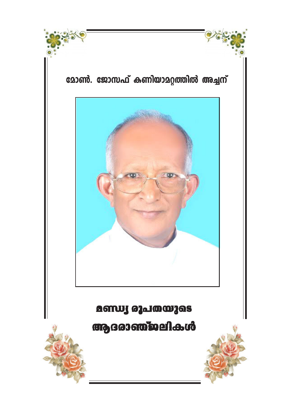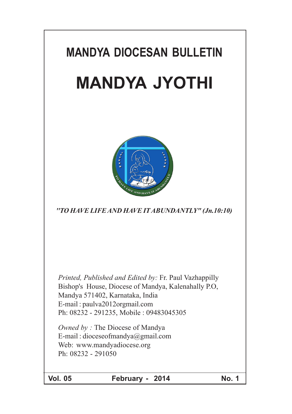# **MANDYA JYOTHI MANDYA DIOCESAN BULLETIN**



*''TO HAVE LIFE AND HAVE IT ABUNDANTLY" (Jn.10:10)*

*Printed, Published and Edited by:* Fr. Paul Vazhappilly Bishop's House, Diocese of Mandya, Kalenahally P.O, Mandya 571402, Karnataka, India E-mail : paulva2012orgmail.com Ph: 08232 - 291235, Mobile : 09483045305

*Owned by :* The Diocese of Mandya E-mail : dioceseofmandya@gmail.com Web: www.mandyadiocese.org Ph: 08232 - 291050

**Vol. 05 February - 2014 No. 1**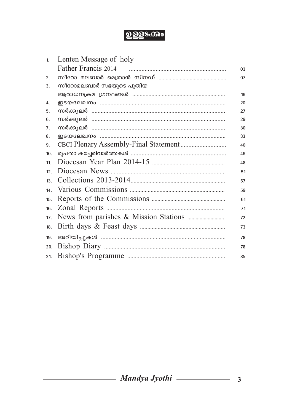# <u>ഉള്ളടക്കം</u>

| 1.  | Lenten Message of holy |    |
|-----|------------------------|----|
|     | Father Francis 2014    | 03 |
| 2.  |                        | 07 |
| 3.  | സീറോമലബാർ സഭയുടെ പുതിയ |    |
|     |                        | 16 |
| 4.  |                        | 20 |
| 5.  |                        | 27 |
| 6.  |                        | 29 |
| 7.  |                        | 30 |
| 8.  |                        | 33 |
| 9.  |                        | 40 |
| 10. |                        | 46 |
| 11. |                        | 48 |
| 12. |                        | 51 |
| 13. |                        | 57 |
| 14. |                        | 59 |
| 15. |                        | 61 |
| 16. |                        | 71 |
| 17. |                        | 72 |
| 18. |                        | 73 |
| 19. |                        | 78 |
| 20. |                        | 78 |
| 21. |                        | 85 |
|     |                        |    |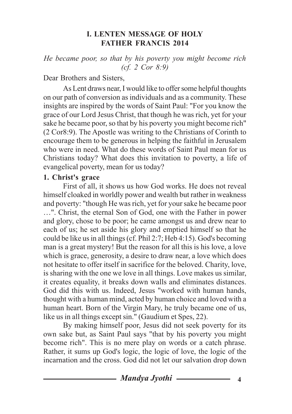# **I. LENTEN MESSAGE OF HOLY FATHER FRANCIS 2014**

*He became poor, so that by his poverty you might become rich (cf. 2 Cor 8:9)*

Dear Brothers and Sisters,

As Lent draws near, I would like to offer some helpful thoughts on our path of conversion as individuals and as a community. These insights are inspired by the words of Saint Paul: "For you know the grace of our Lord Jesus Christ, that though he was rich, yet for your sake he became poor, so that by his poverty you might become rich" (2 Cor8:9). The Apostle was writing to the Christians of Corinth to encourage them to be generous in helping the faithful in Jerusalem who were in need. What do these words of Saint Paul mean for us Christians today? What does this invitation to poverty, a life of evangelical poverty, mean for us today?

## **1. Christ's grace**

First of all, it shows us how God works. He does not reveal himself cloaked in worldly power and wealth but rather in weakness and poverty: "though He was rich, yet for your sake he became poor …". Christ, the eternal Son of God, one with the Father in power and glory, chose to be poor; he came amongst us and drew near to each of us; he set aside his glory and emptied himself so that he could be like us in all things (cf. Phil 2:7; Heb 4:15). God's becoming man is a great mystery! But the reason for all this is his love, a love which is grace, generosity, a desire to draw near, a love which does not hesitate to offer itself in sacrifice for the beloved. Charity, love, is sharing with the one we love in all things. Love makes us similar, it creates equality, it breaks down walls and eliminates distances. God did this with us. Indeed, Jesus "worked with human hands, thought with a human mind, acted by human choice and loved with a human heart. Born of the Virgin Mary, he truly became one of us, like us in all things except sin." (Gaudium et Spes, 22).

By making himself poor, Jesus did not seek poverty for its own sake but, as Saint Paul says "that by his poverty you might become rich". This is no mere play on words or a catch phrase. Rather, it sums up God's logic, the logic of love, the logic of the incarnation and the cross. God did not let our salvation drop down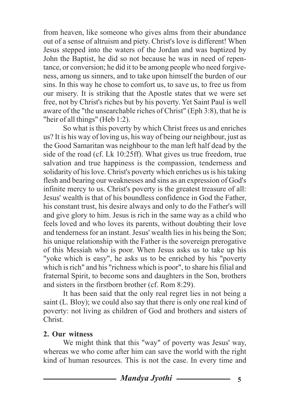from heaven, like someone who gives alms from their abundance out of a sense of altruism and piety. Christ's love is different! When Jesus stepped into the waters of the Jordan and was baptized by John the Baptist, he did so not because he was in need of repentance, or conversion; he did it to be among people who need forgiveness, among us sinners, and to take upon himself the burden of our sins. In this way he chose to comfort us, to save us, to free us from our misery. It is striking that the Apostle states that we were set free, not by Christ's riches but by his poverty. Yet Saint Paul is well aware of the "the unsearchable riches of Christ" (Eph 3:8), that he is "heir of all things" (Heb 1:2).

So what is this poverty by which Christ frees us and enriches us? It is his way of loving us, his way of being our neighbour, just as the Good Samaritan was neighbour to the man left half dead by the side of the road (cf. Lk 10:25ff). What gives us true freedom, true salvation and true happiness is the compassion, tenderness and solidarity of his love. Christ's poverty which enriches us is his taking flesh and bearing our weaknesses and sins as an expression of God's infinite mercy to us. Christ's poverty is the greatest treasure of all: Jesus' wealth is that of his boundless confidence in God the Father, his constant trust, his desire always and only to do the Father's will and give glory to him. Jesus is rich in the same way as a child who feels loved and who loves its parents, without doubting their love and tenderness for an instant. Jesus' wealth lies in his being the Son; his unique relationship with the Father is the sovereign prerogative of this Messiah who is poor. When Jesus asks us to take up his "yoke which is easy", he asks us to be enriched by his "poverty which is rich" and his "richness which is poor", to share his filial and fraternal Spirit, to become sons and daughters in the Son, brothers and sisters in the firstborn brother (cf. Rom 8:29).

It has been said that the only real regret lies in not being a saint (L. Bloy); we could also say that there is only one real kind of poverty: not living as children of God and brothers and sisters of Christ.

#### **2. Our witness**

We might think that this "way" of poverty was Jesus' way, whereas we who come after him can save the world with the right kind of human resources. This is not the case. In every time and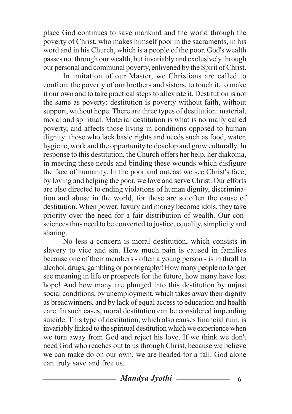place God continues to save mankind and the world through the poverty of Christ, who makes himself poor in the sacraments, in his word and in his Church, which is a people of the poor. God's wealth passes not through our wealth, but invariably and exclusively through our personal and communal poverty, enlivened by the Spirit of Christ.

In imitation of our Master, we Christians are called to confront the poverty of our brothers and sisters, to touch it, to make it our own and to take practical steps to alleviate it. Destitution is not the same as poverty: destitution is poverty without faith, without support, without hope. There are three types of destitution: material, moral and spiritual. Material destitution is what is normally called poverty, and affects those living in conditions opposed to human dignity: those who lack basic rights and needs such as food, water, hygiene, work and the opportunity to develop and grow culturally. In response to this destitution, the Church offers her help, her diakonia, in meeting these needs and binding these wounds which disfigure the face of humanity. In the poor and outcast we see Christ's face; by loving and helping the poor, we love and serve Christ. Our efforts are also directed to ending violations of human dignity, discrimination and abuse in the world, for these are so often the cause of destitution. When power, luxury and money become idols, they take priority over the need for a fair distribution of wealth. Our consciences thus need to be converted to justice, equality, simplicity and sharing.

No less a concern is moral destitution, which consists in slavery to vice and sin. How much pain is caused in families because one of their members - often a young person - is in thrall to alcohol, drugs, gambling or pornography! How many people no longer see meaning in life or prospects for the future, how many have lost hope! And how many are plunged into this destitution by unjust social conditions, by unemployment, which takes away their dignity as breadwinners, and by lack of equal access to education and health care. In such cases, moral destitution can be considered impending suicide. This type of destitution, which also causes financial ruin, is invariably linked to the spiritual destitution which we experience when we turn away from God and reject his love. If we think we don't need God who reaches out to us through Christ, because we believe we can make do on our own, we are headed for a fall. God alone can truly save and free us.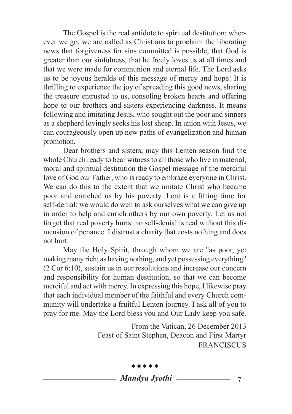The Gospel is the real antidote to spiritual destitution: wherever we go, we are called as Christians to proclaim the liberating news that forgiveness for sins committed is possible, that God is greater than our sinfulness, that he freely loves us at all times and that we were made for communion and eternal life. The Lord asks us to be joyous heralds of this message of mercy and hope! It is thrilling to experience the joy of spreading this good news, sharing the treasure entrusted to us, consoling broken hearts and offering hope to our brothers and sisters experiencing darkness. It means following and imitating Jesus, who sought out the poor and sinners as a shepherd lovingly seeks his lost sheep. In union with Jesus, we can courageously open up new paths of evangelization and human promotion.

Dear brothers and sisters, may this Lenten season find the whole Church ready to bear witness to all those who live in material. moral and spiritual destitution the Gospel message of the merciful love of God our Father, who is ready to embrace everyone in Christ. We can do this to the extent that we imitate Christ who became poor and enriched us by his poverty. Lent is a fitting time for self-denial; we would do well to ask ourselves what we can give up in order to help and enrich others by our own poverty. Let us not forget that real poverty hurts: no self-denial is real without this dimension of penance. I distrust a charity that costs nothing and does not hurt.

May the Holy Spirit, through whom we are "as poor, yet making many rich; as having nothing, and yet possessing everything" (2 Cor 6:10), sustain us in our resolutions and increase our concern and responsibility for human destitution, so that we can become merciful and act with mercy. In expressing this hope, I likewise pray that each individual member of the faithful and every Church community will undertake a fruitful Lenten journey. I ask all of you to pray for me. May the Lord bless you and Our Lady keep you safe.

 $-4 + 4 + 4$ 

From the Vatican, 26 December 2013 Feast of Saint Stephen, Deacon and First Martyr **FRANCISCUS** 

*Mandya Jyothi* **7**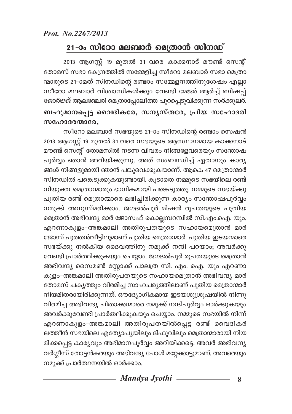# 21-ാം സീറോ മലബാർ മെത്രാൻ സിനഡ്

 $2013$  ആഗസ്റ്റ് 19 മുതൽ 31 വരെ കാക്കനാട് മൗണ്ട് സെന്റ് തോമസ് സഭാ കേന്ദ്രത്തിൽ സമ്മേളിച്ച സീറോ മലബാർ സഭാ മെത്രാ ന്മാരുടെ 21-ാമത് സിനഡിന്റെ രണ്ടാം സമ്മേളനത്തിനുശേഷം എല്ലാ സീറോ മലബാർ വിശ്വാസികൾക്കും വേണ്ടി മേജർ ആർച്ച് ബിഷപ്പ് .<br>ജോർജ്ജ് ആലഞ്ചേരി മെത്രാപ്പോലീത്ത പുറപ്പെടുവിക്കുന്ന സർക്കുലർ. ബഹുമാനപ്പെട്ട വൈദികരേ, സനൃസ്തരേ, പ്രിയ സഹോദരി സഹോദരന്മാരേ.

സീറോ മലബാർ സഭയുടെ 21-ാം സിനഡിന്റെ രണ്ടാം സെഷൻ 2013 ആഗസ്റ്റ് 19 മുതൽ 31 വരെ സഭയുടെ ആസ്ഥാനമായ കാക്കനാട് മൗണ്ട് സെന്റ് തോമസിൽ നടന്ന വിവരം നിങ്ങളേവരെയും സന്തോഷ പൂർവ്വം ഞാൻ അറിയിക്കുന്നു. അത് സംബന്ധിച്ച് ഏതാനും കാര്യ ങ്ങൾ നിങ്ങളുമായി ഞാൻ പങ്കുവെക്കുകയാണ്. ആകെ 47 മെത്രാന്മാർ സിനഡിൽ പങ്കെടുക്കുകയുണ്ടായി. കൂടാതെ നമ്മുടെ സഭയിലെ രണ്ട് നിയുക്ത മെത്രാന്മാരും ഭാഗികമായി പങ്കെടുത്തു. നമ്മുടെ സഭയ്ക്കു പുതിയ രണ്ട് മെത്രാന്മാരെ ലഭിച്ചിരിക്കുന്ന കാര്യം സന്തോഷപൂർവ്വം നമുക്ക് അനുസ്മരിക്കാം. ജഗദൽപൂർ മിഷൻ രൂപതയുടെ പുതിയ മെത്രാൻ അഭിവന്ദ്യ മാർ ജോസഫ് കൊല്ലമ്പറമ്പിൽ സി.എം.ഐ. യും, എറണാകുളം-അങ്കമാലി അതിരൂപതയുടെ സഹായമെത്രാൻ മാർ ജോസ് പുത്തൻവീട്ടിലുമാണ് പുതിയ മെത്രാന്മാർ. പുതിയ ഇടയന്മാരെ സഭയ്ക്കു നൽകിയ ദൈവത്തിനു നമുക്ക് നന്ദി പറയാം; അവർക്കു വേണ്ടി പ്രാർത്ഥിക്കുകയും ചെയ്യാം. ജഗദൽപൂർ രൂപതയുടെ മെത്രാൻ അഭിവന്ദ്യ സൈമൺ സ്റ്റോക്ക് പാലത്ര സി. എം. ഐ. യും എറണാ കുളം-അങ്കമാലി അതിരൂപതയുടെ സഹായമെത്രാൻ അഭിവന്ദ<mark>്യ</mark> മാർ തോമസ് ചകൃത്തും വിരമിച്ച സാഹചരൃത്തിലാണ് പുതിയ മെത്രാന്മാർ നിയമിതരായിരിക്കുന്നത്. ഔദ്യോഗികമായ ഇടയശുശ്രൂഷയിൽ നിന്നു വിരമിച്ച അഭിവന്ദ്യ പിതാക്കന്മാരെ നമുക്ക് നന്ദിപൂർവ്വം ഓർക്കുകയും അവർക്കുവേണ്ടി പ്രാർത്ഥിക്കുകയും ചെയ്യാം. നമ്മുടെ സഭയിൽ നിന്ന് എറണാകുളം-അങ്കമാലി അതിരൂപതയിൽപ്പെട്ട രണ്ട് വൈദികർ ലത്തീൻ സഭയിലെ എത്യോപ്യയിലും ദിഫുവിലും മെത്രാന്മാരായി നിയ മിക്കപ്പെട്ട കാര്യവും അഭിമാനപൂർ<mark>വ്വം</mark> അറിയിക്കട്ടെ. അവർ അഭിവന്ദ്യ വർഗ്ഗീസ് തോട്ടൻകരയും അഭിവന്ദ്യ പോൾ മറ്റേക്കാട്ടുമാണ്. അവരെയും നമുക്ക് പ്രാർത്ഥനയിൽ ഓർക്കാം.

# *Mandya Jyothi* - 8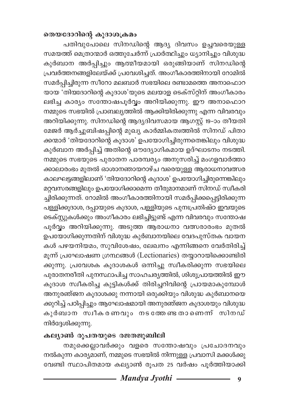## തെയദോറിന്റെ കൂദാശക്രമം

പതിവുപോലെ സിനഡിന്റെ ആദ്യ ദിവസം ഉച്ചവരെയുള്ള .<br>സമയത്ത് മെത്രാന്മാർ ഒത്തുചേർന്ന് പ്രാർത്ഥിച്ചും ധ്യാനിച്ചും വിശുദ്ധ കുർബാന അർപ്പിച്ചും ആത്മീയമായി ഒരുങ്ങിയാണ് സിനഡിന്റെ പ്രവർത്തനങ്ങളിലേയ്ക്ക് പ്രവേശിച്ചത്. അംഗീകാരത്തിനായി റോമിൽ സമർപ്പിച്ചിരുന്ന സീറോ മലബാർ സഭയിലെ രണ്ടാമത്തെ അനാഫൊറ യായ 'തിയദോറിന്റെ കൂദാശ'യുടെ മലയാള ടെക്സ്റ്റിന് അംഗീകാരം ലഭിച്ച കാര്യം സന്തോഷപൂർവ്വം അറിയിക്കുന്നു. ഈ അനാഫൊറ നമ്മുടെ സഭയിൽ പ്രാബല്യത്തിൽ ആക്കിയിരിക്കുന്നു എന്ന വിവരവും അറിയിക്കുന്നു. സിനഡിന്റെ ആദ്യദിവസമായ ആഗസ്റ്റ് 19–ാം തീയതി മേജർ ആർച്ചുബിഷപ്പിന്റെ മുഖ്യ കാർമ്മികത്വത്തിൽ സിനഡ് പിതാ .<br>ക്കന്മാർ 'തിയദോറിന്റെ കൂദാശ' ഉപയോഗിച്ചിരുന്നതെങ്കിലും വിശുദ്ധ കുർബാന അർപ്പിച്ച് അതിന്റെ ഔദ്യോഗികമായ ഉദ്ഘാടനം നടത്തി. നമ്മുടെ സഭയുടെ പുരാതന പാരമ്പര്യം അനുസരിച്ച് മംഗളവാർത്താ ക്കാലാരംഭം മുതൽ ഓശാനഞായറാഴ്ച വരെയുള്ള ആരാധനാവത്സര കാലഘട്ടങ്ങളിലാണ് 'തിയദോറിന്റെ കൂദാശ' ഉപയോഗിച്ചിരുന്നെങ്കിലും മറ്റവസരങ്ങളിലും ഉപയോഗിക്കാമെന്ന തീരുമാനമാണ് സിനഡ് സ്വീകരി ച്ചിരിക്കുന്നത്. റോമിൽ അംഗീകാരത്തിനായി സമർപ്പിക്കപ്പെട്ടിരിക്കുന്ന പള്ളിക്കൂദാശ, ദപ്പായുടെ കൂദാശ, പള്ളിയുടെ പുനഃപ്രതിഷ്ഠ ഇവയുടെ ടെക്സ്റ്റുകൾക്കും അംഗീകാരം ലഭിച്ചിട്ടുണ്ട് എന്ന വിവരവും സന്തോഷ പൂർവ്വം അറിയിക്കുന്നു. അടുത്ത ആരാധനാ വത്സരാരംഭം മുതൽ ഉപയോഗിക്കുന്നതിന് വിശുദ്ധ കുർബാനയിലെ വേദപുസ്തക വായന കൾ പഴയനിയമം, സുവിശേഷം, ലേഖനം എന്നിങ്ങനെ വേർതിരിച്ച് മുന്ന് പ്രഘോഷണ ഗ്രന്ഥങ്ങൾ (Lectionaries) തയ്യാറായിക്കൊണ്ടിരി ക്കുന്നു. പ്രവേശക കൂദാശകൾ ഒന്നിച്ചു സ്ഥീകരിക്കുന്ന സഭയിലെ പുരാതനരീതി പുനസ്ഥാപിച്ച സാഹചര്യത്തിൽ, ശിശുപ്രായത്തിൽ ഈ കൂദാശ സ്വീകരിച്ച കുട്ടികൾക്ക് തിരിച്ചറിവിന്റെ പ്രായമാകുമ്പോൾ അനുരഞ്ജന കൂദാശക്കു നന്നായി ഒരുക്കിയും വിശുദ്ധ കുർബാനയെ ക്കുറിച്ച് പഠിപ്പിച്ചും ആഘോഷമായി അനുരഞ്ജന കൂദാശയും വിശുദ്ധ കുർബാന സ്വീകരണവും നടത്തേണ്ടതാണെന്ന് സിനഡ് നിർദ്ദേശിക്കുന്നു.

# കല്യാൺ രൂപതയുടെ രജതജൂബിലി

നമുക്കെല്ലാവർക്കും വളരെ സന്തോഷവും പ്രചോദനവും നൽകുന്ന കാര്യമാണ്, നമ്മുടെ സഭയിൽ നിന്നുള്ള പ്രവാസി മക്കൾക്കു വേണ്ടി സ്ഥാപിതമായ കല്യാൺ രൂപത 25 വർഷം പൂർത്തിയാക്കി

# Mandya Jyothi -

 $\boldsymbol{9}$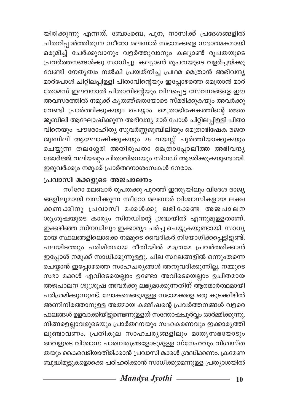യിരിക്കുന്നു എന്നത്. ബോംബെ, പൂന, നാസിക്ക് പ്രദേശങ്ങളിൽ ചിതറിപ്പാർത്തിരുന്ന സീറോ മലബാർ സഭാമക്കളെ സഭാത്മകമായി ഒരുമിച്ച് ചേർക്കുവാനും വളർത്തുവാനും കല്യാൺ രൂപതയുടെ പ്രവർത്തനങ്ങൾക്കു സാധിച്ചു. കല്യാൺ രൂപതയുടെ <mark>വ</mark>ളർച്ചയ്ക്കു വേണ്ടി നേതൃത്വം നൽകി പ്രയത്നിച്ച പ്രഥമ മെത്രാൻ അഭിവന്ദ്യ മാർപോൾ ചിറ്റിലപ്പിള്ളി പിതാവിന്റെയും ഇപ്പോഴത്തെ മെത്രാൻ മാർ തോമസ് ഇലവനാൽ പിതാവിന്റെയും വിലപ്പെട്ട സേവനങ്ങളെ ഈ അവസരത്തിൽ നമുക്ക് കൃതഞ്ജതയോടെ സ്മരിക്കുകയും അവർക്കു വേണ്ടി പ്രാർത്ഥിക്കുകയും ചെയ്യാം. മെത്രാഭിഷേകത്തിന്റെ രജത ജൂബിലി ആഘോഷിക്കുന്ന അഭിവന്ദ്യ മാർ പോൾ ചിറ്റിലപ്പിള്ളി പിതാ വിനെയും പൗരോഹിത്യ സുവർണ്ണജൂബിലിയും മെത്രാഭിഷേക രജത ജൂബിലി ആഘോഷിക്കുകയും 75 വയസ്സ് പൂർത്തിയാക്കുകയു<mark>ം</mark> ചെയ്യുന്ന തലശ്ശേരി അതിരൂപതാ മെത്രാപ്പോലീത്ത അഭിവന്ദ്യ ജോർജ്ജ് വലിയമറ്റം പിതാവിനെയും സിനഡ് ആദരിക്കുകയുണ്ടായി. ഇരുവർക്കും നമുക്ക് പ്രാർത്ഥനാശംസകൾ നേരാം.

#### പ്രവാസി മക്കളുടെ അജപാലനം

സീറോ മലബാർ രൂപതക്കു പുറത്ത് ഇന്ത്യയിലും വിദേശ രാജ്യ ങ്ങളിലുമായി വസിക്കുന്ന സീറോ മലബാർ വിശ്വാസികളായ ലക്ഷ ക്കണക്കിനു പ്രവാസി മക്കൾക്കു ലഭിക്കേണ്ട അജപാലന ശുശ്രൂഷയുടെ കാര്യം സിനഡിന്റെ ശ്രദ്ധയിൽ എന്നുമുള്ളതാണ്. ഇക്കഴിഞ്ഞ സിനഡിലും ഇക്കാര്യം ചർച്ച ചെയ്യുകയുണ്ടായി. സാധ്യ മായ സ്ഥലങ്ങളിലൊക്കെ നമ്മുടെ വൈദികർ നിയോഗിക്കപ്പെട്ടിട്ടുണ്ട്. പലയിടത്തും പരിമിതമായ രീതിയിൽ മാത്രമേ പ്രവർത്തിക്കാൻ ഇപ്പോൾ നമുക്ക് സാധിക്കുന്നുള്ളു. ചില സ്ഥലങ്ങളിൽ ഒന്നുംതന്നെ ചെയ്യാൻ ഇപ്പോഴത്തെ സാഹചര്യങ്ങൾ അനുവദിക്കുന്നില്ല. നമ്മുടെ സഭാ മക്കൾ എവിടെയെല്ലാം ഉണ്ടോ അവിടെയെല്ലാം ഉചിതമായ അജപാലന ശുശ്രൂഷ അവർക്കു ലഭ്യമാക്കുന്നതിന് ആത്മാർത്ഥമായി പരിശ്രമിക്കുന്നുണ്ട്. ലോകമെങ്ങുമുള്ള സഭാമക്കളെ ഒരു കുടക്കീഴിൽ അണിനിരത്താനുള്ള അത്മായ കമ്മീഷന്റെ പ്രവർത്തനങ്ങൾ വളരെ ഫലങ്ങൾ ഉളവാക്കിയിട്ടുണ്ടെന്നുള്ളത് സന്തോഷപൂർവ്വം ഓർമ്മിക്കുന്നു. നിങ്ങളെല്ലാവരുടെയും പ്രാർത്ഥനയും സഹകരണവും ഇക്കാര്യത്തി ലുണ്ടാവണം. പ്രതികൂല സാഹചര്യങ്ങളിലും മാതൃസഭയോടും അവളുടെ വിശ്വാസ പാരമ്പര്യങ്ങളോടുമുള്ള സ്നേഹവും വിശ്വസ്ത തയും കൈവെടിയാതിരിക്കാൻ പ്രവാസി മക്കൾ ശ്രദ്ധിക്കണം. ക്രമേണ ബുദ്ധിമുട്ടുകളൊക്കെ പരിഹരിക്കാൻ സാധിക്കുമെന്നുള്ള പ്രത്യാശയിൽ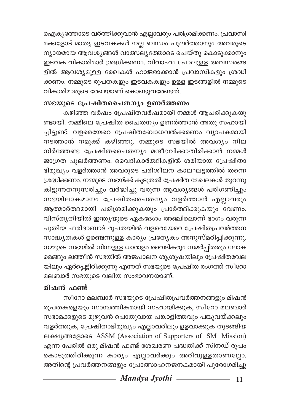ഐക്യത്തോടെ വർത്തിക്കുവാൻ എല്ലാവരും പരിശ്രമിക്കണം. പ്രവാസി മക്കളോട് മാത്യ ഇടവകകൾ നല്ല ബന്ധം പുലർത്താനും അവരുട<mark>െ</mark> .<br>ന്യായമായ ആവശ്യങ്ങൾ വാത്സല്യത്തോടെ ചെയ്തു കൊടുക്കാനും ഇടവക വികാരിമാർ ശ്രദ്ധിക്കണം. വിവാഹം പോലുള്ള അവസരങ്ങ ളിൽ ആവശ്യമുള്ള രേഖകൾ ഹാജരാക്കാൻ പ്രവാസികളും ശ്രദ്ധി ക്കണം. നമ്മുടെ രൂപതകളും ഇടവകകളും ഉള്ള ഇടങ്ങളിൽ നമ്മുട<mark>െ</mark> വികാരിമാരുടെ രേഖയാണ് കൊണ്ടുവരേണ്ടത്.

## സഭയുടെ പ്രേഷിതചൈതന്യം ഉണർത്തണം

കഴിഞ്ഞ വർഷം പ്രേഷിതവർഷമായി നമ്മൾ ആചരിക്കുകയു ണ്ടായി. നമ്മിലെ പ്രേഷിത ചൈതന്യം ഉണർത്താൻ അതു സഹായി .<br>ച്ചിട്ടുണ്ട്. വളരെയേറെ പ്രേഷിതബോധവൽക്കരണം വ്യാപകമായി നടത്താൻ നമുക്ക് കഴിഞ്ഞു. നമ്മുടെ സഭയിൽ അവശ്യം നില നിർത്തേണ്ട പ്രേഷിതചൈതന്യം മന്ദീഭവിക്കാതിരിക്കാൻ നമ്മൾ ജാഗ്രത പുലർത്തണം. വൈദികാർത്ഥികളിൽ ശരിയായ പ്രേഷിതാ ഭിമുഖ്യം വളർത്താൻ അവരുടെ പരിശീലന കാലഘട്ടത്തിൽ തന്നെ ശ്രദ്ധിക്കണം. നമ്മുടെ സഭയ്ക്ക് കൂടുതൽ പ്രേഷിത മേഖലകൾ തുറന്നു കിട്ടുന്നതനുസരിച്ചും വർദ്ധിച്ചു വരുന്ന ആവശ്യങ്ങൾ പരിഗണിച്ചും സഭയിലാകമാനം പ്രേഷിതചൈതന്യം വളർത്താൻ എല്ലാവരും ആത്മാർത്ഥമായി പരിശ്രമിക്കുകയും പ്രാർത്ഥിക്കുകയും വേണം. വിസ്തൃതിയിൽ ഇന്ത്യയുടെ ഏകദേശം അഞ്ചിലൊന്ന് ഭാഗം വരുന്ന പുതിയ ഫരിദാബാദ് രൂപതയിൽ വളരെയേറെ പ്രേഷിതപ്രവർത്തന സാദ്ധ്യതകൾ ഉണ്ടെന്നുള്ള കാര്യം പ്രത്യേകം അനുസ്മരിപ്പിക്കുന്നു. നമ്മുടെ സഭയിൽ നിന്നുള്ള ധാരാളം വൈദികരും സമർപ്പിതരും ലോക മെങ്ങും ലത്തീൻ സഭയിൽ അജപാലന ശുശ്രൂഷയിലും പ്രേഷിതവേല യിലും ഏർപ്പെട്ടിരിക്കുന്നു എന്നത് സഭയുടെ പ്രേഷിത രംഗത്ത് സീറോ മലബാർ സഭയുടെ വലിയ സംഭാവനയാണ്.

## മിഷൻ ഫണ്ട്

സീറോ മലബാർ സഭയുടെ പ്രേഷിതപ്രവർത്തനങ്ങളും മിഷൻ രൂപതകളെയും സാമ്പത്തികമായി സഹായിക്കുക, സീറോ മലബാർ സഭാമക്കളുടെ മുഴുവൻ പൊതുവായ പങ്കാളിത്തവും പങ്കുവയ്ക്കലും വളർത്തുക, പ്രേഷിതാഭിമുഖ്യം എല്ലാവരിലും ഉളവാക്കുക തുടങ്ങിയ வக்கு Sass ASSM (Association of Supporters of SM Mission) എന്ന പേരിൽ ഒരു മിഷൻ ഫണ്ട് ശേഖരണ പദ്ധതിക്ക് സിനഡ് രൂപം കൊടുത്തിരിക്കുന്ന കാര്യം എല്ലാവർക്കും അറിവുള്ളതാണല്ലോ. അതിന്റെ പ്രവർത്തനങ്ങളും പ്രോത്സാഹനജനകമായി പുരോഗമിച്ചു

Mandya Jyothi -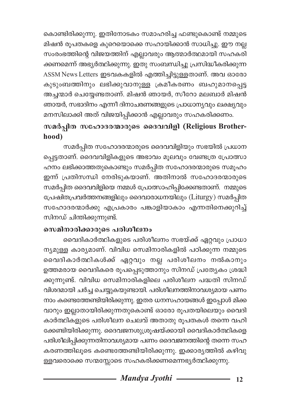കൊണ്ടിരിക്കുന്നു. ഇതിനോടകം സമാഹരിച്ച ഫണ്ടുകൊണ്ട് നമ്മുടെ മിഷൻ രൂപതകളെ കുറെയൊക്കെ സഹായിക്കാൻ സാധിച്ചു. ഈ നല്ല സംരംഭത്തിന്റെ വിജയത്തിന് എല്ലാവരും ആത്മാർത്ഥമായി സഹകരി ക്കണമെന്ന് അഭ്യർത്ഥിക്കുന്നു. ഇതു സംബന്ധിച്ചു പ്രസിദ്ധീകരിക്കുന്ന ASSM News Letters ഇടവകകളിൽ എത്തിച്ചിട്ടുള്ളതാണ്. അവ ഓരോ കുടുംബത്തിനും ലഭിക്കുവാനുള്ള ക്രമീകരണം ബഹുമാനപ്പ<mark>െ</mark>ട്ട അച്ചന്മാർ ചെയ്യേണ്ടതാണ്. മിഷൻ ഞായർ, സീറോ മലബാർ മിഷൻ ഞായർ, സഭാദിനം എന്നീ ദിനാചരണങ്ങളുടെ പ്രാധാന്യവും ലക്ഷ്യവും മനസിലാക്കി അത് വിജയിപ്പിക്കാൻ എല്ലാവരും സഹകരിക്കണം.

# സമർപ്പിത സഹോദരന്മാരുടെ ദൈവവിളി (Religious Brotherhood)

സമർപ്പിത സഹോദരന്മാരുടെ ദൈവവിളിയും സഭയിൽ പ്രധാന പ്പെട്ടതാണ്. ദൈവവിളികളുടെ അഭാവം മൂലവും വേണ്ടത്ര പ്രോത്സാ ഹനം ലഭിക്കാത്തതുകൊണ്ടും സമർപ്പിത സഹോദരന്മാരുടെ സമൂഹം ഇന്ന് പ്രതിസന്ധി നേരിടുകയാണ്. അതിനാൽ സഹോദരന്മാരുടെ സമർപ്പിത ദൈവവിളിയെ നമ്മൾ പ്രോത്സാഹിപ്പിക്കേണ്ടതാണ്. നമ്മുടെ പ്രേഷിതപ്രവർത്തനങ്ങളിലും ദൈവാരാധനയിലും (Liturgy) സമർപ്പിത സഹോദരന്മാർക്കു എപ്രകാരം പങ്കാളിയാകാം എന്നതിനെക്കുറിച്ച് സിനഡ് ചിന്തിക്കുന്നുണ്ട്.

## സെമിനാരിക്കാരുടെ പരിശീലനം

വൈദികാർത്ഥികളുടെ പരിശീലനം സഭയ്ക്ക് ഏറ്റവും പ്രാധാ ന്യമുള്ള കാര്യമാണ്. വിവിധ സെമിനാരികളിൽ പഠിക്കുന്ന നമ്മുടെ വൈദികാർത്ഥികൾക്ക് ഏറ്റവും നല്ല പരിശീലനം നൽകാനും ഉത്തമരായ വൈദികരെ രൂപപ്പെടുത്താനും സിനഡ് പ്രത്യേകം ശ്രദ്ധി ക്കുന്നുണ്ട്. വിവിധ സെമിനാരികളിലെ പരിശീലന പദ്ധതി സിനഡ് വിശദമായി ചർച്ച ചെയ്യുകയുണ്ടായി. പരിശീലനത്തിനാവശ്യമായ പണം നാം കണ്ടെത്തേണ്ടിയിരിക്കുന്നു. ഇതര ധനസഹായങ്ങൾ ഇപ്പോൾ മിക്ക വാറും ഇല്ലാതായിരിക്കുന്നതുകൊണ്ട് ഓരോ രൂപതയിലെയും വൈദി കാർത്ഥികളുടെ പരിശീലന ചെലവ് അതാതു രൂപതകൾ തന്നെ <mark>വ</mark>ഹി ക്കേണ്ടിയിരിക്കുന്നു. ദൈവജനശുശ്രൂഷയ്ക്കായി വൈദികാർത്ഥികളെ പരിശീലിപ്പിക്കുന്നതിനാവശ്യമായ പണം ദൈവജനത്തിന്റെ തന്നെ സഹ കരണത്തിലൂടെ കണ്ടെത്തേണ്ടിയിരിക്കുന്നു. ഇക്കാര്യത്തിൽ കഴി<mark>വു</mark> ള്ളവരൊക്കെ സന്മസ്സോടെ സഹകരിക്കണമെന്നഭൃർത്ഥിക്കുന്നു.

Mandya Jyothi -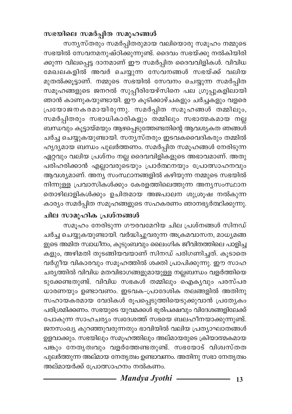# സഭയിലെ സമർപ്പിത സമൂഹങ്ങൾ

 $k$ സന്യസ്തരും സമർപ്പിതരുമായ വലിയൊരു സമൂഹം നമ്മുടെ സഭയിൽ സേവനമനുഷ്ഠിക്കുന്നുണ്ട്. ദൈവം സഭയ്ക്കു നൽകിയിരി ം<br>കുന്ന വിലപ്പെട്ട ദാനമാണ് ഈ സമർപ്പിത ദൈവവിളികൾ. വിവിധ മേഖലകളിൽ അവർ ചെയ്യുന്ന സേവനങ്ങൾ സഭയ്ക്ക് വലിയ മുതൽക്കൂട്ടാണ്. നമ്മുടെ സഭയിൽ സേവനം ചെയ്യുന്ന സമർപ്പിത സമൂഹങ്ങളുടെ ജനറൽ സുപ്പീരിയേഴ്സിനെ പല ഗ്രൂപ്പുകളിലായി ണാൻ കാണുകയുണ്ടായി. ഈ കൂടിക്കാഴ്ചകളും ചർച്ചകളും വളരെ <sub>്ര</sub>പയോജനകരമായിരുന്നു. സമർപ്പിത സമൂഹങ്ങൾ തമ്മിലും, സമർപ്പിതരും സഭാധികാരികളും തമ്മിലും സഭാത്മകമായ നല്ല ബന്ധവും കൂട്ടായ്മയും ആഴപ്പെടുത്തേണ്ടതിന്റെ ആവശ്യകത ഞങ്ങൾ ചർച്ച ചെയ്യുകയുണ്ടായി. സന്യസ്തരും ഇടവകവൈദികരും തമ്മിൽ ഹൃദ്യമായ ബന്ധം പുലർത്തണം. സമർപ്പിത സമൂഹങ്ങൾ നേരിടുന്ന ഏറ്റവും വലിയ പ്രശ്നം നല്ല ദൈവവിളികളുടെ അഭാവമാണ്. അതു പരിഹരിക്കാൻ എല്ലാവരുടെയും പ്രാർത്ഥനയും പ്രോത്സാഹനവും ആവശ്യമാണ്. അന്യ സംസ്ഥാനങ്ങളിൽ കഴിയുന്ന നമ്മുടെ സഭയിൽ നിന്നുള്ള പ്രവാസികൾക്കും കേരളത്തിലെത്തുന്ന അനൃസംസ്ഥാന തൊഴിലാളികൾക്കും ഉചിതമായ അജപാലന ശുശ്രൂഷ നൽകുന്ന കാര്യം സമർപ്പിത സമൂഹങ്ങളുടെ സഹകരണം ഞാനഭ്യർത്ഥിക്കുന്നു.

## ചില സാമൂഹിക പ്രശ്നങ്ങൾ

സമൂഹം നേരിടുന്ന ഗൗരവമേറിയ ചില പ്രശ്നങ്ങൾ സിനഡ് ചർച്ച ചെയ്യുകയുണ്ടായി. വർദ്ധിച്ചുവരുന്ന അക്രമവാസന, മാധ്യമങ്ങ ളുടെ അമിത സ്വാധീനം, കുടുംബവും ലൈംഗിക ജീവിതത്തിലെ പാളിച്ച .<br>കളും, അഴിമതി തുടങ്ങിയവയാണ് സിനഡ് പരിഗണിച്ചത്. കൂടാതെ വർഗ്ഗീയ വികാരവും സമൂഹത്തിൽ ശക്തി പ്രാപിക്കുന്നു. ഈ സാഹ ചര്യത്തിൽ വിവിധ മതവിഭാഗങ്ങളുമായുള്ള നല്ലബന്ധം വളർത്തിയെ ടുക്കേണ്ടതുണ്ട്. വിവിധ സഭകൾ തമ്മിലും ഐക്യവും പരസ്പര ധാരണയും ഉണ്ടാവണം. ഇടവക-പ്രാദേശിക തലങ്ങളിൽ അതിനു .<br>സഹായകരമായ വേദികൾ രൂപപ്പെടുത്തിയെടുക്കുവാൻ പ്രത്യേകം പരിശ്രമിക്കണം. സഭയുടെ യുവമക്കൾ ഭൂരിപക്ഷവും വിദേശങ്ങളിലേക്ക് പോകുന്ന സാഹചര്യം സ്വദേശത്ത് സഭയെ ബലഹീനയാക്കുന്നുണ്ട്. ജനസംഖ്യ കുറഞ്ഞുവരുന്നതും ഭാവിയിൽ വലിയ പ്രത്യാഘാതങ്ങൾ ഉളവാക്കും. സഭയിലും സമൂഹത്തിലും അല്മായരുടെ ക്രിയാത്മകമായ പങ്കും നേതൃത്വവും വളർത്തേണ്ടതുണ്ട്. സഭയോട് വിശ്വസ്തത പുലർത്തുന്ന അല്മായ നേതൃത്വം ഉണ്ടാവണം. അതിനു സഭാ നേതൃത്വം അല്മായർക്ക് പ്രോത്സാഹനം നൽകണം.

# - *Mandya Jyothi* - 13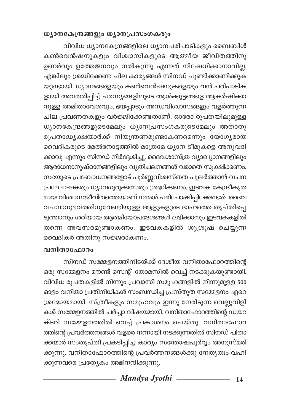#### $wy$ ാനകേന്ദ്രങ്ങളും ധൃാനപ്രസംഗകരും

വിവിധ ധ്യാനകേന്ദ്രങ്ങളിലെ ധ്യാനപരിപാടികളും ബൈബിൾ കൺവെൻഷനുകളും വിശ്വാസികളുടെ ആത്മീയ ജീവിതത്തിനു ഉണർവും ഉത്തേജനവും നൽകുന്നു എന്നത് നിഷേധിക്കാനാവി<u>ല്ല</u>. എങ്കിലും ശ്രദ്ധിക്കേണ്ട ചില കാര്യങ്ങൾ സിനഡ് ചൂണ്ടിക്കാണിക്കുക യുണ്ടായി. ധ്യാനങ്ങളെയും കൺവെൻഷനുകളെയും വൻ പരിപാടിക ളായി അവതരിപ്പിച്ച് പരസ്യങ്ങളിലൂടെ ആൾക്കൂട്ടങ്ങളെ ആകർഷിക്കാ നുള്ള അമിതാവേശവും, ഭയപ്പാടും അന്ധവിശ്വാസങ്ങളും വളർത്തുന്ന ചില പ്രവണതകളും വർജ്ജിക്കേണ്ടതാണ്. ഓരോ രൂപതയിലുമുള്ള ധ്യാനകേന്ദ്രങ്ങളുടെമേലും ധ്യാനപ്രസംഗകരുടെമേലും അതാതു രൂപതാദ്ധ്യക്ഷന്മാർക്ക് നിയന്ത്രണമുണ്ടാകണമെന്നും യോഗൃരായ വൈദികരുടെ മേൽനോട്ടത്തിൽ മാത്രമേ ധ്യാന ടീമുകളെ അനുവദി ക്കാവൂ എന്നും സിനഡ് നിർദ്ദേശിച്ചു. ദൈവശാസ്ത്ര വ്യാഖ്യാനങ്ങളിലും ആരാധനാനുഷ്ഠാനങ്ങളിലും വൃതിചലനങ്ങൾ വരാതെ സൂക്ഷിക്കണം. സഭയുടെ പ്രബോധനങ്ങളോട് പൂർണ്ണവിശ്വസ്തത പുലർത്താൻ വചന  $\overline{\mathcal{C}}$ പഘോഷകരും ധ്യാനഗുരുക്കന്മാരും ശ്രദ്ധിക്കണം. ഇടവക കേന്ദ്രീകൃത മായ വിശ്വാസജീവിതത്തെയാണ് നമ്മൾ പരിപോഷിപ്പിക്കേണ്ടത്. ദൈവ വചനാനുഭവത്തിനുവേണ്ടിയുള്ള ആളുകളുടെ ദാഹത്തെ തൃപ്തിപ്പെ ടുത്താനും ശരിയായ ആത്മീയോപദേശങ്ങൾ ലഭിക്കാനും <mark>ഇടവകകളി</mark>ൽ തന്നെ അവസരമുണ്ടാകണം. ഇടവകകളിൽ ശുശ്രൂഷ ചെയ്യുന്ന വൈദികർ അതിനു സജ്ജരാകണ<mark>ം</mark>.

#### **വനിതാഫോറം**

സിനഡ് സമ്മേളനത്തിനിടയ്ക്ക് ദേശീയ വനിതാഫോറത്തിന്റെ ഒരു സമ്മേളനം മൗണ്ട് സെന്റ് തോമസിൽ വെച്ച് നടക്കുകയുണ്ടായി. വിവിധ രൂപതകളിൽ നിന്നും പ്രവാസി സമൂഹങ്ങളിൽ നിന്നുമുള്ള 500 ഓളം വനിതാ പ്രതിനിധികൾ സംബന്ധിച്ച പ്രസ്തുത സമ്മേളനം ഏറെ (ശദ്ധേയമായി. സ്ത്രീകളും സമൂഹവും ഇന്നു നേരിടുന്ന വെല്ലുവിളി കൾ സമ്മേളനത്തിൽ ചർച്ചാ വിഷയമായി. വനിതാഫോറത്തിന്റെ ഡയറ ക്ടറി സമ്മേളനത്തിൽ വെച്ച് പ്രകാശനം ചെയ്തു. വനിതാഫോറ ത്തിന്റെ പ്രവർത്തനങ്ങൾ വളരെ നന്നായി നടക്കുന്നതിൽ സിനഡ് പിത<mark>ാ</mark> ക്കന്മാർ സംതൃപ്തി പ്രകടിപ്പിച്ച കാര്യം സന്തോഷപൂർവ്വം അനുസ്മരി ക്കുന്നു. വനിതാഫോറത്തിന്റെ പ്രവർത്തനങ്ങൾക്കു നേതൃത്വം വഹി ക്കുന്നവരെ പ്രത്യേകം അഭിനന്ദിക്കുന്നു.

*Mandya Jyothi* – 14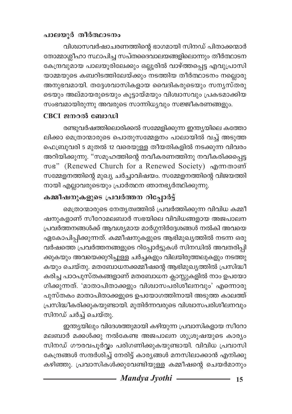# പാലയൂർ തീർത്ഥാടനം

വിശ്വാസവർഷാചരണത്തിന്റെ ഭാഗമായി സിനഡ് പിതാക്കന്മാർ തോമ്മാശ്ലീഹാ സ്ഥാപിച്ച സപ്തദൈവാലയങ്ങളിലൊന്നും തീർത്ഥാടന കേന്ദ്രവുമായ പാലയൂരിലേക്കും ഒല്ലൂരിൽ വാഴ്ത്തപ്പെട്ട എവുപ്രാസി യാമ്മയുടെ കബറിടത്തിലേയ്ക്കും നടത്തിയ തീർത്ഥാടനം നല്ലൊരു അനുഭവമായി. തദ്ദേശവാസികളായ വൈദികരുടെയും സനൃസ്തരു ടെയും അല്മായരുടെയും കൂട്ടായ്മയും വിശ്വാസവും പ്രകടമാക്കിയ സംഭവമായിരുന്നു അവരുടെ സാന്നിധ്യവും സജ്ജീകരണങ്ങളും.

# CBCI ജനറൽ ബോഡി

രണ്ടുവർഷത്തിലൊരിക്കൽ സമ്മേളിക്കുന്ന ഇന്ത്യയിലെ കത്തോ ലിക്കാ മെത്രാന്മാരുടെ പൊതുസമ്മേളനം പാലായിൽ വച്ച് അടുത്ത ഫെബ്രുവരി 5 മുതൽ 12 വരെയുള്ള തീയതികളിൽ നടക്കുന്ന വിവരം അറിയിക്കുന്നു. "സമൂഹത്തിന്റെ നവീകരണത്തിനു നവീകരിക്കപ്പെട്ട me" (Renewed Church for a Renewed Society) എന്നതാണ് സമ്മേളനത്തിന്റെ മുഖ്യ ചർച്ചാവിഷയം. സമ്മേളനത്തിന്റെ വിജയത്തി നായി എല്ലാവരുടെയും പ്രാർത്ഥന ഞാനഭ്യർത്ഥിക്കുന്നു.

# കമ്മീഷനുകളുടെ പ്രവർത്തന റിപ്പോർട്ട<mark>്</mark>

മെത്രാന്മാരുടെ നേതൃത്വത്തിൽ പ്രവർത്തിക്കുന്ന വിവിധ കമ്മീ ഷനുകളാണ് സീറോമലബാർ സഭയിലെ വിവിധങ്ങളായ അജപാലന പ്രവർത്തനങ്ങൾക്ക് ആവശ്യമായ മാർഗ്ഗനിർദ്ദേശങ്ങൾ നൽകി അവയെ ഏകോപിപ്പിക്കുന്നത്. കമ്മീഷനുകളുടെ ആഭിമുഖ്യത്തിൽ നടന്ന ഒരു വർഷത്തെ പ്രവർത്തനങ്ങളുടെ റിപ്പോർട്ടുകൾ സിനഡിൽ അവതരിപ്പി ക്കുകയും അ<mark>വയെ</mark>ക്കുറിച്ചുള്ള ചർച്ചകളും വിലയിരുത്തലുകളും നടത്തു കയും ചെയ്തു. മതബോധനക്കമ്മീഷന്റെ ആഭിമുഖ്യത്തിൽ പ്രസിദ്ധീ കരിച്ച പാഠപുസ്തകങ്ങളാണ് മതബോധന ക്ലാസ്സുകളിൽ നാം ഉപയോ ഗിക്കുന്നത്. 'മാതാപിതാക്കളും വിശ്വാസപരിശീലനവും' എന്നൊരു പുസ്തകം മാതാപിതാക്കളുടെ ഉപയോഗത്തിനായി അടുത്ത കാലത്ത് പ്രസിദ്ധീകരിക്കുകയുണ്ടായി. മുതിർന്നവരുടെ വിശ്വാസപരിശീലനവു<mark>ം</mark> സിനഡ് ചർച്ച് ചെയ്തു.

ഇന്ത്യയിലും വിദേശത്തുമായി കഴിയുന്ന പ്രവാസികളായ സീറോ മലബാർ മക്കൾക്കു നൽകേണ്ട അജപാലന ശുശ്രൂഷയുടെ കാര<mark>്യ</mark>ം സിനഡ് ഗൗരവപൂർവ്വം പരിഗണിക്കുകയുണ്ടായി. വിവിധ പ്രവാസി കേന്ദ്രങ്ങൾ സന്ദർശിച്ച് നേരിട്ട് കാര്യങ്ങൾ മനസിലാക്കാൻ എനിക്കു കഴിഞ്ഞു. പ്രവാസികൾക്കുവേണ്ടിയുള്ള കമ്മീഷന്റെ ചെയർമാനും

15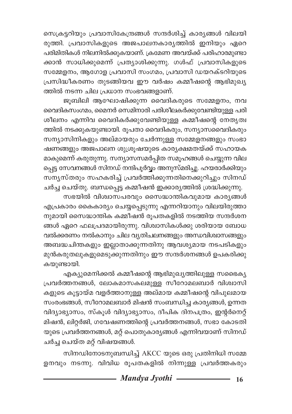സെക്രട്ടറിയും പ്രവാസികേന്ദ്രങ്ങൾ സന്ദർശിച്ച് കാര്യങ്ങൾ വിലയി രുത്തി. പ്രവാസികളുടെ അജപാലനകാര്യത്തിൽ ഇനിയും ഏറെ പരിമിതികൾ നിലനിൽക്കുകയാണ്. ക്രമേണ അവയ്ക്ക് പരിഹാരമുണ്ടാ ക്കാൻ സാധിക്കുമെന്ന് പ്രത്യാശിക്കുന്നു. ഗൾഫ് പ്രവാസികളുടെ സമ്മേളനം, ആഗോള പ്രവാസി സംഗമം, പ്രവാസി ഡയറക്ടറിയുടെ പ്രസിദ്ധീകരണം തുടങ്ങിയ<mark>വ ഈ വ</mark>ർഷം കമ്മീഷന്റെ ആഭിമുഖ്യ ത്തിൽ നടന്ന ചില പ്രധാന സംഭവങ്ങളാണ്.

ജൂബിലി ആഘോഷിക്കുന്ന വൈദികരുടെ സമ്മേളനം, നവ വൈദികസംഗമം, മൈനർ സെമിനാരി പരിശീലകർക്കുവേണ്ടിയുള്ള പരി ശീലനം എന്നിവ വൈദികർക്കുവേണ്ടിയുള്ള കമ്മീഷന്റെ നേതൃത്വ ത്തിൽ നടക്കുകയുണ്ടായി. രൂപതാ വൈദികരും, സന്യാസവൈദികരും സന്യാസിനികളും അല്മായരും ചേർന്നുള്ള സമ്മേളനങ്ങളും സംഭാ ഷണങ്ങളും അജപാലന ശുശ്രൂഷയുടെ കാര്യക്ഷമതയ്ക്ക് സഹായക മാകുമെന്ന് കരുതുന്നു. സന്യാസസമർപ്പിത സമൂഹങ്ങൾ ചെയ്യുന്ന വില പ്പെട്ട സേവനങ്ങൾ സിനഡ് നന്ദിപൂർവ്വം അനുസ്മരിച്ചു. ഹയരാർക്കിയും സന്യസ്തരും സഹകരിച്ച് പ്രവർത്തിക്കുന്നതിനെക്കുറിച്ചും സിനഡ് ചർച്ച ചെയ്തു. ബന്ധപ്പെട്ട കമ്മീഷൻ ഇക്കാര്യത്തിൽ ശ്രദ്ധിക്കുന്നു.

സഭയിൽ വിശ്വാസപരവും സൈദ്ധാന്തികവുമായ കാര്യങ്ങൾ എപ്രകാരം കൈകാര്യം ചെയ്യപ്പെടുന്നു എന്നറിയാനും വിലയിരുത്താ നുമായി സൈദ്ധാന്തിക കമ്മീഷൻ രൂപതകളിൽ നടത്തിയ സന്ദർശന ങ്ങൾ ഏറെ ഫലപ്രദമായിരുന്നു. വിശ്വാസികൾക്കു ശരിയായ ബോധ വൽക്കരണം നൽകാനും ചില വൃതിചലനങ്ങളും അന്ധവിശ്വാസങ്ങളും അബദ്ധചിന്തകളും ഇല്ലാതാക്കുന്നതിനു ആവശ്യമായ നടപടികളും മുൻകരുതലുകളുമെടുക്കുന്നതിനും ഈ സന്ദർശനങ്ങൾ ഉപകരിക്കു കയുണ്ടായി.

എക്യുമെനിക്കൽ കമ്മീഷന്റെ ആഭിമുഖ്യത്തിലുള്ള സഭൈക്യ പ്രവർത്തനങ്ങൾ, ലോകമാസകലമുള്ള സീറോമലബാർ വിശ<mark>്</mark>വാസി കളുടെ കൂട്ടായ്മ വളർത്താനുള്ള അല്മായ കമ്മീഷന്റെ വിപുലമായ .<br>സംരംഭങ്ങൾ, സീറോമലബാർ മിഷൻ സംബന്ധിച്ച കാര്യങ്ങൾ, ഉന്നത വിദ്യാഭ്യാസം, സ്കൂൾ വിദ്യാഭ്യാസം, ദീപിക ദിനപത്രം, ഇന്റർനെറ്റ് മിഷൻ, ലിറ്റർജി, ഗവേഷണത്തിന്റെ പ്രവർത്തനങ്ങൾ, സഭാ കോടതി യുടെ പ്രവർത്തനങ്ങൾ, മറ്റ് പൊതുകാര്യങ്ങൾ എന്നിവയാണ് സിനഡ് ചർച്ച ചെയ്ത മറ്റ് വിഷയങ്ങൾ.

സിനഡിനോടനുബന്ധിച്ച് AKCC യുടെ ഒരു പ്രതിനിധി സമ്മേ ളനവും നടന്നു. വിവിധ രൂപതകളിൽ നിന്നുള്ള പ്രവർത്തകരും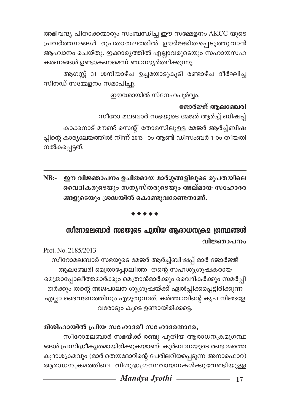അഭിവന്ദ്യ പിതാക്കന്മാരും സംബന്ധിച്ച ഈ സമ്മേളനം AKCC യുടെ പ്രവർത്തനങ്ങൾ രൂപതാതലത്തിൽ ഊർജ്ജിതപ്പെടുത്തുവാൻ ആഹ്വാനം ചെയ്തു. ഇക്കാരൃത്തിൽ എല്ലാവരുടെയും സഹായസഹ കരണങ്ങൾ ഉണ്ടാകണമെന്ന് ഞാനഭ്യർത്ഥിക്കുന്നു.

ആഗസ്റ്റ് 31 ശനിയാഴ്ച ഉച്ചയോടുകുടി രണ്ടാഴ്ച ദീർഘിച്ച സിനഡ് സമ്മേളനം സമാപിച്ചു.

ഈശോയിൽ സ്നേഹപൂർവ്വം,

# ജോർജ്ജ് ആലഞ്ചേരി

സീറോ മലബാർ സഭയുടെ മേജർ ആർച്ച് ബിഷപ്പ് കാക്കനാട് മൗണ്ട് സെന്റ് തോമസിലുള്ള മേജർ ആർച്ച്ബിഷ പ്പിന്റെ കാര്യാലയത്തിൽ നിന്ന് 2013 –ാം ആണ്ട് ഡിസംബർ 1–ാം തീയതി നൽകപ്പെട്ടത്.

NB:- ഈ വിജ്ഞാപനം ഉചിതമായ മാർഗ്ഗങ്ങളിലൂടെ രൂപതയിലെ വൈദികരുടെയും സനൃസ്തരുടെയും അല്മായ സഹോദര ങ്ങളുടെയും ശ്രദ്ധയിൽ കൊണ്ടുവരേണ്ടതാണ്.

#### .....

# സീറോമലബാർ സഭയുടെ പുതിയ ആരാധനക്രമ ഗ്രന്ഥങ്ങൾ വിജ്ഞാപനം

Prot. No. 2185/2013 സീറോമലബാർ സഭയുടെ മേജർ ആർച്ച്ബിഷപ്പ് മാർ ജോർജ്ജ് ആലഞ്ചേരി മെത്രാപ്പോലീത്ത തന്റെ സഹശുശ്രൂഷകരായ മെത്രാപ്പോലീത്തമാർക്കും മെത്രാൻമാർക്കും വൈദികർക്കും സമർപ്പി തർക്കും തന്റെ അജപാലന ശുശ്രൂഷയ്ക്ക് ഏൽപ്പിക്കപ്പെട്ടിരിക്കുന്ന എല്ലാ ദൈവജനത്തിനും എഴുതുന്നത്. കർത്താവിന്റെ കൃപ നിങ്ങളേ വരോടും കൂടെ ഉണ്ടായിരിക്കട്ടെ.

## മിശിഹായിൽ പ്രിയ സഹോദരീ സഹോദരന്മാരേ,

സീറോമലബാർ സഭയ്ക്ക് രണ്ടു പുതിയ ആരാധനക്രമഗ്രന്ഥ ങ്ങൾ പ്രസിദ്ധീകൃതമായിരിക്കുകയാണ്: കുർബാനയുടെ രണ്ടാമത്തെ കൂദാശക്രമവും (മാർ തെയദോറിന്റെ പേരിലറിയപ്പെടുന്ന അനാഫൊറ) ആരാധനക്രമത്തിലെ വിശുദ്ധഗ്രന്ഥവായനകൾക്കുവേണ്ടിയുള്ള

> - Mandya Jyothi — 17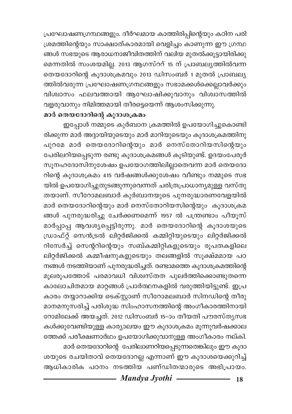പ്രഘോഷണഗ്രന്ഥങ്ങളും. ദീർഘമായ കാത്തിരിപ്പിന്റെയും കഠിന പരി ്രമത്തിന്റെയും സാക്ഷാത്കാരമായി വെളിച്ചം കാണുന്ന ഈ ഗ്രന്ഥ ങ്ങൾ സഭയുടെ ആരാധനാജീവിതത്തിന് വലിയ മുതൽക്കൂട്ടായിരിക്കു മെന്നതിൽ സംശയമില്ല. 2013 ആഗസ്ററ് 15 ന് പ്രാബല്യത്തിൽവന്ന തെയദോറിന്റെ കൂദാശക്രമവും 2013 ഡിസംബർ 1 മുതൽ പ്രാബല്യ ത്തിൽവരുന്ന പ്രഘോഷണഗ്രന്ഥങ്ങളും സഭാമക്കൾക്കെല്ലാവർക്കു<mark>ം</mark> വിശ്വാസം ഫലവത്തായി ആഘോഷിക്കുവാനും വിശ്വാസത്തിൽ വളരുവാനും നിമിത്തമായി തീരട്ടെയെന്ന് ആശംസിക്കുന്നു.

# മാർ തെയദോറിന്റെ കൂദാശക്രമം

ഇപ്പോൾ നമ്മുടെ കുർബാന ക്രമത്തിൽ ഉപയോഗിച്ചുകൊണ്ടി രിക്കുന്ന മാർ അദ്ദായിയുടെയും മാർ മാറിയുടെയും കൂദാശക്രമത്തിനു പുറമേ മാർ തെയദോറിന്റെയും മാർ നെസ്തോറിയസിന്റെയും പേരിലറിയപ്പെടുന്ന രണ്ടു കൂദാശക്രമങ്ങൾ കൂടിയുണ്ട്. ഉദയംപേരൂർ സൂനഹദോസിനുശേഷം ഉപയോഗത്തിലില്ലാതെവന്ന മാർ തെയദോ റിന്റെ കൂദാശക്രമം 415 വർഷങ്ങൾക്കുശേഷം വീണ്ടും നമ്മുടെ സഭ യിൽ ഉപയോഗിച്ചുതുടങ്ങുന്നു<mark>വെന്നത് ചരിത്രപ്രാധാന്യമുള്ള വസ്തു</mark> തയാണ്. സീറോമലബാർ കുർബാനയുടെ പുനരുദ്ധാരണവേളയിൽ മാർ തെയദോറിന്റെയും മാർ നെസ്തോറിയസിന്റെയും കൂദാശക്രമ .<br>ങ്ങൾ പുനരുദ്ധരിച്ചു ചേർക്കണമെന്ന് 1957 ൽ പന്ത്രണ്ടാം പീയൂസ് മാർപ്പാപ്പ ആവശ്യപ്പെട്ടിരുന്നു. മാർ തെയദോറിന്റെ കൂദാശയുടെ ്രധാഫ്റ്റ് സെൻട്രൽ ലിറ്റർജിക്കൽ കമ്മിറ്റിയുടെയും ലിറ്റർജിക്കൽ റിസേർച്ച് സെന്ററിന്റെയും സബ്കമ്മിറ്റികളുടെയും രൂപതകളില<mark>െ</mark> ലിറ്റർജിക്കൽ കമ്മീഷനുകളുടെയും തലങ്ങളിൽ സൂക്ഷ്മമായ <mark>പ</mark>ഠ നങ്ങൾ നടത്തിയാണ് പുനരുദ്ധരിച്ചത്. രണ്ടാമത്തെ കൂദാശക്രമത്തിന്റെ മൂലരൂപത്തോട് പരമാവധി വിശ്വസ്തത പുലർത്തിക്കൊണ്ടുതന്ന<mark>െ</mark> കാലോചിതമായ മാറ്റങ്ങൾ പ്രാർത്ഥനകളിൽ വരുത്തിയിട്ടുണ്ട്. ഇപ്ര കാരം തയ്യാറാക്കിയ ടെക്സ്റ്റാണ് സീറോമലബാർ സിനഡിന്റെ തീരു മാനമനുസരിച്ച് പരിശുദ്ധ സിംഹാസനത്തിന്റെ അംഗീകാരത്തിനായി റോമിലേക്ക് അയച്ചത്. 2012 ഡിസംബർ 15–ാം തീയതി പൗരസ്തൃസഭ കൾക്കു<mark>വേണ്ടി</mark>യുള്ള കാര്യാലയം ഈ കൂദാശക്രമം മൂന്നുവർഷക്കാല ത്തേക്ക് പരീക്ഷണാർഥം ഉപയോഗിക്കുവാനുള്ള അംഗീകാരം നല്കി. മാർ തെയദോറിന്റെ പേരിലാണറിയപ്പെടുന്നതെങ്കിലും ഈ കൂദാ ശയുടെ രചയിതാവ് തെയദോറല്ല എന്നാണ് ഈ കൂദാശയെക്കുറിച്ച് ആധികാരിക പഠനം നടത്തിയ പണ്ഡിതന്മാരുടെ അഭിപ്രായം.

- *Mandya Jyothi* – 18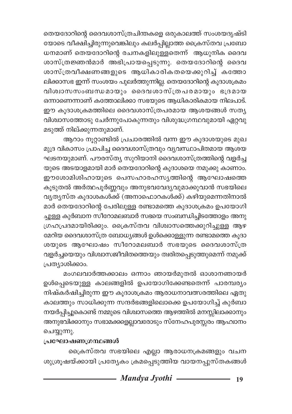തെയദോറിന്റെ ദൈവശാസ്ത്രചിന്തകളെ ഒരുകാലത്ത് സംശയദൃഷ്ടി യോടെ വീക്ഷിച്ചിരുന്നുവെങ്കിലും കലർപ്പില്ലാത്ത ക്രൈസ്തവ പ്രബോ ധനമാണ് തെയദോറിന്റെ രചനകളിലുള്ളതെന്ന് . ആധുനിക ദൈവ ശാസ്ത്രജ്ഞൻമാർ അഭിപ്രായപ്പെടുന്നു. തെയദോറിന്റെ ദൈവ ശാസ്ത്രവീക്ഷണങ്ങളുടെ ആധികാരികതയെക്കുറിച്ച് കത്തോ ലിക്കാസഭ ഇന്ന് സംശയം പുലർത്തുന്നില്ല. തെയദോറിന്റെ കൂദാശക്രമം വിശ്വാസസംബന്ധമായും ദൈവശാസ്ത്രപരമായും ഭദ്രമായ ഒന്നാണെന്നാണ് കത്തോലിക്കാ സഭയുടെ ആധികാരികമായ നിലപാട്. ഈ കൂദാശക്രമത്തിലെ ദൈവശാസ്ത്രപരമായ ആശയങ്ങൾ സത്യ വിശ്വാസത്തോടു ചേർന്നുപോകുന്നതും വിശുദ്ധഗ്രന്ഥവുമായി ഏറ്റവു മടുത്ത് നില്ക്കുന്നതുമാണ്.

ആറാം നൂറ്റാണ്ടിൽ പ്രചാരത്തിൽ വന്ന ഈ കൂദാശയുടെ മുഖ മുദ്ര വികാസം പ്രാപിച്ച ദൈവശാസ്ത്രവും വ്യവസ്ഥാപിതമായ ആശയ ഘടനയുമാണ്. പൗരസ്ത്യ സുറിയാനി ദൈവശാസ്ത്രത്തിന്റെ വളർച്ച യുടെ അടയാളമായി മാർ തെയദോറിന്റെ കൂദാശയെ നമുക്കു കാണാം. ഈശോമിശിഹായുടെ പെസഹാരഹസ്യത്തിന്റെ ആഘോഷത്തെ കൂടുതൽ അർത്ഥപൂർണ്ണവും അനുഭവവേദ്യവുമാക്കുവാൻ സഭയിലെ വ്യത്യസ്ത കൂദാശകൾക്ക് (അനാഫൊറകൾക്ക്) കഴിയുമെന്നതിനാൽ മാർ തെയദോറിന്റെ പേരിലുള്ള രണ്ടാമത്തെ കൂദാശക്രമം ഉപയോഗി ച്ചുള്ള കുർബാന സീറോമലബാർ സഭയെ സംബന്ധിച്ചിടത്തോളം അനു ഗ്രഹപ്രദമായിരിക്കും. ക്രൈസ്തവ വിശ്വാസത്തെക്കുറിച്ചുള്ള ആഴ മേറിയ ദൈവശാസ്ത്ര ബോധ്യങ്ങൾ ഉൾക്കൊള്ളുന്ന രണ്ടാമത്തെ കൂദാ ശയുടെ ആഘോഷം സീറോമലബാർ സഭയുടെ ദൈവശാസ്ത്ര വളർച്ചയെയും വിശ്വാസജീവിതത്തെയും ത്വരിതപ്പെടുത്തുമെന്ന് നമുക്ക് പ്രത്യാശിക്കാം.

മംഗലവാർത്തക്കാലം ഒന്നാം ഞായർമുതൽ ഓശാനഞായർ ഉൾപ്പെടെയുള്ള കാലങ്ങളിൽ ഉപയോഗിക്കേണ്ടതെന്ന് പാരമ്പര്യം നിഷ്കർഷിച്ചിരുന്ന ഈ കൂദാശക്രമം ആരാധനാവത്സരത്തിലെ ഏതു കാലത്തും സാധിക്കുന്ന സന്ദർഭങ്ങളിലൊക്കെ ഉപയോഗിച്ച് കുർബാ നയർപ്പിച്ചുകൊണ്ട് നമ്മുടെ വിശ്വാസത്തെ ആഴത്തിൽ മനസ്സിലാക്കാനും അനുഭവിക്കാനും സഭാമക്കളെല്ലാവരോടും സ്നേഹപുരസ്സരം ആഹ്വാനം ചെയ്യുന്നു.

#### പ്രഘോഷണഗ്രന്ഥങ്ങൾ

ക്രൈസ്തവ സഭയിലെ എല്ലാ ആരാധനക്രമങ്ങളും വചന ശുശ്രൂഷയ്ക്കായി പ്രത്യേകം ക്രമപ്പെടുത്തിയ വായനപ്പുസ്തകങ്ങൾ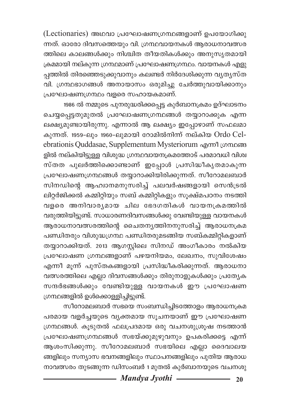(Lectionaries) അഥവാ പ്രഘോഷണഗ്രന്ഥങ്ങളാണ് ഉപയോഗിക്കു ന്നത്. ഓരോ ദിവസത്തെയും വി. ഗ്രന്ഥവായനകൾ ആരാധനാവത്സര ത്തിലെ കാലങ്ങൾക്കും നിശ്ചിത തീയതികൾക്കും അനുസൃതമായി ക്രമമായി നല്കുന്ന ഗ്രന്ഥമാണ് പ്രഘോഷണഗ്രന്ഥം. വായനകൾ എളു പ്പത്തിൽ തിരഞ്ഞെടുക്കുവാനും കലണ്ടർ നിർദേശിക്കുന്ന വൃത്യസ്ത വി. ഗ്രന്ഥഭാഗങ്ങൾ അനായാസം ഒരുമിച്ചു ചേർത്തുവായിക്കാനും പ്രഘോഷണഗ്രന്ഥം വളരെ സഹായകമാണ്.

1986 ൽ നമ്മുടെ പുനരുദ്ധരിക്കപ്പെട്ട കുർബാനക്രമം ഉദ്ഘാടനം ചെയ്യപ്പെട്ടതുമുതൽ പ്രഘോഷണഗ്രന്ഥങ്ങൾ തയ്യാറാക്കുക എന്ന ലക്ഷ്യമുണ്ടായിരുന്നു. എന്നാൽ ആ ലക്ഷ്യം ഇപ്പോഴാണ് സഫലമാ കുന്നത്. 1959-ലും 1960-ലുമായി റോമിൽനിന്ന് നല്കിയ Ordo Celebrationis Quddasae, Supplementum Mysteriorum എന്നീ ഗ്രന്ഥങ്ങ ളിൽ നല്കിയിട്ടുള്ള വിശുദ്ധ ഗ്രന്ഥവായനക്രമത്തോട് പരമാവധി വിശ്വ സ്തത പുലർത്തിക്കൊണ്ടാണ് ഇപ്പോൾ പ്രസിദ്ധീകൃതമാകുന്ന പ്രഘോഷണഗ്രന്ഥങ്ങൾ തയ്യാറാക്കിയിരിക്കുന്നത്. സീറോമലബാർ സിനഡിന്റെ ആഹ്വാനമനുസരിച്ച് പലവർഷങ്ങളായി സെൻട്രൽ ലിറ്റർജിക്കൽ കമ്മിറ്റിയും സബ് കമ്മിറ്റികളും സൂക്ഷ്മപഠനം നടത്തി വളരെ അനിവാരൃമായ ചില ഭേദഗതികൾ വായനക്രമത്തിൽ വരുത്തിയിട്ടുണ്ട്. സാധാരണദിവസങ്ങൾക്കു വേണ്ടിയുള്ള വായനകൾ ആരാധനാവത്സരത്തിന്റെ ചൈതന്യത്തിനനുസരിച്ച് ആരാധനക്രമ പണ്ഡിതരും വിശുദ്ധഗ്രന്ഥ പണ്ഡിതരുമടങ്ങിയ സബ്കമ്മിറ്റികളാണ് തയ്യാറാക്കിയത്. 2013 ആഗസ്റ്റിലെ സിനഡ് അംഗീകാരം നൽകിയ പ്രഘോഷണ ഗ്രന്ഥങ്ങളാണ് പഴയനിയമം, ലേഖനം, സുവിശേഷം എന്നീ മൂന്ന് പുസ്തകങ്ങളായി പ്രസിദ്ധീകരിക്കുന്നത്. ആരാധനാ വത്സരത്തിലെ എല്ലാ ദിവസങ്ങൾക്കും തിരുനാളുകൾക്കും പ്രത്യേക സന്ദർഭങ്ങൾക്കും വേണ്ടിയുള്ള വായനകൾ ഈ പ്രഘോഷണ ഗ്രന്ഥങ്ങളിൽ ഉൾക്കൊള്ളിച്ചിട്ടുണ്ട്.

സീറോമലബാർ സഭയെ സംബന്ധിച്ചിടത്തോളം ആരാധനക്രമ പരമായ വളർച്ചയുടെ വൃക്തമായ സൂചനയാണ് ഈ പ്രഘോഷണ ഗ്രന്ഥങ്ങൾ. കൂടുതൽ ഫലപ്രദമായ ഒരു വചനശുശ്രൂഷ നടത്താൻ പ്രഘോഷണഗ്രന്ഥങ്ങൾ സഭയ്ക്കുമുഴു<mark>വ</mark>നും ഉപകരിക്കട്ടെ എന്ന് ആശംസിക്കുന്നു. സീറോമലബാർ സഭയിലെ എല്ലാ ദൈവാലയ ങ്ങളിലും സന്യാസ ഭവനങ്ങളിലും സ്ഥാപനങ്ങളിലും പുതിയ ആരാധ നാവത്സരം തുടങ്ങുന്ന ഡിസംബർ 1 മുതൽ കുർബാനയുടെ വചനശു

> - Mandya Jyothi  $20<sup>°</sup>$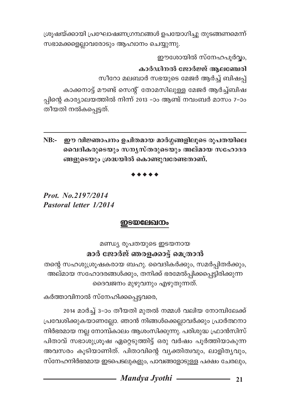ശ്രൂഷയ്ക്കായി പ്രഘോഷണഗ്രന്ഥങ്ങൾ ഉപയോഗിച്ചു തുടങ്ങണമെന്ന് സഭാമക്കളെല്ലാവരോടും ആഹ്വാനം ചെയ്യുന്നു.

ഈശോയിൽ സ്നേഹപൂർവ്വം,

# കാർഡിനൽ ജോർജ്ജ് ആലഞ്ചേരി

സീറോ മലബാർ സഭയുടെ മേജർ ആർച്ച് ബിഷപ്പ്

കാക്കനാട്ട് മൗണ്ട് സെന്റ് തോമസിലുള്ള മേജർ ആർച്ച്ബിഷ പ്പിന്റെ കാര്യാലയത്തിൽ നിന്ന് 2013 –ാം ആണ്ട് നവംബർ മാസം 7–ാം തീയതി നൽകപ്പെട്ടത്.

NB:- ഈ വിജ്ഞാപനം ഉചിതമായ മാർഗ്ഗങ്ങളിലൂടെ രൂപതയിലെ വൈദികരുടെയും സനൃസ്തരുടെയും അല്മായ സഹോദര ങ്ങളുടെയും ശ്രദ്ധയിൽ കൊണ്ടുവരേണ്ടതാണ്.

.....

Prot. No. 2197/2014 Pastoral letter 1/2014

# ഇടയലേഖനം

മണ്ഡ്യ രൂപതയുടെ ഇടയനായ മാർ ജോർജ് ഞരളക്കാട്ട് മെത്രാൻ

തന്റെ സഹശുശ്രൂഷകരായ ബഹു. വൈദികർക്കും, സമർപ്പിതർക്കും, അല്മായ സഹോദരങ്ങൾക്കും, തനിക്ക് ഭരമേൽപ്പിക്കപ്പെട്ടിരിക്കുന്ന ദൈവജനം മുഴുവനും എഴുതുന്നത്.

കർത്താവിനാൽ സ്നേഹിക്കപ്പെട്ടവരെ,

2014 മാർച്ച് 3-ാം തീയതി മുതൽ നമ്മൾ വലിയ നോമ്പിലേക്ക് പ്രവേശിക്കുകയാണല്ലോ. ഞാൻ നിങ്ങൾക്കെല്ലാവർക്കും പ്രാർത്ഥനാ നിർഭരമായ നല്ല നോമ്പ്കാലം ആശംസിക്കുന്നു. പരിശുദ്ധ ഫ്രാൻസിസ് പിതാവ് സഭാശുശ്രൂഷ ഏറ്റെടുത്തിട്ട് ഒരു വർഷം പൂർത്തിയാകുന്ന അവസരം കൂടിയാണിത്. പിതാവിന്റെ വ്യക്തിത്വവും, ലാളിത്യവും, സ്നേഹനിർഭരമായ ഇടപെടലുകളും, പാവങ്ങളോടുള്ള പക്ഷം ചേരലും,

> - Mandya Jyothi - $21$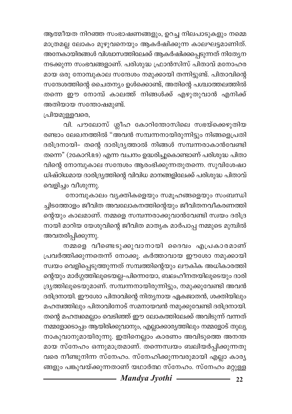ആത്മീയത നിറഞ്ഞ സംഭാഷണങ്ങളും, ഉറച്ച നിലപാടുകളും നമ്മെ മാത്രമല്ല ലോകം മുഴുവനെയും ആകർഷിക്കുന്ന കാലഘട്ടമാണിത്. അനേകായിരങ്ങൾ വിശ്വാസത്തിലേക്ക് ആകർഷിക്കപ്പെടുന്നത് നിത്യേന നടക്കുന്ന സംഭവങ്ങളാണ്. പരിശുദ്ധ ഫ്രാൻസിസ് പിതാവ് മനോഹര മായ ഒരു നോമ്പുകാല സന്ദേശം നമുക്കായി തന്നിട്ടുണ്ട്. പിത<mark>ാവി</mark>ന്റെ സന്ദേശത്തിന്റെ ചൈതന്യം ഉൾക്കൊണ്ട്, അതിന്റെ പശ്ചാത്തലത്തിൽ തന്നെ ഈ നോമ്പ് കാലത്ത് നിങ്ങൾക്ക് എഴുതുവാൻ എനിക്ക് അതിയായ സന്തോഷമുണ്ട്.

പ്രിയമുള്ളവരെ,

വി. പൗലോസ് ശ്ലീഹ കോറിന്തോസിലെ സഭയ്ക്കെഴുതിയ രണ്ടാം ലേഖനത്തിൽ "അവൻ സമ്പന്നനായിരുന്നിട്ടും നിങ്ങളെപ്രതി ദരിദ്രനായി- തന്റെ ദാരിദ്ര്യത്താൽ നിങ്ങൾ സമ്പന്നരാകാൻവേണ്ടി തന്നെ" (2കോറി.8:9) എന്ന വചനം ഉദ്ധരിച്ചുകൊണ്ടാണ് പരിശുദ്ധ പിതാ വിന്റെ നോമ്പുകാല സന്ദേശം ആരംഭിക്കുന്നതുതന്നെ. സുവിശേഷാ ധിഷ്ഠിധമായ ദാരിദ്ര്യത്തിന്റെ വിവിധ മാനങ്ങളിലേക്ക് പരിശുദ്ധ പിതാവ് വെളിച്ചം വീശുന്നു.

നോമ്പുകാലം വ്യക്തികളെയും സമൂഹങ്ങളെയും സംബന്ധി ച്ചിടത്തോളം ജീവിത അവലോകനത്തിന്റെയും ജീവിതനവീകരണത്തി ന്റെയും കാലമാണ്. നമ്മളെ സമ്പന്നരാക്കുവാൻവേണ്ടി സ്വയം ദരിദ്ര നായി മാറിയ യേശുവിന്റെ ജീവിത മാതൃക മാർപാപ്പ നമ്മുടെ മുമ്പിൽ അവതരിപ്പിക്കുന്നു.

നമ്മളെ വീണ്ടെടുക്കുവാനായി ദൈവം എപ്രകാരമാണ് പ്രവർത്തിക്കുന്നതെന്ന് നോക്കൂ. കർത്താവായ ഈശോ നമുക്കായി സ്വയം വെളിപ്പെടുത്തുന്നത് സമ്പത്തിന്റെയും ലൗകിക അധികാരത്തി ന്റെയും മാർഗ്ഗത്തിലൂടെയല്ല-പിന്നെയോ, ബലഹീനതയിലൂടെയും ദാരി ദ്ര്യത്തിലൂടെയുമാണ്. സമ്പന്നനായിരുന്നിട്ടും, നമുക്കുവേണ്ടി അവൻ ദരിദ്രനായി. ഈശോ പിതാവിന്റെ നിത്യനായ ഏകജാതൻ, ശക്തിയിലും മഹത്വത്തിലും പിതാവിനോട് സമനായവൻ നമുക്കുവേണ്ടി ദരിദ്രനായി. തന്റെ മഹത്വമെല്ലാം വെടിഞ്ഞ് ഈ ലോകത്തിലേക്ക് അവിടുന്ന് വന്നത് നമ്മളോടൊപ്പം ആയിരിക്കുവാനും, എല്ലാക്കാര്യത്തിലും നമ്മളോട് തുല്യ നാകുവാനുമായിരുന്നു. ഇതിനെല്ലാം കാരണം അവിടുത്തെ അനന്ത മായ സ്നേഹം ഒന്നുമാത്രമാണ്. തന്നെസ്വയം ബലിയർപ്പിക്കുന്നതു വരെ നീണ്ടുനിന്ന സ്നേഹം. സ്നേഹിക്കുന്നവരുമായി എല്ലാ കാര്യ ങ്ങളും പങ്കുവയ്ക്കുന്നതാണ് യഥാർത്ഥ സ്നേഹം. സ്നേഹം മ<u>റ്റുള്ള</u>

> — Mandya Jyothi —  $22$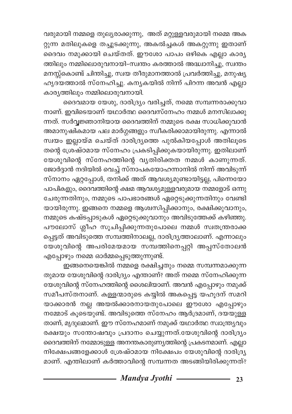വരുമായി നമ്മളെ തുല്യരാക്കുന്നു, അത് മറ്റുള്ളവരുമായി നമ്മെ അക റ്റുന്ന മതിലുകളെ തച്ചുടക്കുന്നു, അകൽച്ചകൾ അകറ്റുന്നു ഇതാണ് ദൈവം നമുക്കായി ചെയ്തത്. ഈശോ പാപം ഒഴികെ എല്ലാ കാര്യ ത്തിലും നമ്മിലൊരുവനായി–സ്വന്തം കരത്താൽ അദ്ധ്വാനിച്ചു, സ്വന്തം മനസ്സ്കൊണ്ട് ചിന്തിച്ചു, സ്വയ തീരുമാനത്താൽ പ്രവർത്തിച്ചു, മനുഷ്യ ഹൃദയത്താൽ സ്നേഹിച്ചു. കന്യകയിൽ നിന്ന് പിറന്ന അവൻ എല്ലാ കാര്യത്തിലും നമ്മിലൊരുവനായി.

ദൈവമായ യേശു, ദാരിദ്ര്യം വരിച്ചത്, നമ്മെ സമ്പന്നരാക്കുവാ നാണ്. ഇവിടെയാണ് യഥാർത്ഥ ദൈവസ്നേഹം നമ്മൾ മനസിലാക്കു ന്നത്. സർ<mark>വ്വ</mark>ജ്ഞാനിയായ ദൈവത്തിന് നമ്മുടെ രക്ഷ സാധിക്കുവാൻ അമാനുഷികമായ പല മാർഗ്ഗങ്ങളും സ്വീകരിക്കാമായിരുന്നു. എന്നാൽ സ്വയം ഇല്ലായ്മ ചെയ്ത് ദാരിദ്ര്യത്തെ പുൽകിയപ്പോൾ അതിലൂടെ തന്റെ ശ്രേഷ്ഠമായ സ്നേഹം പ്രകടിപ്പിക്കുകയായിരുന്നു. ഇതിലാണ് യേശുവിന്റെ സ്നേഹത്തിന്റെ വ്യതിരിക്തത നമ്മൾ കാണുന്നത്. ജോർദ്ദാൻ നദിയിൽ വെച്ച് സ്നാപകയോഹന്നാനിൽ നിന്ന് അവിടുന്ന് സ്നാനം ഏറ്റപ്പോൾ, തനിക്ക് അത് ആവശ്യമുണ്ടായിട്ടല്ല, പിന്നെയോ പാപികളും, ദൈവത്തിന്റെ ക്ഷമ ആവശ്യമുള്ളവരുമായ നമ്മളോട് ഒന്നു ചേരുന്നതിനും, നമ്മുടെ പാപഭാരങ്ങൾ ഏറ്റെടുക്കുന്നതിനും വേണ്ടി യായിരുന്നു. ഇങ്ങനെ നമ്മളെ ആശ്വസിപ്പിക്കാനും, രക്ഷിക്കുവാനും, നമ്മുടെ കഷ്ടപ്പാടുകൾ ഏറ്റെടുക്കുവാനും അവിടുത്തേക്ക് കഴിഞ്ഞു. പൗലോസ് ശ്ലീഹ സൂചിപ്പിക്കുന്നതുപോലെ നമ്മൾ സ്വതന്ത്രരാക്ക പ്പെട്ടത് അവിടുത്തെ സമ്പത്തിനാലല്ല, ദാരിദ്ര്യത്താലാണ്. എന്നാലും യേശുവിന്റെ അപരിമേയമായ സമ്പത്തിനെപ്പറ്റി അപ്പസ്തോലൻ എപ്പോഴും നമ്മെ ഓർമ്മപ്പെടുത്തുന്നുണ്ട്.

ഇങ്ങനെയെങ്കിൽ നമ്മളെ രക്ഷിച്ചതും നമ്മെ സമ്പന്നമാക്കുന്ന തുമായ യേശുവിന്റെ ദാരിദ്ര്യം എന്താണ്? അത് നമ്മെ സ്നേഹിക്കുന്ന യേശുവിന്റെ സ്നേഹത്തിന്റെ ശൈലിയാണ്. അവൻ എപ്പോഴും നമുക്ക് സമീപസ്തനാണ്. കള്ളന്മാരുടെ കയ്യിൽ അകപ്പെട്ട യഹൂദന് സമറി യാക്കാരൻ നല്ല അയൽക്കാരനായതുപോലെ ഈശോ എപ്പോഴും നമ്മോട് കൂടെയുണ്ട്. അവിടുത്തെ സ്നേഹം ആർദ്രമാണ്, ദയയുള്ള താണ്, മൃദുലമാണ്. ഈ സ്നേഹമാണ് നമുക്ക് യഥാർത്ഥ സ്വാന്ത്യവും രക്ഷയും സന്തോഷവും പ്രദാനം ചെയ്യുന്നത്.യേശുവിന്റെ ദാരിദ്ര്യം ദൈവത്തിന് നമ്മോടുള്ള അനന്തകാരുണ്യത്തിന്റെ പ്രകടനമാണ്. എല്ലാ നിക്ഷേപങ്ങളേക്കാൾ ശ്രേഷ്ഠമായ നിക്ഷേപം യേശുവിന്റെ ദാരിദ്ര്യ മാണ്. എന്തിലാണ് കർത്താവിന്റെ സമ്പന്നത അടങ്ങിയിരിക്കുന്നത്?

Mandya Jyothi -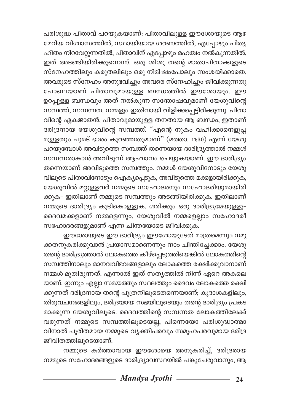പരിശുദ്ധ പിതാവ് പറയുകയാണ്: പിതാവിലുള്ള ഈശോയുടെ ആഴ മേറിയ വിശ്വാസത്തിൽ, സ്ഥായിയായ ശരണത്തിൽ, എപ്പോഴും പിതൃ .<br>ഹിതം നിറവേറ്റുന്നതിൽ, പിതാവിന് എപ്പോഴും മഹത്വം നൽകുന്നതിൽ, ഇത് അടങ്ങിയിരിക്കുന്നെന്ന്. ഒരു ശിശു തന്റെ മാതാപിതാക്കളുടെ സ്നേഹത്തിലും കരുതലിലും ഒരു നിമിഷംപോലും സംശയിക്കാതെ, അവരുടെ സ്നേഹം അനുഭവിച്ചും അവരെ സ്നേഹിച്ചും ജീവിക്കുന്നതു പോലെയാണ് പിതാവുമായുള്ള ബന്ധത്തിൽ ഈശോയും. ഈ ഉറപ്പുള്ള ബന്ധവും അത് നൽകുന്ന സന്തോഷവുമാണ് യേശുവിന്റെ സമ്പത്ത്, സമ്പന്നത. നമ്മളും ഇതിനായി വിളിക്കപ്പെട്ടിരിക്കുന്നു. പിതാ വിന്റെ ഏകജാതൻ, പിതാവുമായുള്ള തനതായ ആ ബന്ധം, ഇതാണ് ദരിദ്രനായ യേശുവിന്റെ സമ്പത്ത്. "എന്റെ നുകം വഹിക്കാനെളുപ്പ മുള്ളതും ചുമട് ഭാരം കുറഞ്ഞതുമാണ്" (മത്താ. 11:30) എന്ന് യേശു പറയുമ്പോൾ അവിടുത്തെ സമ്പത്ത് തന്നെയായ ദാരിദ്ര്യത്താൽ നമ്മൾ സമ്പന്നരാകാൻ അവിടുന്ന് ആഹ്വാനം ചെയ്യുകയാണ്. ഈ ദാരിദ്ര്യം തന്നെയാണ് അവിടുത്തെ സമ്പത്തും. നമ്മൾ യേശുവിനോടും യേശു വിലൂടെ പിതാവിനോടും ഐക്യപ്പെടുക, അവിടുത്തെ മക്കളായിരിക്കുക, യേശുവിൽ മറ്റുള്ളവർ നമ്മുടെ സഹോദരനും സഹോദരിയുമായിരി ക്കുക– ഇതിലാണ് നമ്മുടെ സമ്പത്തും അടങ്ങിയിരിക്കുക. ഇതിലാണ് നമ്മുടെ ദാരിദ്ര്യം കുടികൊള്ളുക. ശരിക്കും ഒരു ദാരിദ്ര്യമേയുള്ളു– ദൈവമക്കളാണ് നമ്മളെന്നും, യേശുവിൽ നമ്മളെല്ലാം സഹോദരീ ...<br>സഹോദരങ്ങളുമാണ് എന്ന ചിന്തയോടെ ജീവിക്കുക.

ഈശോയുടെ ഈ ദാരിദ്ര്യം ഈശോയുടേത് മാത്രമെന്നും നമു ക്കതനുകരിക്കുവാൻ പ്രയാസമാണെന്നും നാം ചിന്തിച്ചേക്കാം. യേശു തന്റെ ദാരിദ്ര്യത്താൽ ലോകത്തെ കീഴ്പ്പെടുത്തിയെങ്കിൽ ലോകത്തിന്റെ സമ്പത്തിനാലും മാനവവിഭവങ്ങളാലും ലോകത്തെ രക്ഷിക്കുവാനാണ് നമ്മൾ മുതിരുന്നത്. എന്നാൽ ഇത് സതൃത്തിൽ നിന്ന് ഏറെ അകലെ യാണ്. ഇന്നും എല്ലാ സമയത്തും സ്ഥലത്തും ദൈവം ലോകത്തെ രക്ഷി ക്കുന്നത് ദരിദ്രനായ തന്റെ പുത്രനിലൂടെതന്നെയാണ്; കൂദാശകളിലും, തിരുവചനങ്ങളിലും, ദരിദ്രയായ സഭയിലൂടെയും തന്റെ ദാരിദ്ര്യം പ്രകട മാക്കുന്ന യേശുവിലൂടെ. ദൈവത്തിന്റെ സമ്പന്നത ലോകത്തിലേക്ക് വരുന്നത് നമ്മുടെ സമ്പത്തിലൂടെയല്ല, പിന്നെയോ പരിശുദ്ധാത്മാ വിനാൽ പൂരിതമായ നമ്മുടെ വ്യക്തിപരവും സമൂഹപരവുമായ ദരിദ്ര ജീവിതത്തിലൂടെയാണ്.

നമ്മുടെ കർത്താവായ ഈശോയെ അനുകരിച്ച്, ദരിദ്രരായ നമ്മുടെ സഹോദരങ്ങളുടെ ദാരിദ്ര്യാവസ്ഥയിൽ പങ്കുചേരുവാനും, ആ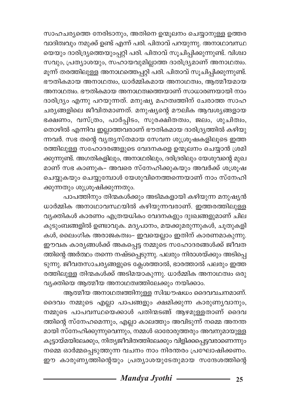സാഹചര്യത്തെ നേരിടാനും, അതിനെ ഉന്മൂലനം ചെയ്യാനുള്ള ഉത്തര വാദിത്വവും നമുക്ക് ഉണ്ട് എന്ന് പരി. പിതാവ് പറയുന്നു. അനാഥാവസ്ഥ യെയും ദാരിദ്ര്യത്തെയുംപ്പറ്റി പരി. പിതാവ് സൂചിപ്പിക്കുന്നുണ്ട്. വിശ്വാ സവും, പ്രത്യാശയും, സഹായവുമില്ലാത്ത ദാരിദ്ര്യമാണ് അനാഥത്വം. മൂന്ന് തരത്തിലുള്ള അനാഥത്തെപ്പറ്റി പരി. പിതാവ് സൂചിപ്പിക്കുന്നുണ്ട്. ഭൗതികമായ അനാഥത്വം, ധാർമ്മികമായ അനാഥത്വം, ആത്മീയമായ അനാഥത്വം. ഭൗതികമായ അനാഥത്വത്തെയാണ് സാധാരണയായി നാം ദാരിദ്ര്യം എന്നു പറയുന്നത്. മനുഷ്യ മഹത്വത്തിന് ചേരാത്ത സാഹ ചര്യങ്ങളിലെ ജീവിതമാണത്. മനുഷ്യന്റെ മൗലിക ആവശ്യങ്ങളായ ഭക്ഷണം, വസ്ത്രം, പാർപ്പിടം, സുരക്ഷിതത്വം, ജലം, ശുചിത്വം, തൊഴിൽ എന്നിവ ഇല്ലാത്തവരാണ് ഭൗതികമായ ദാരിദ്ര്യത്തിൽ കഴിയു ന്നവർ. സഭ തന്റെ വ്യത്യസ്തമായ സേവന ശുശ്രൂഷകളിലൂടെ ഇത്ത രത്തിലുള്ള സഹോദരങ്ങളുടെ വേദനകളെ ഉന്മൂലനം ചെയ്യാൻ ശ്രമി ക്കുന്നുണ്ട്. അഗതികളിലും, അനാഥരിലും, ദരിദ്രരിലും യേശുവന്റെ മുഖ മാണ് സഭ കാണുക- അവരെ സ്നേഹിക്കുകയും അവർക്ക് ശശ്രൂഷ ചെയ്യുകയും ചെയ്യുമ്പോൾ യേശുവിനെത്തന്നെയാണ് നാം സ്നേഹി ക്കുന്നതും ശുശ്രുഷിക്കുന്നതും.

പാപത്തിനും തിന്മകൾക്കും അടിമകളായി കഴിയുന്ന മനുഷ്യൻ ധാർമ്മിക അനാഥാവസ്ഥയിൽ കഴിയുന്നവരാണ്. ഇത്തരത്തിലുള്ള വ്യക്തികൾ കാരണം എത്രയധികം വേദനകളും ദുഃഖങ്ങളുമാണ് ചില കുടുംബങ്ങളിൽ ഉണ്ടാവുക. മദ്യപാനം, മയക്കുമരുന്നുകൾ, ചൂതുകളി കൾ, ലൈംഗിക അരാജകത്വം– ഇവയെല്ലാം ഇതിന് കാരണമാകുന്നു. ഈവക കാര്യങ്ങൾക്ക് അകപ്പെട്ട നമ്മുടെ സഹോദരങ്ങൾക്ക് ജീവത ത്തിന്റെ അർത്ഥം തന്നെ നഷ്ടപ്പെടുന്നു. പലരും നിരാശയ്ക്കും അടിപ്പെ ടുന്നു. ജീവതസാചര്യങ്ങളുടെ ക്ലേശത്താൽ, ഭാരത്താൽ പലരും ഇത്ത രത്തിലുള്ള തിന്മകൾക്ക് അടിമയാകുന്നു. ധാർമ്മിക അനാഥത്വം ഒരു വ്യക്തിയെ ആത്മീയ അനാഥത്വത്തിലേക്കും നയിക്കാം.

ആത്മീയ അനാഥത്വത്തിനുള്ള സിദ്ധൗഷധം ദൈവവചനമാണ്. ദൈവം നമ്മുടെ എല്ലാ പാപങ്ങളും ക്ഷമിക്കുന്ന കാരുണ്യവാനും, .<br>നമ്മുടെ പാപവസ്ഥയെക്കാൾ പതിന്മടങ്ങ് ആഴമുള്ളതാണ് ദൈവ ത്തിന്റെ സ്നേഹമെന്നും, എല്ലാ കാലത്തും അവിടുന്ന് നമ്മെ അനന്ത മായി സ്നേഹിക്കുന്നുവെന്നും, നമ്മൾ ഓരോരുത്തരും അവനുമായുള്ള കൂട്ടായ്മയിലേക്കും, നിത്യജീവിതത്തിലേക്കും വിളിക്കപ്പെട്ടവരാണെന്നു<mark>ം</mark> നമ്മെ ഓർമ്മപ്പെടുത്തുന്ന വചനം നാം നിരന്തരം പ്രഘോഷിക്കണം. ഈ കാരുണ്യത്തിന്റെയും പ്രത്യാശയുടേതുമായ സന്ദേശത്തിന്റെ

Mandya Jyothi -

25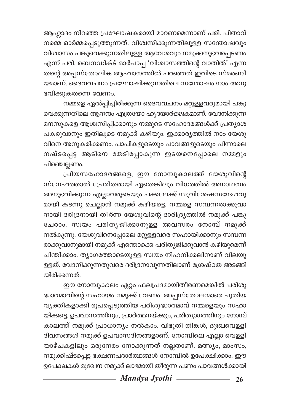ആഹ്ലാദം നിറഞ്ഞ പ്രഘോഷകരായി മാറണമെന്നാണ് പരി. പിതാവ് നമ്മെ ഓർമ്മപ്പെടുത്തുന്നത്. വിശ്വസിക്കുന്നതിലുള്ള സന്തോഷവും വിശ്വാസം പങ്കുവെക്കുന്നതിലുള്ള ആവേശവും നമുക്കനുഭവപ്പെടണം എന്ന് പരി. ബെനഡിക്ട് മാർപാപ്പ 'വിശ്വാസത്തിന്റെ വാതിൽ<sup>'</sup> എന്ന തന്റെ അപ്പസ്തോലിക ആഹ്വാനത്തിൽ പറഞ്ഞത് ഇവിടെ സ്മരണീ യമാണ്. ദൈവവചനം പ്രഘോഷിക്കുന്നതിലെ സന്തോഷം നാം അനു ഭവിക്കുകതന്നെ വേണ<mark>ം</mark>.

നമ്മളെ ഏൽപ്പിച്ചിരിക്കുന്ന ദൈവവചനം മറ്റുള്ളവരുമായി പങ്കു <mark>വെ</mark>ക്കുന്നതിലെ ആനന്ദം എത്രയോ ഹൃദയാർജ്ജകമാണ്. വേദനിക്കുന്ന മനസുകളെ ആശ്വസിപ്പിക്കാനും നമ്മുടെ സഹോദരങ്ങൾക്ക് പ്രത്യാശ പകരുവാനും ഇതിലൂടെ നമുക്ക് കഴിയും. ഇക്കാര്യത്തിൽ നാം യേശു വിനെ അനുകരിക്കണം. പാപികളുടെയും പാവങ്ങളുടെയും പിന്നാലെ നഷ്ടപ്പെട്ട ആടിനെ തേടിപ്പോകുന്ന ഇടയനെപ്പോലെ നമ്മളു<mark>ം</mark> പിഞ്ചെല്ലണം.

പ്രിയസഹോദരങ്ങളെ, ഈ നോമ്പുകാലത്ത് യേശുവിന്റെ സ്നേഹത്താൽ പ്രേരിതരായി ഏതെങ്കിലും വിധത്തിൽ അനാഥത്വം അനുഭവിക്കുന്ന എല്ലാവരുടെയും പക്കലേക്ക് സുവിശേഷസന്ദേശവു മായി കടന്നു ചെല്ലാൻ നമുക്ക് കഴിയട്ടെ. നമ്മളെ സമ്പന്നരാക്കു<mark>വാ</mark> നായി ദരിദ്രനായി തീർന്ന യേശുവിന്റെ ദാരിദ്ര്യത്തിൽ നമുക്ക് പങ്കു ചേരാം. സ്വയം പരിതൃജിക്കാനുള്ള അവസരം നോമ്പ് നമുക്ക് നൽകുന്നു. യേശുവിനെപ്പോലെ മറ്റുള്ളവരെ സഹായിക്കാനും സമ്പന്ന രാക്കുവാനുമായി നമുക്ക് എന്തൊക്കെ പരിത്യജിക്കുവാൻ കഴിയുമെന്ന് ചിന്തിക്കാം. ത്യാഗത്തോടെയുള്ള സ്വയം നിഹനിക്കലിനാണ് വിലയു ള്ളത്. വേദനിക്കുന്നതുവരെ ദരിദ്രനാവുന്നതിലാണ് ശ്രേഷ്ഠത അടങ്ങി യിരിക്കന്നത്.

ഈ നോമ്പുകാലം ഏറ്റം ഫലപ്രദമായിതീരണമെങ്കിൽ പരിശു ദ്ധാത്മാവിന്റെ സഹായം നമുക്ക് വേണം. അപ്പസ്തോലന്മാരെ പുതിയ വ്യക്തികളാക്കി രൂപപ്പെടുത്തിയ പരിശുദ്ധാത്മാവ് നമ്മളെയും സഹാ യിക്കട്ടെ. ഉപവാസത്തിനും, പ്രാർത്ഥനയ്ക്കും, പരിത്യാഗത്തിനും നോമ്പ് കാലത്ത് നമുക്ക് പ്രാധാന്യം നൽകാം. വിഭൂതി തിങ്കൾ, ദുഃഖവെള്ളി ദിവസങ്ങൾ നമുക്ക് ഉപവാസദിനങ്ങളാണ്. നോമ്പിലെ എല്ലാ വെള്ളി യാഴ്ചകളിലും ഒരുനേരം നോക്കുന്നത് നല്ലതാണ്. മത്സ്യം, മാംസം, നമുക്കിഷ്ടപ്പെട്ട ഭക്ഷണപദാർത്ഥങ്ങൾ നോമ്പിൽ ഉപേക്ഷിക്കാം. ഈ ഉപേക്ഷകൾ മുഖേന നമുക്ക് ലാഭമായി തീരുന്ന പണം പാവങ്ങൾക്കായി

> - Mandya Jyothi -26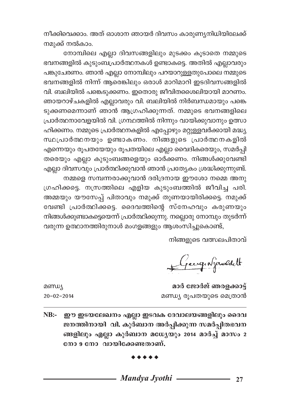നീക്കിവെക്കാം. അത് ഓശാന ഞായർ ദിവസം കാരുണ്യനിധിയിലേക്ക് നമുക്ക് നൽകാം.

നോമ്പിലെ എല്ലാ ദിവസങ്ങളിലും മുടക്കം കൂടാതെ നമ്മുടെ ഭവനങ്ങളിൽ കുടുംബപ്രാർത്ഥനകൾ ഉണ്ടാകട്ടെ. അതിൽ എല്ലാവരും പങ്കുചേരണം. ഞാൻ എല്ലാ നോമ്പിലും പറയാറുള്ളതുപോലെ നമ്മുടെ ഭവനങ്ങളിൽ നിന്ന് ആരെങ്കിലും ഒരാൾ മാറിമാറി ഇടദിവസങ്ങളിൽ വി. ബലിയിൽ പങ്കെടുക്കണം. ഇതൊരു ജീവിതശൈലിയായി മാറണം. .<br>ഞായറാഴ്ചകളിൽ എല്ലാവരും വി. ബലിയിൽ നിർബന്ധമായും പങ്കെ ടുക്കണമെന്നാണ് ഞാൻ ആഗ്രഹിക്കുന്നത്. നമ്മുടെ ഭവനങ്ങളിലെ പ്രാർത്ഥനാവേളയിൽ വി. ഗ്രന്ഥത്തിൽ നിന്നും വായിക്കുവാനും ഉത്സാ ഹിക്കണം. നമ്മുടെ പ്രാർത്ഥനകളിൽ എപ്പോഴും മറ്റുള്ളവർക്കായി മദ്ധ്യ സ്ഥപ്രാർത്ഥനയും ഉണ്ടാകണം. നിങ്ങളുടെ പ്രാർത്ഥനകളിൽ എന്നെയും രൂപതയേയും രൂപതയിലെ എല്ലാ വൈദികരെയും, സമർപ്പി തരെയും എല്ലാ കുടുംബങ്ങളെയും ഓർക്കണം. നിങ്ങൾക്കുവേണ്ടി എല്ലാ ദിവസവും പ്രാർത്ഥിക്കുവാൻ ഞാൻ പ്രത്യേകം ശ്രദ്ധിക്കുന്നുണ്ട്.

നമ്മളെ സമ്പന്നരാക്കുവാൻ ദരിദ്രനായ ഈശോ നമ്മെ അനു ഗ്രഹിക്കട്ടെ. നസ്രത്തിലെ എളിയ കുടുംബത്തിൽ ജീവിച്ച പരി. അമ്മയും യൗസേപ്പ് പിതാവും നമുക്ക് തുണയായിരിക്കട്ടെ. നമുക്ക് വേണ്ടി പ്രാർത്ഥിക്കട്ടെ. ദൈവത്തിന്റെ സ്നേഹവും കരുണയും നിങ്ങൾക്കുണ്ടാകട്ടെയെന്ന് പ്രാർത്ഥിക്കുന്നു. നല്ലൊരു നോമ്പും തുടർന്ന് വരുന്ന ഉത്ഥാനത്തിരുനാൾ മംഗളങ്ങളും ആശംസിച്ചുകൊണ്ട്,

നിങ്ങളുടെ വത്സലപിതാവ്

George Nandelett

മാർ ജോർജ് ഞരളക്കാട്ട് മണ്ഡ്യ രൂപതയുടെ മെത്രാൻ

മണ്ഡ്യ  $20 - 02 - 2014$ 

NB:- ഈ ഇടയലേഖനം എല്ലാ ഇടവക ദേവാലയങ്ങളിലും ദൈവ ജനത്തിനായി വി. കുർബാന അർപ്പിക്കുന്ന സമർപ്പിതഭവന ങ്ങളിലും എല്ലാ കുർബാന മധ്യേയും 2014 മാർച്ച് മാസം 2 നോ 9 നോ വായിക്കേണ്ടതാണ്.

 $+ + + + +$ 

Mandya Jyothi - $27$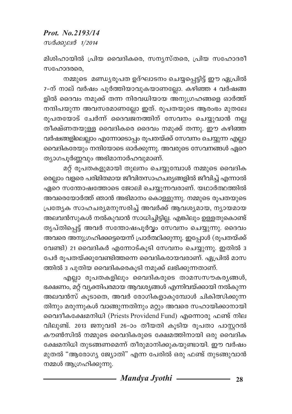## *Prot. No.2193/14 സർക്കുലർ 1/2014*

മിശിഹായിൽ പ്രിയ വൈദികരെ, സന്യസ്തരെ, പ്രിയ സഹോദരീ സഹോദരരെ.

നമ്മുടെ മണ്ഡ്യരൂപത ഉദ്ഘാടനം ചെയ്യപ്പെട്ടിട്ട് ഈ ഏപ്രിൽ 7-ന് നാല് വർഷം പൂർത്തിയാവുകയാണല്ലോ. കഴിഞ്ഞ 4 വർഷങ്ങ ളിൽ ദൈവം നമുക്ക് തന്ന നിരവധിയായ അനുഗ്രഹങ്ങളെ ഓർത്ത് നന്ദിപയുന്ന അവസരമാണല്ലോ ഇത്. രൂപതയുടെ ആരംഭം മുതലേ രൂപതയോട് ചേർന്ന് ദൈവജനത്തിന് സേവനം ചെയ്യുവാൻ നല്ല തീക്ഷ്ണതയുള്ള വൈദികരെ ദൈവം നമുക്ക് തന്നു. ഈ കഴിഞ്ഞ വർഷങ്ങളിലെല്ലാം എന്നോടൊപ്പം രൂപതയ്ക്ക് സേവനം ചെയ്യുന്ന എല്ലാ വൈദികരേയും നന്ദിയോടെ ഓർക്കുന്നു. അവരുടെ സേവനങ്ങൾ ഏറെ ത്യാഗപൂർണ്ണവും അഭിമാനാർഹവുമാണ്.

മറ്റ് രൂപതകളുമായി തുലനം ചെയ്യുമ്പോൾ നമ്മുടെ വൈദിക രെല്ലാം വളരെ പരിമിതമായ ജീവിതസാഹചര്യങ്ങളിൽ ജീവിച്ച് എന്നാൽ ഏറെ സന്തോഷത്തോടെ ജോലി ചെയ്യുന്നവരാണ്. യഥാർത്ഥത്തിൽ അവരെയോർത്ത് ഞാൻ അഭിമാനം കൊള്ളുന്നു. നമ്മുടെ രൂപതയുടെ പ്രത്യേക സാഹചര്യമനുസരിച്ച് <mark>അവ</mark>ർക്ക് ആവശ്യമായ, ന്യായമായ അലവൻസുകൾ നൽകു<mark>വാ</mark>ൻ സാധിച്ചിട്ടില്ല. എങ്കിലും ഉള്ളതുകൊണ്ട് തൃപ്തിപ്പെട്ട് അവർ സന്തോഷപൂർവ്വം സേവനം ചെയ്യുന്നു. ദൈവം അവരെ അനുഗ്രഹിക്കട്ടെയെന്ന് പ്രാർത്ഥിക്കുന്നു. ഇപ്പോൾ (രൂപതയ്ക്ക് വേണ്ടി) 21 വൈദികർ എന്നോട്കൂടി സേവനം ചെയ്യുന്നു. ഇതിൽ 3 പേർ രൂപതയ്ക്കുവേണ്ടിത്തന്നെ വൈദികരായവരാണ്. ഏപ്രിൽ മാസ ത്തിൽ 3 പുതിയ വൈദികരെകൂടി നമുക്ക് ലഭിക്കുന്നതാണ്.

എല്ലാ രൂപതകളിലും വൈദികരുടെ താമസസൗകര്യങ്ങൾ, ഭക്ഷണം, മറ്റ് വൃക്തിപരമായ ആവശ്യങ്ങൾ എന്നിവയ്ക്കായി നൽകുന്ന അലവൻസ് കൂടാതെ, അവർ രോഗികളാകുമ്പോൾ ചികിത്സിക്കുന്ന തിനും മരുന്നുകൾ വാങ്ങുന്നതിനും മറ്റും അവരെ സഹായിക്കാനായി വൈദീകക്ഷേമനിധി (Priests Providend Fund) എന്നൊരു ഫണ്ട് നില വിലുണ്ട്. 2013 ജനുവരി 26-ാം തീയതി കൂടിയ രൂപതാ പാസ്റ്ററൽ കൗൺസിൽ നമ്മുടെ വൈദികരുടെ ക്ഷേമത്തിനായി ഒരു <mark>വൈദി</mark>ക ക്ഷേമനിധി തുടങ്ങണമെന്ന് തീരുമാനിക്കുകയുണ്ടായി. ഈ വർഷ<mark>ം</mark> മുതൽ "ആരോഗ്യ ജ്യോതി" എന്ന പേരിൽ ഒരു ഫണ്ട് തുടങ്ങു<mark>വാ</mark>ൻ നമ്മൾ ആഗ്രഹിക്കുന്നു.

*Mandya Jyothi* **28**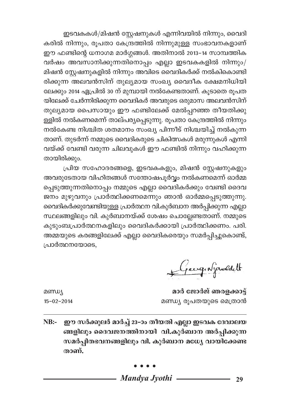ഇടവകകൾ/മിഷൻ സ്റ്റേഷനുകൾ എന്നിവയിൽ നിന്നും, വൈദി കരിൽ നിന്നും, രൂപതാ കേന്ദ്രത്തിൽ നിന്നുമുള്ള സംഭാവനകളാണ് ഈ ഫണ്ടിന്റെ ധനാഗമ മാർഗ്ഗങ്ങൾ. അതിനാൽ 2013–14 സാമ്പത്തിക വർഷം അവസാനിക്കുന്നതിനൊപ്പം എല്ലാ ഇടവകകളിൽ നിന്നും $/$ മിഷൻ സ്റ്റേഷനുകളിൽ നിന്നും അവിടെ വൈദികർക്ക് നൽകികൊണ്ടി രിക്കുന്ന അലവൻസിന് തുല്യമായ സംഖ്യ വൈദീക ക്ഷേമനിധിയി ലേക്കും 2014 ഏപ്രിൽ 30 ന് മുമ്പായി നൽകേണ്ടതാണ്. കൂടാതെ രൂപത യിലേക്ക് ചേർന്നിരിക്കുന്ന വൈദികർ അവരുടെ ഒരുമാസ അലവൻസിന് തുലൃമായ പൈസായും ഈ ഫണ്ടിലേക്ക് മേൽപ്പറഞ്ഞ തീയതിക്കു ള്ളിൽ നൽകണമെന്ന് താല്പര്യപ്പെടുന്നു. രൂപതാ കേന്ദ്രത്തിൽ നിന്നും നൽകേണ്ട നിശ്ചിത ശതമാനം സംഖ്യ പിന്നീട് നിശ്ചയിച്ച് നൽകുന്ന താണ്. തുടർന്ന് നമ്മുടെ വൈദികരുടെ ചികിത്സകൾ മരുന്നുകൾ എന്നി വയ്ക്ക് വേണ്ടി വരുന്ന ചിലവുകൾ ഈ ഫണ്ടിൽ നിന്നു<mark>ം</mark> വഹിക്കുന്ന തായിരിക്കും.

 ${[n]$ യ സഹോദരങ്ങളെ, ഇടവകകളും, മിഷൻ സ്റ്റേഷനുകളും അവരുടേതായ വിഹിതങ്ങൾ സന്തോഷപൂർവ്വം നൽകണമെന്ന് ഓർമ്മ പ്പെടുത്തുന്നതിനൊപ്പം നമ്മുടെ എല്ലാ വൈദികർക്കും വേണ്ടി ദൈവ ജനം മുഴുവനും പ്രാർത്ഥിക്കണമെന്നും ഞാൻ ഓർമ്മപ്പെടുത്തുന്നു. വൈദികർക്കുവേണ്ടിയുള്ള പ്രാർത്ഥന വി.കുർബാന അർപ്പിക്കുന്ന എല്ലാ സ്ഥലങ്ങളിലും വി. കുർബാനയ്ക്ക് ശേഷം ചൊല്ലേണ്ടതാണ്. നമ്മുടെ കുടുംബപ്രാർത്ഥനകളിലും വൈദികർക്കായി പ്രാർത്ഥിക്കണം. പരി. അമ്മയുടെ കരങ്ങളിലേക്ക് എല്ലാ വൈദികരെയും സമർപ്പിച്ചുകൊണ്ട്, പ്രാർത്ഥനയോടെ,

Georgenforddelt

മണ്<u>ധ്യ</u> മാർ ജോർജ് ഞരളക്കാട്ട് 15˛02˛2014 afiy cq]-X-bpsS sa{Xm≥

NB:- ഈ സർക്കുലർ മാർച്ച് 23–ാം തീയതി എല്ലാ ഇടവക ദേവാലയ ങ്ങളിലും ദൈവജനത്തിനായി വി.കുർബാന അർപ്പിക്കുന്ന സമർപ്പിതഭവനങ്ങളിലും വി. കുർബാന മധ്യേ വായിക്കേണ്ട <u>താണ്.</u>

#### ○○○○

*Mandya Jyothi* **29**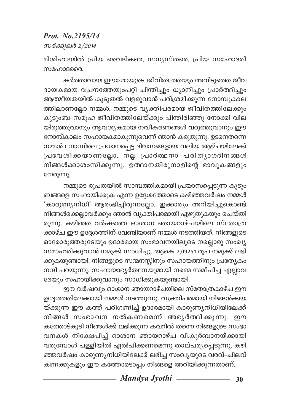# *Prot. No.2195/14*

# *സർക്കുലർ 2/2014*

മിശിഹായിൽ പ്രിയ വൈദികരെ, സന്യസ്തരെ, പ്രിയ സഹോദരീ സഹോദരരെ.

കർത്താവായ ഈശോയുടെ ജീവിതത്തേയും അവിടുത്തെ ജീവ ദായകമായ വചനത്തേയുംപറ്റി ചിന്തിച്ചും ധ്യാനിച്ചും പ്രാർത്ഥിച്ചും ആത്മീയതയിൽ കൂടുതൽ വളരുവാൻ പരിശ്രമിക്കുന്ന നോമ്പുകാല ത്തിലാണല്ലോ നമ്മൾ. നമ്മുടെ വൃക്തിപരമായ ജീവിതത്തിലേക്കും .<br>കുടുംബ-സമൂഹ ജീവിതത്തിലേയ്ക്കും പിന്തിരിഞ്ഞു നോക്കി വില യിരുത്തുവാനും ആവശ്യകമായ നവീകരണങ്ങൾ വരുത്തുവാനും ഈ നോമ്പ്കാലം സഹായകമാകുന്നുവെന്ന് ഞാൻ കരുതുന്നു. ഉടനെതന്നെ നമ്മൾ നോമ്പിലെ പ്രധാനപ്പെട്ട ദിവസങ്ങളായ വലിയ ആഴ്ചയിലേക്ക് പ്രവേശിക്കയാണല്ലോ. നല്ല പ്രാർത്ഥനാ∽പരിതൃാഗദിനങ്ങൾ നിങ്ങൾക്കാശംസിക്കുന്നു. ഉത്ഥാനതിരുനാളിന്റെ ഭാവുകങ്ങളും നേരുന്നു.

നമ്മുടെ രൂപതയിൽ സാമ്പത്തികമായി പ്രയാസപ്പെടുന്ന കുടും .<br>ബങ്ങളെ സഹായിക്കുക എന്ന ഉദ്ദേശത്തോടെ കഴിഞ്ഞവർഷം നമ്മൾ 'കാരുണ്യനിധി' ആരംഭിച്ചിരുന്നല്ലോ. ഇക്കാര്യം അറിയിച്ചുകൊണ്ട് നിങ്ങൾക്കെല്ലാവർക്കും ഞാൻ വ്യക്തിപരമായി എഴുതുകയും ചെയ്തി രുന്നു. കഴിഞ്ഞ വർഷത്തെ ഓശാന ഞായറാഴ്ചയിലെ സ്തോത്ര ക്കാഴ്ച ഈ ഉദ്ദേശത്തിന് വേണ്ടിയാണ് നമ്മൾ നടത്തിയത്. നിങ്ങളുടെ .<br>ഓരോരുത്തരുടേയും ഉദാരമായ സംഭാവനയിലൂടെ നല്ലൊരു സംഖ്യ .<br>സമാഹരിക്കുവാൻ നമുക്ക് സാധിച്ചു. ആകെ 7,09251 രൂപ നമുക്ക് ലഭി ക്കുകയുണ്ടായി. നിങ്ങളുടെ സന്മനസ്സിനും സഹായത്തിനും പ്രത്യേകം .<br>നന്ദി പറയുന്നു. സഹായാഭൃർത്ഥനയുമായി നമ്മെ സമീപിച്ച എല്ലാവ രേയും സഹായിക്കുവാനും സാധിക്കുകയുണ്ടായി.

ഈ വർഷവും ഓശാന ഞായറാഴ്ചയിലെ സ്തോത്രകാഴ്ച ഈ ഉദ്ദേശത്തിലേക്കായി നമ്മൾ നടത്തുന്നു. വ്യക്തിപരമായി നിങ്ങൾക്കയ യ്ക്കുന്ന ഈ കത്ത് പരിഗണിച്ച് ഉദാരമായി കാരുണൃനിധിയിലേക്ക് നിങ്ങൾ സംഭാവന നൽകണമെന്ന് അഭൃർത്ഥിക്കുന്നു. ഈ കത്തോട്കൂടി നിങ്ങൾക്ക് ലഭിക്കുന്ന കവറിൽ തന്നെ നിങ്ങളുടെ സംഭാ വനകൾ നിക്ഷേപിച്ച് ഓശാന ഞായറാഴ്ച വി.കുർബാനയ്ക്കായി വരുമ്പോൾ പള്ളിയിൽ ഏൽപിക്കണമെന്നു താല്പര്യപ്പെടുന്നു. കഴി ണ്തവർഷം കാരുണ്യനിധിയിലേക്ക് ലഭിച്ച സംഖ്യയുടെ വരവ്-ചിലവ് കണക്കുകളും ഈ കത്തോടൊപ്പം നിങ്ങളെ അറിയിക്കുന്നത<mark>ാ</mark>ണ്.

*Mandya Jyothi* — 30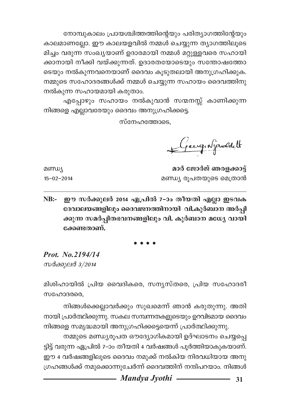നോമ്പുകാലം പ്രായശ്ചിത്തത്തിന്റെയും പരിത്യാഗത്തിന്റേയും കാലമാണല്ലോ. ഈ കാലയളവിൽ നമ്മൾ ചെയ്യുന്ന ത്യാഗത്തിലുടെ മിച്ചം വരുന്ന സംഖ്യയാണ് ഉദാരമായി നമ്മൾ മറ്റുള്ളവരെ സഹായി ക്കാനായി നീക്കി വയ്ക്കുന്നത്. ഉദാരതയോടെയും സന്തോഷത്തോ ടെയും നൽകുന്നവനെയാണ് ദൈവം കൂടുതലായി അനുഗ്രഹിക്കുക. നമ്മുടെ സഹോദരങ്ങൾക്ക് നമ്മൾ ചെയ്യുന്ന സഹായം ദൈവത്തിനു നൽകുന്ന സഹായമായി കരുതാം.

എപ്പോഴും സഹായം നൽകുവാൻ സന്മനസ്സ് കാണിക്കുന്ന നിങ്ങളെ എല്ലാവരേയും ദൈവം അനുഗ്രഹിക്കട്ടെ.

സ്നേഹത്തോടെ.

George Njoudelette

മാർ ജോർജ് ഞരളക്കാട്ട് മണ്ഡ്യ രൂപതയുടെ മെത്രാൻ

ையூ  $15 - 02 - 2014$ 

NB:- ഈ സർക്കുലർ 2014 ഏപ്രിൽ 7-ാം തീയതി എല്ലാ ഇടവക ദേവാലയങ്ങളിലും ദൈവജനത്തിനായി വി.കുർബാന അർപ്പി ക്കുന്ന സമർപ്പിതഭവനങ്ങളിലും വി. കുർബാന മധ്യേ വായി ക്കേണ്ടതാണ്.

Prot. No.2194/14 സർക്കുലർ 3/2014

മിശിഹായിൽ പ്രിയ വൈദികരെ, സന്യസ്തരെ, പ്രിയ സഹോദരീ സഹോദരരെ,

നിങ്ങൾക്കെല്ലാവർക്കും സുഖമെന്ന് ഞാൻ കരുതുന്നു. അതി നായി പ്രാർത്ഥിക്കുന്നു. സകല സമ്പന്നതകളുടെയും ഉറവിടമായ ദൈവം നിങ്ങളെ സമൃദ്ധമായി അനുഗ്രഹിക്കട്ടെയെന്ന് പ്രാർത്ഥിക്കുന്നു.

നമ്മുടെ മണ്ഡ്യരൂപത ഔദ്യോഗികമായി ഉദ്ഘാടനം ചെയ്യപ്പെ ട്ടിട്ട് വരുന്ന ഏപ്രിൽ 7–ാം തീയതി 4 വർഷങ്ങൾ പൂർത്തിയാകുകയാണ്. ഈ 4 വർഷങ്ങളിലൂടെ ദൈവം നമുക്ക് നൽകിയ നിരവധിയായ അനു ഗ്രഹങ്ങൾക്ക് നമുക്കൊന്നുചേർന്ന് ദൈവത്തിന് നന്ദിപറയാം. നിങ്ങൾ

> — Mandya Jyothi — 31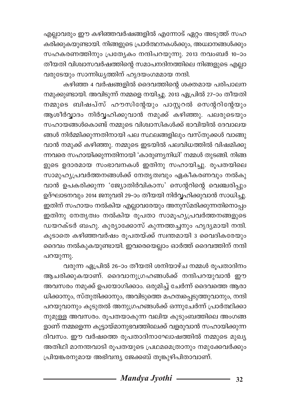എല്ലാവരും ഈ കഴിഞ്ഞവർഷങ്ങളിൽ എന്നോട് ഏറ്റം അടുത്ത് സഹ കരിക്കുകയുണ്ടായി. നിങ്ങളുടെ പ്രാർത്ഥനകൾക്കും, അധ്വാനങ്ങൾക്കു<mark>ം</mark> സഹകരണത്തിനും പ്രത്യേകം നന്ദിപറയുന്നു. 2013 നവംബർ 10–ാം തീയതി വിശ്വാസവർഷത്തിന്റെ സമാപനദിനത്തിലെ നിങ്ങളുടെ എല്ലാ വരുടേയും സാന്നിധ്യത്തിന് ഹൃദയംഗമമായ നന്ദി.

കഴിഞ്ഞ 4 വർഷങ്ങളിൽ ദൈവത്തിന്റെ ശക്തമായ പരിപാലന നമുക്കുണ്ടായി. അവിടുന്ന് നമ്മളെ നയിച്ചു. 2013 ഏപ്രിൽ 27–ാം തീയതി നമ്മുടെ ബിഷപ്സ് ഹൗസിന്റേയും പാസ്റ്ററൽ സെന്ററിന്റേയും ആശീർവ്വാദം നിർവ്വഹിക്കുവാൻ നമുക്ക് കഴിഞ്ഞു. പലരുടെയും സഹായങ്ങൾകൊണ്ട് നമ്മുടെ വിശ്വാസികൾക്ക് ഭാവിയിൽ ദേവാലയ ങ്ങൾ നിർമ്മിക്കുന്നതിനായി പല സ്ഥലങ്ങളിലും വസ്തുക്കൾ വാങ്ങു വാൻ നമുക്ക് കഴിഞ്ഞു. നമ്മുടെ ഇടയിൽ പലവിധത്തിൽ വിഷമിക്കു ന്നവരെ സഹായിക്കുന്നതിനായി 'കാരുണ്യനിധി' നമ്മൾ തുടങ്ങി. നിങ്ങ ളുടെ ഉദാരമായ സംഭാവനകൾ ഇതിനു സഹായിച്ചു. രൂപതയിലെ സാമുഹ്യപ്രവർത്തനങ്ങൾക്ക് നേതൃത്വവും ഏകീകരണവും നൽകു വാൻ ഉപകരിക്കുന്ന 'ജ്യോതിർവികാസ' സെന്ററിന്റെ വെഞ്ചരിപ്പും .<br>ഉദ്ഘാടനവും 2014 ജനുവരി 29–ാം തീയയി നിർവ്വഹിക്കുവാൻ സാധിച്ചു. ഇതിന് സഹായം നൽകിയ എല്ലാവരേയും അനുസ്മരിക്കുന്നതിനൊപ്പം ഇതിനു നേതൃത്വം നൽകിയ രൂപതാ സാമൂഹ്യപ്രവർത്തനങ്ങളുടെ ഡയറക്ടർ ബഹു. കുര്യാക്കോസ് കുന്നത്തച്ചനും ഹൃദ്യമായി നന്ദി. കൂടാതെ കഴിഞ്ഞവർഷം രൂപതയ്ക്ക് സ്വന്തമായി 3 വൈദികരേയു<mark>ം</mark> ദൈവം നൽകുകയുണ്ടായി. ഇവരെയെല്ലാം ഓർത്ത് ദൈവത്തിന് നന്ദി പറയുന്നു.

വരുന്ന ഏപ്രിൽ 26–ാം തീയതി ശനിയാഴ്ച നമ്മൾ രൂപതാദിനം ആചരിക്കുകയാണ്. ദൈവാനുഗ്രഹങ്ങൾക്ക് നന്ദിപറയുവാൻ ഈ അവസരം നമുക്ക് ഉപയോഗിക്കാം. ഒരുമിച്ച് ചേർന്ന് ദൈവത്തെ ആരാ ധിക്കാനും, സ്തുതിക്കാനും, അവിടുത്തെ മഹത്വപ്പെടുത്തുവാനും, നന്ദി പറയുവാനും കൂടുതൽ അനുഗ്രഹങ്ങൾക്ക് ഒന്നുചേർന്ന് പ്രാർത്ഥിക്കാ നുമുള്ള അവസരം. രൂപതയാകുന്ന വലിയ കുടുംബത്തിലെ അംഗങ്ങ ളാണ് നമ്മളെന്ന കൂട്ടായ്മാനുഭവത്തിലേക്ക് വളരുവാൻ സഹായിക്കുന്ന ദിവസം. ഈ വർഷത്തെ രൂപതാദിനാഘോഷത്തിൽ നമ്മുടെ മുഖ്യ അതിഥി മാനന്തവാടി രൂപതയുടെ പ്രഥമമെത്രാനും നമുക്കേവർക്കും പ്രിയങ്കരനുമായ അഭിവന്ദ്യ ജേക്കബ് തൂങ്കുഴിപിതാവാണ്.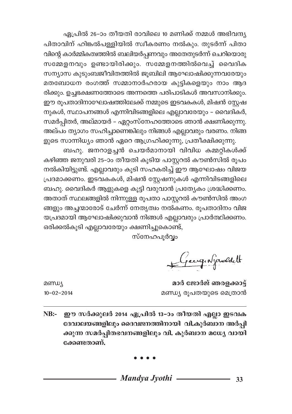ഏപ്രിൽ 26-ാം തീയതി രാവിലെ 10 മണിക്ക് നമ്മൾ അഭിവന്ദ്യ പിതാവിന് ഹിങ്കൽപള്ളിയിൽ സ്വീകരണം നൽകും. തുടർന്ന് പിതാ വിന്റെ കാർമ്മികത്വത്തിൽ ബലിയർപ്പണവും അതേതുടർന്ന് ചെറിയൊരു സമ്മേളനവും ഉണ്ടായിരിക്കും. സമ്മേളനത്തിൽവെച്ച് വൈദിക സന്യാസ കുടുംബജീവിതത്തിൽ ജൂബിലി ആഘോഷിക്കുന്നവരേയും മതബോധന രംഗത്ത് സമ്മാനാർഹരായ കുട്ടികളെയും നാം ആദ രിക്കും. ഉച്ചഭക്ഷണത്തോടെ അന്നത്തെ പരിപാടികൾ അവസാനിക്കും. .<br>ഈ രൂപതാദിനാഘോഷത്തിലേക്ക് നമ്മുടെ ഇടവകകൾ, മിഷൻ സ്റ്റേഷ നുകൾ, സ്ഥാപനങ്ങൾ എന്നിവിടങ്ങളിലെ എല്ലാവരേയും – വൈദികർ, സമർപ്പിതർ, അല്മായർ – ഏറ്റംസ്നേഹത്തോടെ ഞാൻ ക്ഷണിക്കുന്നു. അല്പം ത്യാഗം സഹിച്ചാണെങ്കിലും നിങ്ങൾ എല്ലാവരും വരണം. നിങ്ങ

ളുടെ സാന്നിധ്യം ഞാൻ ഏറെ ആഗ്രഹിക്കുന്നു, പ്രതീക്ഷിക്കുന്നു. ബഹു. ജനറാളച്ചൻ ചെയർമാനായി വിവിധ കമ്മറ്റികൾക്ക് കഴിഞ്ഞ ജനുവരി 25–ാം തീയതി കൂടിയ പാസ്റ്ററൽ കൗൺസിൽ രൂപം .<br>നൽകിയിട്ടുണ്ട്. എല്ലാവരും കൂടി സഹകരിച്ച് ഈ ആഘോഷം വിജയ പ്രദമാക്കണം. ഇടവകകൾ, മിഷൻ സ്റ്റേഷനുകൾ എന്നിവിടങ്ങളിലെ ബഹു. വൈദികർ ആളുകളെ കൂട്ടി വരുവാൻ പ്രത്യേകം ശ്രദ്ധിക്കണം. അതാത് സ്ഥലങ്ങളിൽ നിന്നുള്ള രൂപതാ പാസ്റ്ററൽ കൗൺസിൽ അംഗ ങ്ങളും അച്ചന്മാരോട് ചേർന്ന് നേതൃത്വം നൽകണം. രൂപതാദിനം വിജ യപ്രദമായി ആഘോഷിക്കുവാൻ നിങ്ങൾ എല്ലാവരും പ്രാർത്ഥിക്കണം. ഒരിക്കൽകൂടി എല്ലാവരേയും ക്ഷണിച്ചുകൊണ്ട്,

സ്നേഹപൂർവ്വം

George Djandelt

മാർ ജോർജ് ഞരളക്കാട് മണ്ഡ്യ രൂപതയുടെ മെത്രാൻ

മണ്ഡ്യ  $10 - 02 - 2014$ 

NB:- ഈ സർക്കുലർ 2014 ഏപ്രിൽ 13-ാം തീയതി എല്ലാ ഇടവക ദേവാലയങ്ങളിലും ദൈവജനത്തിനായി വി.കുർബാന അർപ്പി ക്കുന്ന സമർപ്പിതഭവനങ്ങളിലും വി. കുർബാന മധ്യേ വായി ക്കേണ്ടതാണ്.

Mandya Jyothi -33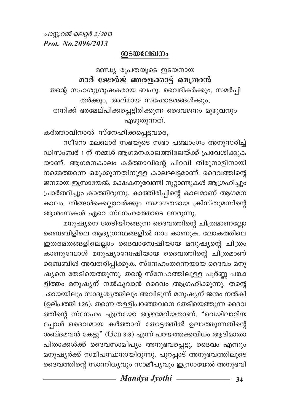#### **ഇടയലേഖനം**

മണ്ഡ്യ രൂപതയുടെ ഇടയനായ മാർ ജോർജ് ഞരളക്കാട്ട് മെത്രാൻ തന്റെ സഹശുശ്രൂഷകരായ ബഹു. വൈദികർക്കും, സമർപ്പി തർക്കും, അല്മായ സഹോദരങ്ങൾക്കും, തനിക്ക് ഭരമേല്പിക്കപ്പെട്ടിരിക്കുന്ന ദൈവജനം മുഴുവനും എഴുതുന്നത്.

കർത്താവിനാൽ സ്നേഹിക്കപ്പെട്ടവരെ,

സീറോ മലബാർ സഭയുടെ സഭാ പഞ്ചാംഗം അനുസരിച്ച് ഡിസംബർ 1 ന് നമ്മൾ ആഗമനകാലത്തിലേയ്ക്ക് പ്രവേശിക്കുക യാണ്. ആഗമനകാലം കർത്താവിന്റെ പിറവി തിരുനാളിനായി നമ്മെത്തന്നെ ഒരുക്കുന്നതിനുള്ള കാലഘട്ടമാണ്. ദൈവത്തിന്റെ ജനമായ ഇസ്രായേൽ, രക്ഷകനുവേണ്ടി നൂറ്റാണ്ടുകൾ ആഗ്രഹിച്ചും പ്രാർത്ഥിച്ചും കാത്തിരുന്നു. കാത്തിരിപ്പിന്റെ കാലമാണ് ആഗമന കാലം. നിങ്ങൾക്കെല്ലാവർക്കും സമാഗതമായ ക്രിസ്തുമസിന്റെ ആശംസകൾ ഏറെ സ്നേഹത്തോടെ നേരുന്നു.

മനുഷ്യനെ തേടിയിറങ്ങുന്ന ദൈവത്തിന്റെ ചിത്രമാണല്ലോ .<br>ബൈബിളിലെ ആദ്യഗ്രന്ഥങ്ങളിൽ നാം കാണുക. ലോകത്തിലെ ഇതരമതങ്ങളിലെല്ലാം ദൈവാന്വേഷിയായ മനുഷ്യന്റെ ചിത്രം കാണുമ്പോൾ മനുഷ്യാന്വേഷിയായ ദൈവത്തിന്റെ ചിത്രമാണ് ബൈബിൾ അവതരിപ്പിക്കുക. സ്നേഹംതന്നെയായ ദൈവം മനു ഷ്യനെ തേടിയെത്തുന്നു. തന്റെ സ്നേഹത്തിലുള്ള പൂർണ്ണ പങ്കാ ളിത്തം മനുഷ്യന് നൽകുവാൻ ദൈവം ആഗ്രഹിക്കുന്നു. തന്റെ ഛായയിലും സാദൃശ്യത്തിലും അവിടുന്ന് മനുഷ്യന് ജന്മം നൽകി (ഉല്പത്തി 1:26). തന്നെ തള്ളിപറഞ്ഞവനെ തേടിയെത്തുന്ന ദൈവ ത്തിന്റെ സ്നേഹം എത്രയോ ആഴമേറിയതാണ്. "വെയിലാറിയ പ്പോൾ ദൈവമായ കർത്താവ് തോട്ടത്തിൽ ഉലാത്തുന്നതിന്റെ ശബ്ദമവൻ കേട്ടു" (Gen 3:8) എന്ന് പറയത്തക്കവിധം ആദിമാതാ പിതാക്കൾക്ക് ദൈവസാമീപ്യം അനുഭവപ്പെട്ടു. ദൈവം എന്നും മനുഷ്യർക്ക് സമീപസ്ഥനായിരുന്നു. പുറപ്പാട് അനുഭ<mark>വ</mark>ത്തിലൂടെ ദൈവത്തിന്റെ സാന്നിധ്യവും സാമീപ്യവും ഇസ്രായേൽ അനുഭവി

- Mandya Jyothi -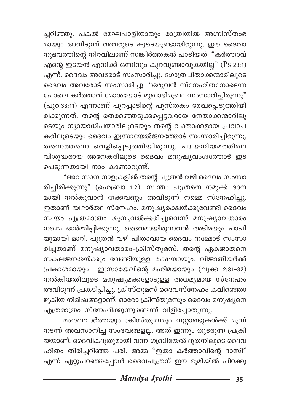ച്ചറിഞ്ഞു. പകൽ മേഘപാളിയായും രാത്രിയിൽ അഗ്നിസ്തംഭ മായും അവിടുന്ന് അവരുടെ കൂടെയുണ്ടായിരുന്നു. ഈ ദൈവാ നുഭവത്തിന്റെ നിറവിലാണ് സങ്കീർത്തകൻ പാടിയത്: "കർത്താവ് എന്റെ ഇടയൻ എനിക്ക് ഒന്നിനും കുറവുണ്ടാവുകയില്ല" (Ps 23:1) എന്ന്. ദൈവം അവരോട് സംസാരിച്ചു. ഗോത്രപിതാക്കന്മാരിലൂടെ ദൈവം അവരോട് സംസാരിച്ചു. "ഒരുവൻ സ്നേഹിതനോടെന്ന പോലെ കർത്താവ് മോശയോട് മുഖാഭിമുഖം സംസാരിച്ചിരുന്നു" (പുറ.33:11) എന്നാണ് പുറപ്പാടിന്റെ പുസ്തകം രേഖപ്പെടുത്തിയി രിക്കുന്നത്. തന്റെ തെരഞ്ഞെടുക്കപ്പെട്ടവരായ നേതാക്കന്മാരിലൂ ടെയും ന്യായാധിപന്മാരിലൂടെയും തന്റെ വക്താക്കളായ പ്രവാച കരിലൂടെയും ദൈവം ഇസ്രായേൽജനത്തോട് സംസാരിച്ചിരുന്നു, തന്നെത്തന്നെ വെളിപ്പെടുത്തിയിരുന്നു. പഴയനിയമത്തിലെ വിശുദ്ധരായ അനേകരിലൂടെ ദൈവം മനുഷ്യവംശത്തോട് ഇട പെടുന്നതായി നാം കാണാറുണ്ട്.

"അവസാന നാളുകളിൽ തന്റെ പുത്രൻ വഴി ദൈവം സംസാ രിച്ചിരിക്കുന്നു" (ഹെബ്രാ 1:2). സ്വന്തം പുത്രനെ നമുക്ക് ദാന മായി നൽകുവാൻ തക്കവണ്ണം അവിടുന്ന് നമ്മെ സ്നേഹിച്ചു. ഇതാണ് യഥാർത്ഥ സ്നേഹം. മനുഷ്യരക്ഷയ്ക്കുവേണ്ടി ദൈവം സ്വയം എത്രമാത്രം ശൂന്യവൽക്കരിച്ചുവെന്ന് മനുഷ്യാവതാരം നമ്മെ ഓർമ്മിപ്പിക്കുന്നു. ദൈവമായിരുന്നവൻ അടിമയും പാപി യുമായി മാറി. പുത്രൻ വഴി പിതാവായ ദൈവം നമ്മോട് സംസാ രിച്ചതാണ് മനുഷ്യാവതാരം-ക്രിസ്തുമസ്. തന്റെ ഏകജാതനെ സകലജനതയ്ക്കും വേണ്ടിയുള്ള രക്ഷയായും, വിജാതിയർക്ക് പ്രകാശമായും ഇസ്രായേലിന്റെ മഹിമയായും (ലൂക്ക 2:31-32) നൽകിയതിലൂടെ മനുഷ്യമക്കളോടുള്ള അധമ്യമായ സ്നേഹം അവിടുന്ന് പ്രകടിപ്പിച്ചു. ക്രിസ്തുമസ് ദൈവസ്നേഹം കവിഞ്ഞൊ ഴുകിയ നിമിഷങ്ങളാണ്. ഓരോ ക്രിസ്തുമസും ദൈവം മനുഷ്യനെ എത്രമാത്രം സ്നേഹിക്കുന്നുണ്ടെന്ന് വിളിച്ചോതുന്നു.

മംഗലവാർത്തയും ക്രിസ്തുമസും നൂറ്റാണ്ടുകൾക്ക് മുമ്പ് നടന്ന് അവസാനിച്ച സംഭവങ്ങളല്ല. അത് ഇന്നും തുടരുന്ന പ്രക്രി യയാണ്. ദൈവികദൂതുമായി വന്ന ഗബ്രിയേൽ ദൂതനിലൂടെ ദൈവ ഹിതം തിരിച്ചറിഞ്ഞ പരി. അമ്മ "ഇതാ കർത്താവിന്റെ ദാസി" എന്ന് ഏറ്റുപറഞ്ഞപ്പോൾ ദൈവപുത്രന് ഈ ഭൂമിയിൽ പിറക്കു

> Mandya Jyothi — 35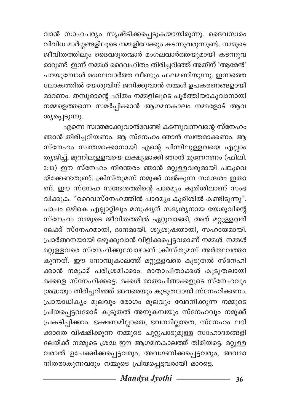വാൻ സാഹചര്യം സൃഷ്ടിക്കപ്പെടുകയായിരുന്നു. ദൈവസ്വരം വിവിധ മാർഗ്ഗങ്ങളിലൂടെ നമ്മളിലേക്കും കടന്നുവരുന്നുണ്ട്. നമ്മുടെ ജീവിതത്തിലും ദൈവദൂതന്മാർ മംഗലവാർത്തയുമായി കടന്നുവ രാറുണ്ട്. ഇന്ന് നമ്മൾ ദൈവഹിതം തിരിച്ചറിഞ്ഞ് അതിന് 'ആമേൻ' പറയുമ്പോൾ മംഗലവാർത്ത വീണ്ടും ഫലമണിയുന്നു. ഇന്നത്തെ ലോകത്തിൽ യേശുവിന് ജനിക്കുവാൻ നമ്മൾ ഉപകരണങ്ങളായി മാറണം. തമ്പുരാന്റെ ഹിതം നമ്മളിലൂടെ പൂർത്തിയാകുവാനായി നമ്മളെത്തന്നെ സമർപ്പിക്കാൻ ആഗമനകാലം നമ്മളോട് ആവ ശ്യപ്പെടുന്നു.

എന്നെ സ്വന്തമാക്കുവാൻവേണ്ടി കടന്നുവന്നവന്റെ സ്നേഹം ഞാൻ തിരിച്ചറിയണം. ആ സ്നേഹം ഞാൻ സ്വന്തമാക്കണം. ആ സ്നേഹം സ്വന്തമാക്കാനായി എന്റെ പിന്നിലുള്ളവയെ എല്ലാം ത്യജിച്ച്, മുന്നിലുള്ളവയെ ലക്ഷ്യമാക്കി ഞാൻ മുന്നേറണം (ഫിലി. 3:13) ഈ സ്നേഹം നിരന്തരം ഞാൻ മറ്റുള്ളവരുമായി പങ്കുവെ യ്ക്കേണ്ടതുണ്ട്. ക്രിസ്തുമസ് നമുക്ക് നൽകുന്ന സന്ദേശം ഇതാ ണ്. ഈ സ്നേഹ സന്ദേശത്തിന്റെ പാരമ്യം കുരിശിലാണ് സംഭ വിക്കുക. "ദൈവസ്നേഹത്തിൻ പാരമ്യം കുരിശിൽ കണ്ടിടുന്നു". പാപം ഒഴികെ എല്ലാറ്റിലും മനുഷ്യന് സദൃശ്യനായ യേശുവിന്റെ സ്നേഹം നമ്മുടെ ജീവിതത്തിൽ ഏറ്റുവാങ്ങി, അത് മറ്റുള്ളവരി ലേക്ക് സ്നേഹമായി, ദാനമായി, ശുശ്രൂഷയായി, സഹായമായി, പ്രാർത്ഥനയായി ഒഴുക്കുവാൻ വിളിക്കപ്പെട്ടവരാണ് നമ്മൾ. നമ്മൾ മറ്റുള്ളവരെ സ്നേഹിക്കുമ്പോഴാണ് ക്രിസ്തുമസ് അർത്ഥവത്താ കുന്നത്. ഈ നോമ്പുകാലത്ത് മറ്റുള്ളവരെ കൂടുതൽ സ്നേഹി ക്കാൻ നമുക്ക് പരിശ്രമിക്കാം. മാതാപിതാക്കൾ കൂടുതലായി മക്കളെ സ്നേഹിക്കട്ടെ, മക്കൾ മാതാപിതാക്കളുടെ സ്നേഹവും ശ്രദ്ധയും തിരിച്ചറിഞ്ഞ് അവരെയും കൂടുതലായി സ്നേഹിക്കണം. പ്രായാധിക്യം മൂലവും രോഗം മൂലവും വേദനിക്കുന്ന നമ്മുടെ പ്രിയപ്പെട്ടവരോട് കൂടുതൽ അനുകമ്പയും സ്നേഹവും നമുക്ക<mark>്</mark> പ്രകടിപ്പിക്കാം. ഭക്ഷണമില്ലാതെ, ഭവനമില്ലാതെ, സ്നേഹം ലഭി ക്കാതെ വിഷമിക്കുന്ന നമ്മുടെ ചുറ്റുപാടുമുള്ള സഹോദരങ്ങളി ലേയ്ക്ക് നമ്മുടെ ശ്രദ്ധ ഈ ആഗമനകാലത്ത് തിരിയട്ടെ. മറ്റുള്ള വരാൽ ഉപേക്ഷിക്കപ്പെട്ടവരും, അവഗണിക്കപ്പെട്ടവരും, അവമാ നിതരാകുന്നവരും നമ്മുടെ പ്രിയപ്പെട്ടവരായി മാറട്ടെ.

- Mandya Jyothi -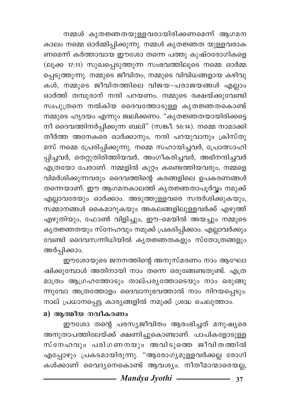നമ്മൾ കൃതജ്ഞതയുള്ളവരായിരിക്കണമെന്ന് ആഗമന കാലം നമ്മെ ഓർമ്മിപ്പിക്കുന്നു. നമ്മൾ കൃതജ്ഞത യുള്ളവരാക ണമെന്ന് കർത്താവായ ഈശോ തന്നെ പത്തു കുഷ്ഠരോഗികളെ (ലൂക്ക 17:11) സുഖപ്പെടുത്തുന്ന സംഭവത്തിലൂടെ നമ്മെ ഓർമ്മ പ്പെടുത്തുന്നു. നമ്മുടെ ജീവിതം, നമ്മുടെ വിവിധങ്ങളായ കഴിവു കൾ, നമ്മുടെ ജീവിതത്തിലെ വിജയ-പരാജയങ്ങൾ എല്ലാം ഓർത്ത് തമ്പുരാന് നന്ദി പറയണം. നമ്മുടെ രക്ഷയ്ക്കുവേണ്ടി സ്വപുത്രനെ നൽകിയ ദൈവത്തോടുള്ള കൃതജ്ഞതകൊണ്ട് നമ്മുടെ ഹൃദയം എന്നും ജ്വലിക്കണം. "കൃതജ്ഞതയായിരിക്കട്ടെ നീ ദൈവത്തിനർപ്പിക്കുന്ന ബലി" (സങ്കീ. 50:14). നമ്മെ നാമാക്കി തീർത്ത അനേകരെ ഓർക്കാനും, നന്ദി പറയുവാനും ക്രിസ്തു മസ് നമ്മെ പ്രേരിപ്പിക്കുന്നു. നമ്മെ സഹായിച്ചവർ, പ്രോത്സാഹി പ്പിച്ചവർ, തെറ്റുതിരിത്തിയവർ, അംഗീകരിച്ചവർ, അഭിനന്ദിച്ചവർ എത്രയോ പേരാണ്. നമ്മളിൽ കുറ്റം കണ്ടെത്തിയവരും, നമ്മളെ വിമർശിക്കുന്നവരും ദൈവത്തിന്റെ കരങ്ങളിലെ ഉപകരണങ്ങൾ തന്നെയാണ്. ഈ ആഗമനകാലത്ത് കൃതജ്ഞതാപൂർ**വ്വം** നമുക്ക് എല്ലാവരേയും ഓർക്കാം. അടുത്തുള്ളവരെ സന്ദർശിക്കുകയും, സമ്മാനങ്ങൾ കൈമാറുകയും അകലങ്ങളിലുള്ളവർക്ക് എഴുത്ത് എഴുതിയും, ഫോൺ വിളിച്ചും, ഈ-മെയിൽ അയച്ചും നമ്മുടെ കൃതജ്ഞതയും സ്നേഹവും നമുക്ക് പ്രകടിപ്പിക്കാം. എല്ലാവർക്കും വേണ്ടി ദൈവസന്നിധിയിൽ കൃതജ്ഞതകളും സ്തോത്രങ്ങളും അർപ്പിക്കാം.

ഈശോയുടെ ജനനത്തിന്റെ അനുസ്മരണം നാം ആഘോ ഷിക്കുമ്പോൾ അതിനായി നാം തന്നെ ഒരുങ്ങേണ്ടതുണ്ട്. എത്ര മാത്രം ആഗ്രഹത്തോടും താല്പര്യത്തോടെയും നാം ഒരുങ്ങു ന്നുവോ അത്രത്തോളം ദൈവാനുഭവത്താൽ നാം നിറയപ്പെടും. നാല് പ്രധാനപ്പെട്ട കാര്യങ്ങളിൽ നമുക്ക് ശ്രദ്ധ ചെലുത്താം.

#### **a)** ആത്മീയ നവീകരണം

ഈശോ തന്റെ പരസ്യജീവിതം ആരംഭിച്ചത് മനുഷ്യരെ അനുതാപത്തിലേയ്ക്ക് ക്ഷണിച്ചുകൊണ്ടാണ്. പാപികളോടുള്ള സ്നേഹവും പരിഗണനയും അവിടുത്തെ ജീവിതത്തിൽ എപ്പോഴും പ്രകടമായിരുന്നു. "ആരോഗ്യമുള്ളവർക്കല്ല രോഗി കൾക്കാണ് വൈദ്യനെകൊണ്ട് ആവശ്യം. നീതീമാന്മാരെയല്ല,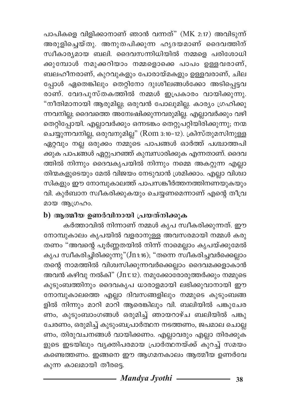പാപികളെ വിളിക്കാനാണ് ഞാൻ വന്നത്"  $(MK$  2:17) അവിടുന്ന് അരുളിച്ചെയ്തു. അനുതപിക്കുന്ന ഹൃദയമാണ് ദൈവത്തിന് സ്വീകാര്യമായ ബലി. ദൈവസന്നിധിയിൽ നമ്മളെ പരിശോധി ക്കുമ്പോൾ നമുക്കറിയാം നമ്മളൊക്കെ പാപം ഉള്ളവരാണ്, ബലഹീനരാണ്, കുറവുകളും പോരായ്മകളും ഉള്ളവരാണ്, ചില പ്പോൾ ഏതെങ്കിലും തെറ്റിനോ ദുഃശീലങ്ങൾക്കോ അടിപ്പെട്ട<mark>വ</mark> രാണ്. വേദപുസ്തകത്തിൽ നമ്മൾ ഇപ്രകാരം വായിക്കുന്നു. .<br>"നീതിമാനായി ആരുമില്ല; ഒരുവൻ പോലുമില്ല. കാര്യം ഗ്രഹിക്കു .<br>ന്നവനില്ല; ദൈവത്തെ അന്വേഷിക്കുന്നവരുമില്ല. എല്ലാവർക്കും വഴി തെറ്റിപ്പോയി. എല്ലാവർക്കും ഒന്നടങ്കം തെറ്റുപറ്റിയിരിക്കുന്നു, നന്മ ചെയ്യുന്നവനില്ല, ഒരുവനുമില്ല" (Rom 3:10−12). ക്രിസ്തുമസിനുള്ള ഏറ്റവും നല്ല ഒരുക്കം നമ്മുടെ പാപങ്ങൾ ഓർത്ത് പശ്ചാത്തപി ക്കുക പാപങ്ങൾ ഏറ്റുപറഞ്ഞ് കുമ്പസാരിക്കുക എന്നതാണ്. ദൈവ ത്തിൽ നിന്നും ദൈവകൃപയിൽ നിന്നും നമ്മെ അകറ്റുന്ന എല്ലാ തിന്മകളുടെയും മേൽ വിജയം നേടുവാൻ ശ്രമിക്കാം. എല്ലാ വിശ്വാ സികളും ഈ നോമ്പുകാലത്ത് പാപസങ്കീർത്തനത്തിനണയുകയു<mark>ം</mark> വി. കുർബാന സ്വീകരിക്കുകയും ചെയ്യണമെന്നാണ് എന്റെ തീവ്ര മായ ആഗ്രഹം.

### b) ആത്മീയ ഉണർവിനായി പ്രയത്നിക്കുക

കർത്താവിൽ നിന്നാണ് നമ്മൾ കൃപ സ്വീകരിക്കുന്നത്. ഈ നോമ്പുകാലം കൃപയിൽ വളരാനുള്ള അവസരമായി നമ്മൾ കരു തണം "അവന്റെ പൂർണ്ണതയിൽ നിന്ന് നാമെല്ലാം കൃപയ്ക്കുമേൽ കൃപ സ്ഥീകരിച്ചിരിക്കുന്നു"(Jn1:16); "തന്നെ സ്ഥീകരിച്ചവർക്കെല്ലാം തന്റെ നാമത്തിൽ വിശ്വസിക്കുന്നവർക്കെല്ലാം ദൈവമക്കളാകാൻ അവൻ കഴിവു നൽകി" ( $\text{Jn1:12}$ ). നമുക്കോരോരുത്തർക്കും നമ്മുടെ കുടുംബത്തിനും ദൈവകൃപ ധാരാളമായി ലഭിക്കുവാനായി ഈ നോമ്പുകാലത്തെ എല്ലാ ദിവസങ്ങളിലും നമ്മുടെ കുടുംബങ്<mark>ങ</mark> ളിൽ നിന്നും മാറി മാറി ആരെങ്കിലും വി. ബലിയിൽ പങ്കുചേര ണം, കുടുംബാംഗങ്ങൾ ഒരുമിച്ച് ഞായറാഴ്ച ബലിയിൽ പങ്കു ചേരണം, ഒരുമിച്ച് കുടുംബപ്രാർത്ഥന നടത്തണം, ജപമാല ചൊ<u>ല്</u>ല ണം, തിരുവചനങ്ങൾ വായിക്കണം. എല്ലാവരും എല്ലാ തിരക്കുക .<br>ളുടെ ഇടയിലും വൃക്തിപരമായ പ്രാർത്ഥനയ്ക്ക് കുറച്ച് സമയം കണ്ടെത്തണം. ഇങ്ങനെ ഈ ആഗമനകാലം ആത്മ<mark>ീ</mark>യ ഉണർവേ കുന്ന കാലമായി തീരടെ.

### - *Mandya Jyothi* – 38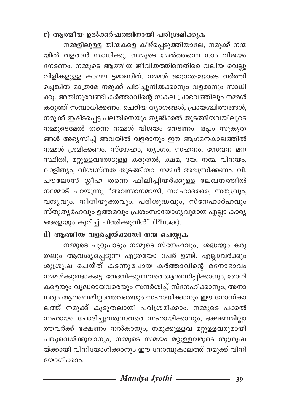### c) ആത്മീയ ഉൽക്കർഷത്തിനായി പരിശ്രമിക്കുക

നമ്മളിലുള്ള തിന്മകളെ കീഴ്പ്പെടുത്തിയാലേ, നമുക്ക് നന്മ യിൽ വളരാൻ സാധിക്കു. നമ്മുടെ മേൽത്തന്നെ നാം വിജയം നേടണം. നമ്മുടെ ആത്മീയ ജീവിതത്തിനെതിരെ വലിയ വെ<u>ല്</u>ലു വിളികളുള്ള കാലഘട്ടമാണിത്. നമ്മൾ ജാഗ്രതയോടെ വർത്തി ച്ചെങ്കിൽ മാത്രമേ നമുക്ക് പിടിച്ചുനിൽക്കാനും <mark>വ</mark>ളരാനും സാധി ക്കൂ. അതിനുവേണ്ടി കർത്താവിന്റെ സകല പ്രാഭവത്തിലും നമ്മൾ കരുത്ത് സമ്പാധിക്കണം. ചെറിയ ത്യാഗങ്ങൾ, പ്രായശ്ചിത്തങ്ങൾ, നമുക്ക് ഇഷ്ടപ്പെട്ട പലതിനെയും തൃജിക്കൽ തുടങ്ങിയവയിലൂടെ നമ്മുടെമേൽ തന്നെ നമ്മൾ വിജയം നേടണം. ഒപ്പം സുകൃത ങ്ങൾ അഭ്യസിച്ച് അവയിൽ വളരാനും ഈ ആഗമനകാലത്തിൽ നമ്മൾ ശ്രമിക്കണം. സ്നേഹം, ത്യാഗം, സഹനം, സേവന മന സ്ഥിതി, മറ്റുള്ളവരോടുള്ള കരുതൽ, ക്ഷമ, ദയ, നന്മ, <mark>വി</mark>നയം, ലാളിതൃം, വിശ്വസ്തത തുടങ്ങിയവ നമ്മൾ അഭൃസിക്കണം. വി. പൗലോസ് ശ്ലീഹ തന്നെ ഫിലിപ്പിയർക്കുള്ള ലേഖനത്തിൽ നമ്മോട് പറയുന്നു "അവസാനമായി, സഹോദരരെ, സതൃവും, വന്ദ്യവും, നീതിയുക്തവും, പരിശുദ്ധവും, സ്നേഹാർഹവും സ്തുതൃർഹവും ഉത്തമവും പ്രശംസായോഗൃവുമായ എല്ലാ കാര<mark>്യ</mark> ങ്ങളെയും കുറിച്ച് ചിന്തിക്കുവിൻ" (Phi.4:8).

## d) ആത്മീയ വളർച്ചയ്ക്കായി നന്മ ചെയ്യുക

നമ്മുടെ ചുറ്റുപാടും നമ്മുടെ സ്നേഹവും, ശ്രദ്ധയും കരു .<br>തലും ആവശ്യപ്പെടുന്ന എത്രയോ പേർ ഉണ്ട്. എല്ലാവർക്കും ശുശ്രൂഷ ചെയ്ത് കടന്നുപോയ കർത്താവിന്റെ മനോഭാവം നമ്മൾക്കുണ്ടാകട്ടെ. വേദനിക്കുന്നവരെ ആശ<mark>്വ</mark>സിപ്പിക്കാനും, രോഗി കളെയും വൃദ്ധരായവരെയും സന്ദർശിച്ച് സ്നേഹിക്കാനും, അനാ ഥരും ആലംബമില്ലാത്തവരെയും സഹായിക്കാനും ഈ നോമ്പ്കാ ലത്ത് നമുക്ക് കൂടുതലായി പരിശ്രമിക്കാം. നമ്മുടെ പക്കൽ സഹായം ചോദിച്ചുവരുന്നവരെ സഹായിക്കാനും, ഭക്ഷണമില്ലാ ത്തവർക്ക് ഭക്ഷണം നൽകാനും, നമുക്കുള്ളവ മറ്റുള്ളവരുമായ<mark>ി</mark> പങ്കുവെയ്ക്കുവാനും, നമ്മുടെ സമയം മറ്റുള്ളവരുടെ ശുശ്രൂഷ യ്ക്കായി വിനിയോഗിക്കാനും ഈ നോമ്പുകാലത്ത് നമുക്ക് വിനി യോഗിക്കാം.

*Mandya Jyothi* — 39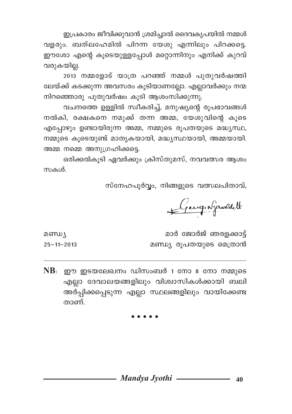ഇപ്രകാരം ജീവിക്കുവാൻ ശ്രമിച്ചാൽ ദൈവകൃപയിൽ നമ്മൾ വളരും, ബത്ലഹേമിൽ പിറന്ന യേശു എന്നിലും പിറക്കട്ടെ. ഈശോ എന്റെ കൂടെയുള്ളപ്പോൾ മറ്റൊന്നിനും എനിക്ക് കുറ<mark>വ്</mark> വരുകയില്ല.

2013 നമ്മളോട് യാത്ര പറഞ്ഞ് നമ്മൾ പുതുവർഷത്തി ലേയ്ക്ക് കടക്കുന്ന അവസരം കൂടിയാണല്ലോ. എല്ലാവർക്കും നന്മ നിറഞ്ഞൊരു പുതുവർഷം കൂടി ആശംസിക്കുന്നു.

വചനത്തെ ഉള്ളിൽ സ്വീകരിച്ച്, മനുഷ്യന്റെ രൂപഭാവങ്ങൾ നൽകി, രക്ഷകനെ നമുക്ക് തന്ന അമ്മ, യേശുവിന്റെ കുടെ എപ്പോഴും ഉണ്ടായിരുന്ന അമ്മ, നമ്മുടെ രൂപതയുടെ മദ്ധ<mark>്യ</mark>സ്ഥ,  $\Omega$ നമ്മുടെ കൂടെയുണ്ട് മാതൃകയായി, മദ്ധ്യസ്ഥയായി, അമ്മയായി. അമ്മ നമ്മെ അനുഗ്രഹിക്കട്ടെ.

ഒരിക്കൽകൂടി ഏവർക്കും ക്രിസ്തുമസ്, നവവത്സര ആശം നുകൾ

 $m$ ്നേഹപൂർവം, നിങ്ങളുടെ വത്സലപിതാവ്,

George Njouchelt

മണ്ഡ്യ മാർ ജോർജ് ഞരളക്കാട്ട് 25 -˛11˛2013 afiy cq]-X-bpsS sa{Xm≥

 $NB:$  ഈ ഇടയലേഖനം ഡിസംബർ 1 നോ 8 നോ നമ്മുടെ എല്ലാ ദേവാലയങ്ങളിലും വിശ്വാസികൾക്കായി ബലി അർപ്പിക്കപ്പെടുന്ന എല്ലാ സ്ഥലങ്ങളിലും വായിക്കേണ്ട താണ്

○○○○○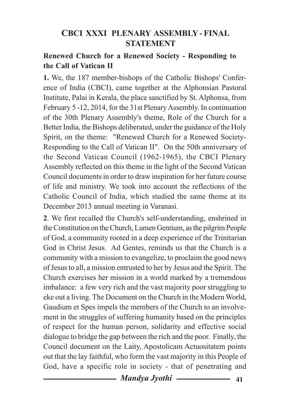## **CBCI XXXI PLENARY ASSEMBLY - FINAL STATEMENT**

### **Renewed Church for a Renewed Society - Responding to the Call of Vatican II**

**1.** We, the 187 member-bishops of the Catholic Bishops' Conference of India (CBCI), came together at the Alphonsian Pastoral Institute, Palai in Kerala, the place sanctified by St. Alphonsa, from February 5 -12, 2014, for the 31st Plenary Assembly. In continuation of the 30th Plenary Assembly's theme, Role of the Church for a Better India, the Bishops deliberated, under the guidance of the Holy Spirit, on the theme: "Renewed Church for a Renewed Society-Responding to the Call of Vatican II". On the 50th anniversary of the Second Vatican Council (1962-1965), the CBCI Plenary Assembly reflected on this theme in the light of the Second Vatican Council documents in order to draw inspiration for her future course of life and ministry. We took into account the reflections of the Catholic Council of India, which studied the same theme at its December 2013 annual meeting in Varanasi.

**2**. We first recalled the Church's self-understanding, enshrined in the Constitution on the Church, Lumen Gentium, as the pilgrim People of God, a community rooted in a deep experience of the Trinitarian God in Christ Jesus. Ad Gentes, reminds us that the Church is a community with a mission to evangelize, to proclaim the good news of Jesus to all, a mission entrusted to her by Jesus and the Spirit. The Church exercises her mission in a world marked by a tremendous imbalance: a few very rich and the vast majority poor struggling to eke out a living. The Document on the Church in the Modern World, Gaudium et Spes impels the members of the Church to an involvement in the struggles of suffering humanity based on the principles of respect for the human person, solidarity and effective social dialogue to bridge the gap between the rich and the poor. Finally, the Council document on the Laity, Apostolicam Actuositatem points out that the lay faithful, who form the vast majority in this People of God, have a specific role in society - that of penetrating and

*<u>Mandya Jyothi</u>* — 41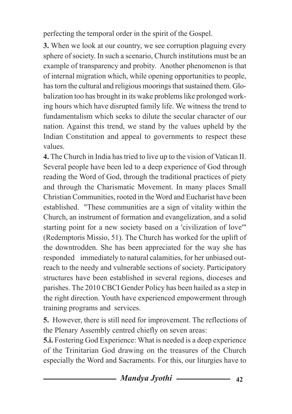perfecting the temporal order in the spirit of the Gospel.

**3.** When we look at our country, we see corruption plaguing every sphere of society. In such a scenario, Church institutions must be an example of transparency and probity. Another phenomenon is that of internal migration which, while opening opportunities to people, has torn the cultural and religious moorings that sustained them. Globalization too has brought in its wake problems like prolonged working hours which have disrupted family life. We witness the trend to fundamentalism which seeks to dilute the secular character of our nation. Against this trend, we stand by the values upheld by the Indian Constitution and appeal to governments to respect these values.

**4.** The Church in India has tried to live up to the vision of Vatican II. Several people have been led to a deep experience of God through reading the Word of God, through the traditional practices of piety and through the Charismatic Movement. In many places Small Christian Communities, rooted in the Word and Eucharist have been established. "These communities are a sign of vitality within the Church, an instrument of formation and evangelization, and a solid starting point for a new society based on a 'civilization of love'" (Redemptoris Missio, 51). The Church has worked for the uplift of the downtrodden. She has been appreciated for the way she has responded immediately to natural calamities, for her unbiased outreach to the needy and vulnerable sections of society. Participatory structures have been established in several regions, dioceses and parishes. The 2010 CBCI Gender Policy has been hailed as a step in the right direction. Youth have experienced empowerment through training programs and services.

**5.** However, there is still need for improvement. The reflections of the Plenary Assembly centred chiefly on seven areas:

**5.i.** Fostering God Experience: What is needed is a deep experience of the Trinitarian God drawing on the treasures of the Church especially the Word and Sacraments. For this, our liturgies have to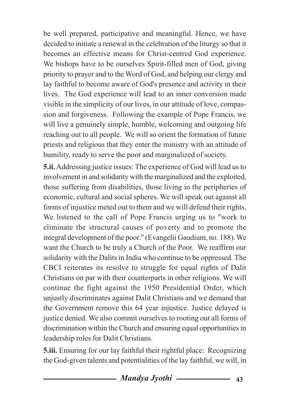be well prepared, participative and meaningful. Hence, we have decided to initiate a renewal in the celebration of the liturgy so that it becomes an effective means for Christ-centred God experience. We bishops have to be ourselves Spirit-filled men of God, giving priority to prayer and to the Word of God, and helping our clergy and lay faithful to become aware of God's presence and activity in their lives. The God experience will lead to an inner conversion made visible in the simplicity of our lives, in our attitude of love, compassion and forgiveness. Following the example of Pope Francis, we will live a genuinely simple, humble, welcoming and outgoing life reaching out to all people. We will so orient the formation of future priests and religious that they enter the ministry with an attitude of humility, ready to serve the poor and marginalized of society.

**5.ii.** Addressing justice issues: The experience of God will lead us to involvement in and solidarity with the marginalized and the exploited, those suffering from disabilities, those living in the peripheries of economic, cultural and social spheres. We will speak out against all forms of injustice meted out to them and we will defend their rights. We listened to the call of Pope Francis urging us to "work to eliminate the structural causes of poverty and to promote the integral development of the poor." (Evangelii Gaudium, no. 188). We want the Church to be truly a Church of the Poor. We reaffirm our solidarity with the Dalits in India who continue to be oppressed. The CBCI reiterates its resolve to struggle for equal rights of Dalit Christians on par with their counterparts in other religions. We will continue the fight against the 1950 Presidential Order, which unjustly discriminates against Dalit Christians and we demand that the Government remove this 64 year injustice. Justice delayed is justice denied. We also commit ourselves to rooting out all forms of discrimination within the Church and ensuring equal opportunities in leadership roles for Dalit Christians.

**5.iii.** Ensuring for our lay faithful their rightful place: Recognizing the God-given talents and potentialities of the lay faithful, we will, in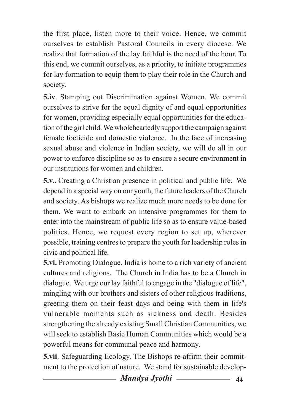the first place, listen more to their voice. Hence, we commit ourselves to establish Pastoral Councils in every diocese. We realize that formation of the lay faithful is the need of the hour. To this end, we commit ourselves, as a priority, to initiate programmes for lay formation to equip them to play their role in the Church and society.

**5.iv**. Stamping out Discrimination against Women. We commit ourselves to strive for the equal dignity of and equal opportunities for women, providing especially equal opportunities for the education of the girl child. We wholeheartedly support the campaign against female foeticide and domestic violence. In the face of increasing sexual abuse and violence in Indian society, we will do all in our power to enforce discipline so as to ensure a secure environment in our institutions for women and children.

**5.v..** Creating a Christian presence in political and public life. We depend in a special way on our youth, the future leaders of the Church and society. As bishops we realize much more needs to be done for them. We want to embark on intensive programmes for them to enter into the mainstream of public life so as to ensure value-based politics. Hence, we request every region to set up, wherever possible, training centres to prepare the youth for leadership roles in civic and political life.

**5.vi.** Promoting Dialogue. India is home to a rich variety of ancient cultures and religions. The Church in India has to be a Church in dialogue. We urge our lay faithful to engage in the "dialogue of life", mingling with our brothers and sisters of other religious traditions, greeting them on their feast days and being with them in life's vulnerable moments such as sickness and death. Besides strengthening the already existing Small Christian Communities, we will seek to establish Basic Human Communities which would be a powerful means for communal peace and harmony.

**5.vii**. Safeguarding Ecology. The Bishops re-affirm their commitment to the protection of nature. We stand for sustainable develop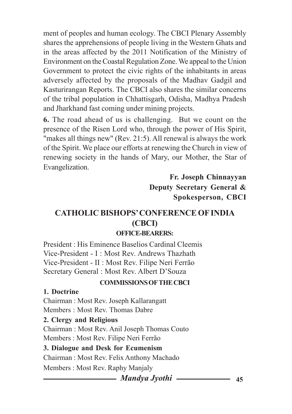ment of peoples and human ecology. The CBCI Plenary Assembly shares the apprehensions of people living in the Western Ghats and in the areas affected by the 2011 Notification of the Ministry of Environment on the Coastal Regulation Zone. We appeal to the Union Government to protect the civic rights of the inhabitants in areas adversely affected by the proposals of the Madhav Gadgil and Kasturirangan Reports. The CBCI also shares the similar concerns of the tribal population in Chhattisgarh, Odisha, Madhya Pradesh and Jharkhand fast coming under mining projects.

**6.** The road ahead of us is challenging. But we count on the presence of the Risen Lord who, through the power of His Spirit, "makes all things new" (Rev. 21:5). All renewal is always the work of the Spirit. We place our efforts at renewing the Church in view of renewing society in the hands of Mary, our Mother, the Star of Evangelization.

> **Fr. Joseph Chinnayyan Deputy Secretary General & Spokesperson, CBCI**

# **CATHOLIC BISHOPS' CONFERENCE OF INDIA (CBCI)**

### **OFFICE-BEARERS:**

President : His Eminence Baselios Cardinal Cleemis Vice-President - I : Most Rev. Andrews Thazhath Vice-President - II : Most Rev. Filipe Neri Ferrão Secretary General : Most Rev. Albert D'Souza

#### **COMMISSIONS OF THE CBCI**

#### **1. Doctrine**

Chairman : Most Rev. Joseph Kallarangatt Members : Most Rev. Thomas Dabre

#### **2. Clergy and Religious**

Chairman : Most Rev. Anil Joseph Thomas Couto Members : Most Rev. Filipe Neri Ferrão

#### **3. Dialogue and Desk for Ecumenism**

Chairman : Most Rev. Felix Anthony Machado

Members : Most Rev. Raphy Manjaly

*Mandya Jyothi* **45**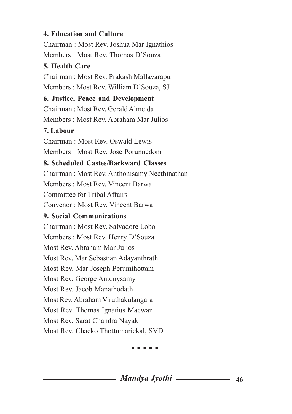### **4. Education and Culture**

Chairman : Most Rev. Joshua Mar Ignathios Members : Most Rev. Thomas D'Souza

## **5. Health Care**

Chairman : Most Rev. Prakash Mallavarapu Members : Most Rev. William D'Souza, SJ

## **6. Justice, Peace and Development**

Chairman : Most Rev. Gerald Almeida Members : Most Rev. Abraham Mar Julios

## **7. Labour**

Chairman : Most Rev. Oswald Lewis Members : Most Rev. Jose Porunnedom

## **8. Scheduled Castes/Backward Classes**

Chairman : Most Rev. Anthonisamy Neethinathan

Members : Most Rev. Vincent Barwa

Committee for Tribal Affairs

Convenor : Most Rev. Vincent Barwa

## **9. Social Communications**

Chairman : Most Rev. Salvadore Lobo Members : Most Rev. Henry D'Souza Most Rev. Abraham Mar Julios Most Rev. Mar Sebastian Adayanthrath Most Rev. Mar Joseph Perumthottam Most Rev. George Antonysamy Most Rev. Jacob Manathodath Most Rev. Abraham Viruthakulangara Most Rev. Thomas Ignatius Macwan Most Rev. Sarat Chandra Nayak Most Rev. Chacko Thottumarickal, SVD

○○○○○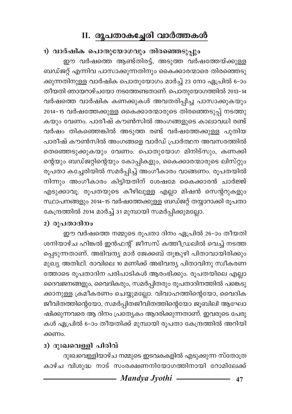# II. <u>രൂപതാകച്ചേ</u>രി വാർത്തകൾ

## 1) വാർഷിക പൊതുയോഗവും തിരഞ്ഞെടുപ്പും ഈ വർഷത്തെ ആണ്ട്തിരട്ട്, അടുത്ത വർഷത്തേയ്ക്കുള്ള ബഡ്ജറ്റ് എന്നിവ പാസാക്കുന്നതിനും കൈക്കാരന്മാരെ തിരഞ്ഞെടു ക്കുന്നതിനുള്ള വാർഷിക പൊതുയോഗം മാർച്ച് 23 നോ ഏപ്രിൽ 6<mark>−ാം</mark> തീയതി ഞായറാഴ്ചയോ നടത്തേണ്ടതാണ്. പൊതുയോഗത്തിൽ 2013-14 വർഷത്തെ വാർഷിക കണക്കുകൾ അവതരിപ്പിച്ച പാസാക്കുകയു<mark>ം</mark> 2014-15 വർഷത്തേക്കുള്ള കൈക്കാരന്മാരുടെ തിരഞ്ഞെടുപ്പ് നടത്തു .<br>കയും വേണം. പാരീഷ് കൗൺസിൽ അംഗങ്ങളുടെ കാലാവധി രണ്ട് വർഷം തികഞ്ഞെങ്കിൽ അടുത്ത രണ്ട് വർഷത്തേക്കുള്ള പുതിയ പാരീഷ് കൗൺസിൽ അംഗങ്ങളെ വാർഡ് പ്രാർത്ഥന അവസരത്തിൽ തെഞ്ഞെടുക്കുകയും <mark>വേണം. പൊ</mark>തുയോഗ മിനിട്സും, കണക്കി ന്റെയും ബഡ്ജറ്റിന്റെയും കോപ്പികളും, കൈക്കാരന്മാരുടെ ലിസ്റ്റും രൂപതാ കച്ചേരിയിൽ സമർപ്പിച്ച് അംഗീകാരം വാങ്ങണം. രൂപതയിൽ നിന്നും അംഗീകാരം കിട്ടിയതിന് ശേഷമേ കൈക്കാരൻ ചാർജ്ജ് എടുക്കാവൂ. രൂപതയുടെ കീഴിലുള്ള എല്ലാ മിഷൻ സെന്ററുകളും സ്ഥാപനങ്ങളും 2014–15 വർഷത്തേക്കുള്ള ബഡ്ജറ്റ് തയ്യാറാക്കി രൂപതാ കേന്ദ്രത്തിൽ 2014 മാർച്ച് 31 മുമ്പായി സമർപ്പിക്കുമല്ലോ.

### 2) രൂപതാദിനം

ഈ വർഷത്തെ നമ്മുടെ രൂപതാ ദിനം ഏപ്രിൽ 26-ാം തീയതി ശനിയാഴ്ച ഹിങ്കൽ ഇൻഫന്റ് ജീസസ് കത്തീഡ്രലിൽ വെച്ച് നടത്ത പ്പെടുന്നതാണ്. അഭിവന്ദ്യ മാർ ജേക്കബ് തൂങ്കുഴി പിതാവായിരിക്കു<mark>ം</mark> മുഖ്യ അതിഥി. രാവിലെ 10 മണിക്ക് അഭിവന്ദ്യ പിതാവിനു സ്ഥീകരണ ത്തോടെ രൂപതാദിന പരിപാടികൾ ആരംഭിക്കും. രൂപതയിലെ എല്ലാ ദൈവജനങ്ങളും, വൈദികരും, സമർപ്പിതരും രൂപതാദിനത്തിൽ പങ്കെടു ക്കാനുള്ള ക്രമീകരണം ചെയ്യുമല്ലോ. <mark>വിവാഹ</mark>ത്തിന്റെയോ, വൈദിക ജീവിതത്തിന്റെയോ, സമർപ്പിതജീവിതത്തിന്റെയോ ജൂബിലി ആഘോ ഷിക്കുന്നവരെ ആ ദിനം പ്രത്യേകം ആദരിക്കുന്നതാണ്. ഇവരുടെ പേരു കൾ ഏപ്രിൽ 6–ാം തീയതിക്ക് മുമ്പായി രൂപതാ കേന്ദ്രത്തിൽ അറിയി ക്കണം.

### 3) ദുഃഖവെള്ളി **പിരി**വ്

ദുഃഖവെള്ളിയാഴ്ച നമ്മുടെ ഇടവകകളിൽ എടുക്കുന്ന സ്തോത്ര കാഴ്ച വിശുദ്ധ നാട് സംരക്ഷണനിയോഗത്തിനായി റോമിലേക്ക്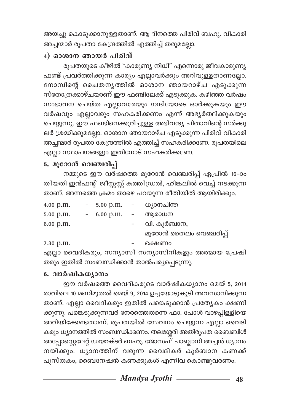അയച്ചു കൊടുക്കാനുള്ളതാണ്. ആ ദിനത്തെ പിരിവ് ബഹു. വികാരി അച്ചന്മാർ രൂപതാ കേന്ദ്രത്തിൽ എത്തിച്ച് തരുമല്ലോ.

### 4) ഓശാന ഞായ**ർ** പിരിവ്

 $\alpha$ പതയുടെ കീഴിൽ "കാരുണ്യ നിധി" എന്നൊരു ജീവകാരുണ്യ ഫണ്ട് പ്രവർത്തിക്കുന്ന കാര്യം എല്ലാവർക്കും അറിവുള്ളതാണല്ലോ. നോമ്പിന്റെ ചൈതനൃത്തിൽ ഓശാന ഞായറാഴ്ച എടുക്കുന്ന .<br>സ്തോത്രക്കാഴ്ചയാണ് ഈ ഫണ്ടിലേക്ക് എടുക്കുക. കഴിഞ്ഞ വർഷം സംഭാവന ചെയ്ത എല്ലാവരേയും നന്ദിയോടെ ഓർക്കുകയും ഈ .<br>വർഷവും എല്ലാവരും സഹകരിക്കണം എന്ന് അഭൃർത്ഥിക്കുകയും ചെയ്യുന്നു. ഈ ഫണ്ടിനെക്കുറിച്ചുള്ള അഭിവന്ദ്യ പിതാവിന്റെ സർക്കു ലർ ശ്രദ്ധിക്കുമല്ലോ. ഓശാന ഞായറാഴ്ച എടുക്കുന്ന പിരിവ് വികാരി .<br>അച്ചന്മാർ രൂപതാ കേന്ദ്രത്തിൽ എത്തിച്ച് സഹകരിക്കണേ. രൂപതയിലെ എല്ലാ സ്ഥാപനങ്ങളും ഇതിനോട് സഹകരിക്കണേ.

## 5. മൂറോൻ വെഞ്ചരി**പ്പ്**

നമ്മുടെ ഈ വർഷത്തെ മൂറോൻ വെഞ്ചരിപ്പ് ഏപ്രിൽ 16-ാം തീയതി ഇൻഫന്റ് ജീസ്സസ്സ് കത്തീഡ്രൽ, ഹിങ്കലിൽ വെച്ച് നടക്കുന്ന താണ്. അന്നത്തെ ക്രമം താഴെ പറയുന്ന രീതിയിൽ ആയിരിക്കും.

| $4.00$ $p.m.$ |                  | – 5.00 p.m. – ധ്യാനചിന്ത |
|---------------|------------------|--------------------------|
| $5.00$ $p.m.$ | $-6.00$ p.m. $-$ | അരാധന                    |
| $6.00$ $p.m.$ |                  | വി. കുർബാന,              |
|               |                  | മൂറോൻ തൈലം വെഞ്ചരിപ്പ്   |
| 7.30 p.m.     |                  | ഭക്ഷണം                   |

എല്ലാ വൈദികരും, സന്യാസീ സന്യാസിനികളും അത്മായ പ്രേഷി തരും ഇതിൽ സംബന്ധിക്കാൻ താൽപര്യപ്പെടുന്നു.

## **6. വാർഷികധ്യാനം**

ഈ വർഷത്തെ വൈദികരുടെ വാർഷികധ്യാനം മെയ് 5, 2014 രാവിലെ 10 മണിമുതൽ മെയ് 9, 2014 ഉച്ചയോടുകൂടി അവസാനിക്കുന്ന താണ്. എല്ലാ വൈദികരും ഇതിൽ പങ്കെടുക്കാൻ പ്രത്യേകം ക്ഷണി ക്കുന്നു. പങ്കെടുക്കുന്നവർ നേരത്തെതന്നെ ഫാ. പോൾ വാഴപ്പിള്ളിയെ അറിയിക്കേണ്ടതാണ്. രൂപതയിൽ സേവനം ചെയ്യുന്ന എല്ലാ വൈദി കരും ധ്യാനത്തിൽ സംബന്ധിക്കണം. തലശ്ശേരി അതിരൂപത ബൈബിൾ അപ്പോസ്റ്റെലേറ്റ് ഡയറക്ടർ ബഹു. ജോസഫ് പാബ്ലാനി അച്ചൻ ധ്യാനം നയിക്കും. ധൃാനത്തിന് വരുന്ന വൈദികർ കുർബാന കണക്ക് പുസ്തകം, ബൈനേഷൻ കണക്കുകൾ എന്നിവ കൊണ്ടുവരണ<mark>ം</mark>.

*Mandya Jyothi* **48**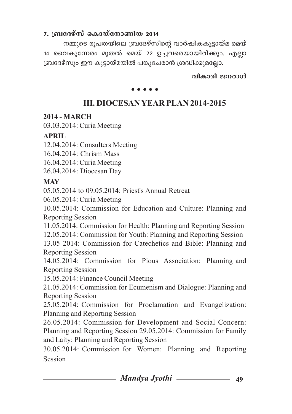### 7. ബ്രദേഴ്സ് കൊയ്നോണിയ 2014

നമ്മുടെ രൂപതയിലെ ബ്രദേഴ്സിന്റെ വാർഷികകൂട്ടായ്മ മെയ് 14 വൈകുന്നേരം മുതൽ മെയ് 22 ഉച്ചവരെയായിരിക്കും. എല്ലാ  $_{1}$ ബദേഴ്സും ഈ കൂട്ടായ്മയിൽ പങ്കുചേരാൻ ശ്രദ്ധിക്കുമല്ലോ.

വികാരി ജനറാൾ

#### ○○○○○

## **III. DIOCESAN YEAR PLAN 2014-2015**

### **2014 - MARCH**

03.03.2014: Curia Meeting

### **APRIL**

12.04.2014: Consulters Meeting

16.04.2014: Chrism Mass

16.04.2014: Curia Meeting

26.04.2014: Diocesan Day

### **MAY**

05.05.2014 to 09.05.2014: Priest's Annual Retreat

06.05.2014: Curia Meeting

10.05.2014: Commission for Education and Culture: Planning and Reporting Session

11.05.2014: Commission for Health: Planning and Reporting Session

12.05.2014: Commission for Youth: Planning and Reporting Session

13.05 2014: Commission for Catechetics and Bible: Planning and Reporting Session

14.05.2014: Commission for Pious Association: Planning and Reporting Session

15.05.2014: Finance Council Meeting

21.05.2014: Commission for Ecumenism and Dialogue: Planning and Reporting Session

25.05.2014: Commission for Proclamation and Evangelization: Planning and Reporting Session

26.05.2014: Commission for Development and Social Concern: Planning and Reporting Session 29.05.2014: Commission for Family and Laity: Planning and Reporting Session

30.05.2014: Commission for Women: Planning and Reporting Session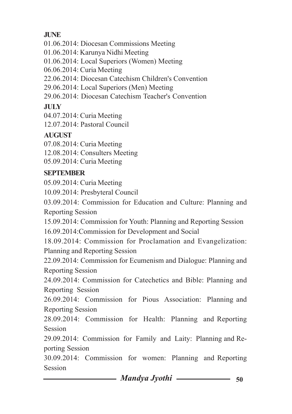### **JUNE**

01.06.2014: Diocesan Commissions Meeting

01.06.2014: Karunya Nidhi Meeting

01.06.2014: Local Superiors (Women) Meeting

06.06.2014: Curia Meeting

22.06.2014: Diocesan Catechism Children's Convention

29.06.2014: Local Superiors (Men) Meeting

29.06.2014: Diocesan Catechism Teacher's Convention

## $JUIX$

04.07.2014: Curia Meeting

12.07.2014: Pastoral Council

## **AUGUST**

07.08.2014: Curia Meeting

12.08.2014: Consulters Meeting

05.09.2014: Curia Meeting

## **SEPTEMBER**

05.09.2014: Curia Meeting

10.09.2014: Presbyteral Council

03.09.2014: Commission for Education and Culture: Planning and Reporting Session

15.09.2014: Commission for Youth: Planning and Reporting Session 16.09.2014:Commission for Development and Social

18.09.2014: Commission for Proclamation and Evangelization: Planning and Reporting Session

22.09.2014: Commission for Ecumenism and Dialogue: Planning and Reporting Session

24.09.2014: Commission for Catechetics and Bible: Planning and Reporting Session

26.09.2014: Commission for Pious Association: Planning and Reporting Session

28.09.2014: Commission for Health: Planning and Reporting Session

29.09.2014: Commission for Family and Laity: Planning and Reporting Session

30.09.2014: Commission for women: Planning and Reporting Session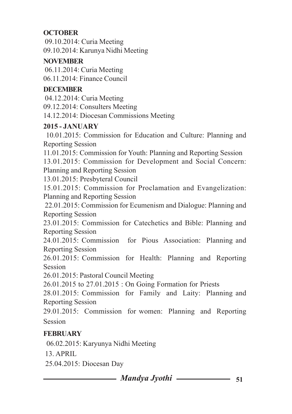### **OCTOBER**

 09.10.2014: Curia Meeting 09.10.2014: Karunya Nidhi Meeting

### **NOVEMBER**

 06.11.2014: Curia Meeting 06.11.2014: Finance Council

### **DECEMBER**

 04.12.2014: Curia Meeting 09.12.2014: Consulters Meeting

14.12.2014: Diocesan Commissions Meeting

### **2015 - JANUARY**

 10.01.2015: Commission for Education and Culture: Planning and Reporting Session

11.01.2015: Commission for Youth: Planning and Reporting Session

13.01.2015: Commission for Development and Social Concern: Planning and Reporting Session

13.01.2015: Presbyteral Council

15.01.2015: Commission for Proclamation and Evangelization: Planning and Reporting Session

 22.01.2015: Commission for Ecumenism and Dialogue: Planning and Reporting Session

23.01.2015: Commission for Catechetics and Bible: Planning and Reporting Session

24.01.2015: Commission for Pious Association: Planning and Reporting Session

26.01.2015: Commission for Health: Planning and Reporting Session

26.01.2015: Pastoral Council Meeting

26.01.2015 to 27.01.2015 : On Going Formation for Priests

28.01.2015: Commission for Family and Laity: Planning and Reporting Session

29.01.2015: Commission for women: Planning and Reporting Session

### **FEBRUARY**

06.02.2015: Karyunya Nidhi Meeting

13. APRIL

25.04.2015: Diocesan Day

*Mandya Jyothi* — 51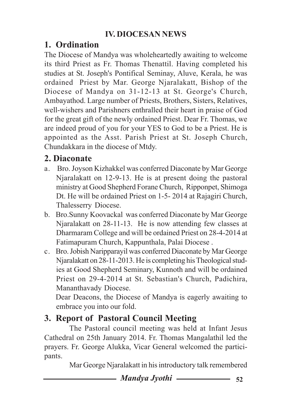## **IV. DIOCESAN NEWS**

## **1. Ordination**

The Diocese of Mandya was wholeheartedly awaiting to welcome its third Priest as Fr. Thomas Thenattil. Having completed his studies at St. Joseph's Pontifical Seminay, Aluve, Kerala, he was ordained Priest by Mar. George Njaralakatt, Bishop of the Diocese of Mandya on 31-12-13 at St. George's Church, Ambayathod. Large number of Priests, Brothers, Sisters, Relatives, well-wishers and Parishners enthralled their heart in praise of God for the great gift of the newly ordained Priest. Dear Fr. Thomas, we are indeed proud of you for your YES to God to be a Priest. He is appointed as the Asst. Parish Priest at St. Joseph Church, Chundakkara in the diocese of Mtdy.

## **2. Diaconate**

- a. Bro. Joyson Kizhakkel was conferred Diaconate by Mar George Njaralakatt on 12-9-13. He is at present doing the pastoral ministry at Good Shepherd Forane Church, Ripponpet, Shimoga Dt. He will be ordained Priest on 1-5- 2014 at Rajagiri Church, Thalesserry Diocese.
- b. Bro.Sunny Koovackal was conferred Diaconate by Mar George Njaralakatt on 28-11-13. He is now attending few classes at Dharmaram College and will be ordained Priest on 28-4-2014 at Fatimapuram Church, Kappunthala, Palai Diocese .
- c. Bro. Jobish Naripparayil was conferred Diaconate by Mar George Njaralakatt on 28-11-2013. He is completing his Theological studies at Good Shepherd Seminary, Kunnoth and will be ordained Priest on 29-4-2014 at St. Sebastian's Church, Padichira, Mananthavady Diocese.

Dear Deacons, the Diocese of Mandya is eagerly awaiting to embrace you into our fold.

# **3. Report of Pastoral Council Meeting**

The Pastoral council meeting was held at Infant Jesus Cathedral on 25th January 2014. Fr. Thomas Mangalathil led the prayers. Fr. George Alukka, Vicar General welcomed the participants.

Mar George Njaralakatt in his introductory talk remembered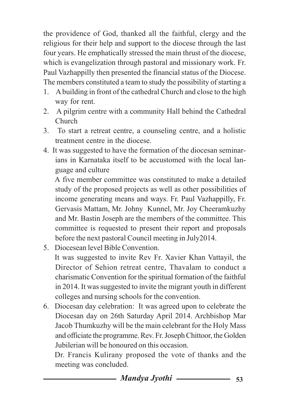the providence of God, thanked all the faithful, clergy and the religious for their help and support to the diocese through the last four years. He emphatically stressed the main thrust of the diocese, which is evangelization through pastoral and missionary work. Fr. Paul Vazhappilly then presented the financial status of the Diocese. The members constituted a team to study the possibility of starting a

- 1. A building in front of the cathedral Church and close to the high way for rent.
- 2. A pilgrim centre with a community Hall behind the Cathedral Church
- 3. To start a retreat centre, a counseling centre, and a holistic treatment centre in the diocese.
- 4. It was suggested to have the formation of the diocesan seminarians in Karnataka itself to be accustomed with the local language and culture

A five member committee was constituted to make a detailed study of the proposed projects as well as other possibilities of income generating means and ways. Fr. Paul Vazhappilly, Fr. Gervasis Mattam, Mr. Johny Kunnel, Mr. Joy Cheeramkuzhy and Mr. Bastin Joseph are the members of the committee. This committee is requested to present their report and proposals before the next pastoral Council meeting in July2014.

5. Diocesean level Bible Convention.

It was suggested to invite Rev Fr. Xavier Khan Vattayil, the Director of Sehion retreat centre, Thavalam to conduct a charismatic Convention for the spiritual formation of the faithful in 2014. It was suggested to invite the migrant youth in different colleges and nursing schools for the convention.

6. Diocesan day celebration: It was agreed upon to celebrate the Diocesan day on 26th Saturday April 2014. Archbishop Mar Jacob Thumkuzhy will be the main celebrant for the Holy Mass and officiate the programme. Rev. Fr. Joseph Chittoor, the Golden Jubilerian will be honoured on this occasion.

Dr. Francis Kulirany proposed the vote of thanks and the meeting was concluded.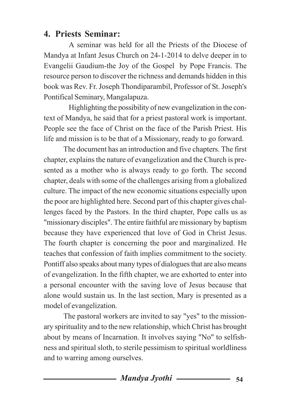# **4. Priests Seminar:**

A seminar was held for all the Priests of the Diocese of Mandya at Infant Jesus Church on 24-1-2014 to delve deeper in to Evangelii Gaudium-the Joy of the Gospel by Pope Francis. The resource person to discover the richness and demands hidden in this book was Rev. Fr. Joseph Thondiparambil, Professor of St. Joseph's Pontifical Seminary, Mangalapuza.

Highlighting the possibility of new evangelization in the context of Mandya, he said that for a priest pastoral work is important. People see the face of Christ on the face of the Parish Priest. His life and mission is to be that of a Missionary, ready to go forward.

The document has an introduction and five chapters. The first chapter, explains the nature of evangelization and the Church is presented as a mother who is always ready to go forth. The second chapter, deals with some of the challenges arising from a globalized culture. The impact of the new economic situations especially upon the poor are highlighted here. Second part of this chapter gives challenges faced by the Pastors. In the third chapter, Pope calls us as "missionary disciples". The entire faithful are missionary by baptism because they have experienced that love of God in Christ Jesus. The fourth chapter is concerning the poor and marginalized. He teaches that confession of faith implies commitment to the society. Pontiff also speaks about many types of dialogues that are also means of evangelization. In the fifth chapter, we are exhorted to enter into a personal encounter with the saving love of Jesus because that alone would sustain us. In the last section, Mary is presented as a model of evangelization.

The pastoral workers are invited to say "yes" to the missionary spirituality and to the new relationship, which Christ has brought about by means of Incarnation. It involves saying "No" to selfishness and spiritual sloth, to sterile pessimism to spiritual worldliness and to warring among ourselves.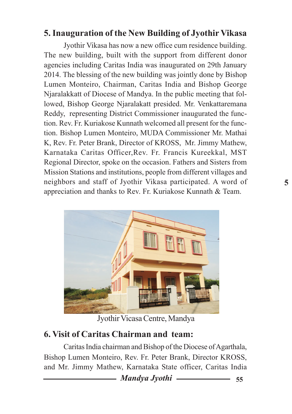## **5. Inauguration of the New Building of Jyothir Vikasa**

Jyothir Vikasa has now a new office cum residence building. The new building, built with the support from different donor agencies including Caritas India was inaugurated on 29th January 2014. The blessing of the new building was jointly done by Bishop Lumen Monteiro, Chairman, Caritas India and Bishop George Njaralakkatt of Diocese of Mandya. In the public meeting that followed, Bishop George Njaralakatt presided. Mr. Venkattaremana Reddy, representing District Commissioner inaugurated the function. Rev. Fr. Kuriakose Kunnath welcomed all present for the function. Bishop Lumen Monteiro, MUDA Commissioner Mr. Mathai K, Rev. Fr. Peter Brank, Director of KROSS, Mr. Jimmy Mathew, Karnataka Caritas Officer,Rev. Fr. Francis Kureekkal, MST Regional Director, spoke on the occasion. Fathers and Sisters from Mission Stations and institutions, people from different villages and neighbors and staff of Jyothir Vikasa participated. A word of appreciation and thanks to Rev. Fr. Kuriakose Kunnath & Team.



Jyothir Vicasa Centre, Mandya

## **6. Visit of Caritas Chairman and team:**

Caritas India chairman and Bishop of the Diocese of Agarthala, Bishop Lumen Monteiro, Rev. Fr. Peter Brank, Director KROSS, and Mr. Jimmy Mathew, Karnataka State officer, Caritas India

*Mandya Jyothi* **55**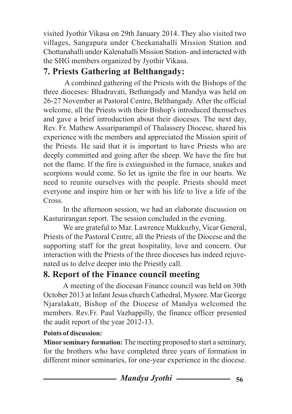visited Jyothir Vikasa on 29th January 2014. They also visited two villages, Sangapura under Cheekanahalli Mission Station and Chottanahalli under Kalenahalli Mission Station- and interacted with the SHG members organized by Jyothir Vikasa.

# **7. Priests Gathering at Belthangady:**

 A combined gathering of the Priests with the Bishops of the three dioceses: Bhadravati, Bethangady and Mandya was held on 26-27 November at Pastoral Centre, Belthangady. After the official welcome, all the Priests with their Bishop's introduced themselves and gave a brief introduction about their dioceses. The next day, Rev. Fr. Mathew Assariparampil of Thalassery Diocese, shared his experience with the members and appreciated the Mission spirit of the Priests. He said that it is important to have Priests who are deeply committed and going after the sheep. We have the fire but not the flame. If the fire is extinguished in the furnace, snakes and scorpions would come. So let us ignite the fire in our hearts. We need to reunite ourselves with the people. Priests should meet everyone and inspire him or her with his life to live a life of the Cross.

In the afternoon session, we had an elaborate discussion on Kasturirangan report. The session concluded in the evening.

We are grateful to Mar. Lawrence Mukkuzhy, Vicar General, Priests of the Pastoral Centre, all the Priests of the Diocese and the supporting staff for the great hospitality, love and concern. Our interaction with the Priests of the three dioceses has indeed rejuvenated us to delve deeper into the Priestly call.

# **8. Report of the Finance council meeting**

A meeting of the diocesan Finance council was held on 30th October 2013 at Infant Jesus church Cathedral, Mysore. Mar George Njaralakatt, Bishop of the Diocese of Mandya welcomed the members. Rev.Fr. Paul Vazhappilly, the finance officer presented the audit report of the year 2012-13.

## **Points of discussion:**

**Minor seminary formation:** The meeting proposed to start a seminary, for the brothers who have completed three years of formation in different minor seminaries, for one-year experience in the diocese.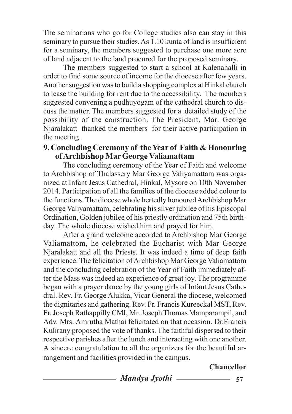The seminarians who go for College studies also can stay in this seminary to pursue their studies. As 1.10 kunta of land is insufficient for a seminary, the members suggested to purchase one more acre of land adjacent to the land procured for the proposed seminary.

The members suggested to start a school at Kalenahalli in order to find some source of income for the diocese after few years. Another suggestion was to build a shopping complex at Hinkal church to lease the building for rent due to the accessibility. The members suggested convening a pudhuyogam of the cathedral church to discuss the matter. The members suggested for a detailed study of the possibility of the construction. The President, Mar. George Njaralakatt thanked the members for their active participation in the meeting.

### **9. Concluding Ceremony of the Year of Faith & Honouring of Archbishop Mar George Valiamattam**

The concluding ceremony of the Year of Faith and welcome to Archbishop of Thalassery Mar George Valiyamattam was organized at Infant Jesus Cathedral, Hinkal, Mysore on 10th November 2014. Participation of all the families of the diocese added colour to the functions. The diocese whole hertedly honoured Archbishop Mar George Valiyamattam, celebrating his silver jubilee of his Episcopal Ordination, Golden jubilee of his priestly ordination and 75th birthday. The whole diocese wished him and prayed for him.

After a grand welcome accorded to Archbishop Mar George Valiamattom, he celebrated the Eucharist with Mar George Njaralakatt and all the Priests. It was indeed a time of deep faith experience. The felicitation of Archbishop Mar George Valiamattom and the concluding celebration of the Year of Faith immediately after the Mass was indeed an experience of great joy. The programme began with a prayer dance by the young girls of Infant Jesus Cathedral. Rev. Fr. George Alukka, Vicar General the diocese, welcomed the dignitaries and gathering. Rev. Fr. Francis Kureeckal MST, Rev. Fr. Joseph Rathappilly CMI, Mr. Joseph Thomas Mamparampil, and Adv. Mrs. Amrutha Mathai felicitated on that occasion. Dr.Francis Kulirany proposed the vote of thanks. The faithful dispersed to their respective parishes after the lunch and interacting with one another. A sincere congratulation to all the organizers for the beautiful arrangement and facilities provided in the campus.

#### **Chancellor**

*Mandya Jyothi* – 57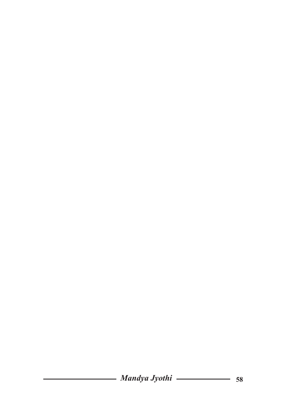*Mandya Jyothi* **1997** 58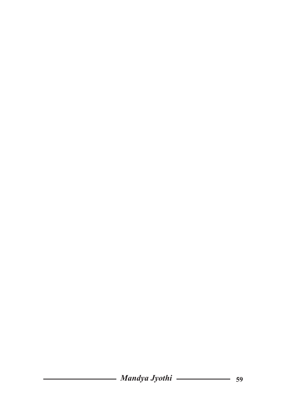*Mandya Jyothi* – 59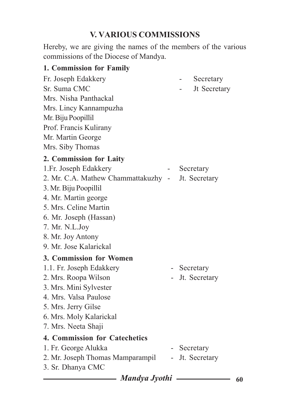## **V. VARIOUS COMMISSIONS**

Hereby, we are giving the names of the members of the various commissions of the Diocese of Mandya.

### **1. Commission for Family**

| Fr. Joseph Edakkery                               | Secretary     |  |
|---------------------------------------------------|---------------|--|
| Sr. Suma CMC                                      | Jt Secretary  |  |
| Mrs. Nisha Panthackal                             |               |  |
| Mrs. Lincy Kannampuzha                            |               |  |
| Mr. Biju Poopillil                                |               |  |
| Prof. Francis Kulirany                            |               |  |
| Mr. Martin George                                 |               |  |
| Mrs. Siby Thomas                                  |               |  |
| 2. Commission for Laity                           |               |  |
| 1.Fr. Joseph Edakkery                             | Secretary     |  |
| 2. Mr. C.A. Mathew Chammattakuzhy - Jt. Secretary |               |  |
| 3. Mr. Biju Poopillil                             |               |  |
| 4. Mr. Martin george                              |               |  |
| 5. Mrs. Celine Martin                             |               |  |
| 6. Mr. Joseph (Hassan)                            |               |  |
| 7. Mr. N.L.Joy                                    |               |  |
| 8. Mr. Joy Antony                                 |               |  |
| 9. Mr. Jose Kalarickal                            |               |  |
| 3. Commission for Women                           |               |  |
| 1.1. Fr. Joseph Edakkery                          | Secretary     |  |
| 2. Mrs. Roopa Wilson                              | Jt. Secretary |  |
| 3. Mrs. Mini Sylvester                            |               |  |
| 4. Mrs. Valsa Paulose                             |               |  |
| 5. Mrs. Jerry Gilse                               |               |  |
| 6. Mrs. Moly Kalarickal                           |               |  |
| 7. Mrs. Neeta Shaji                               |               |  |
| 4. Commission for Catechetics                     |               |  |
| 1. Fr. George Alukka                              | Secretary     |  |
| 2. Mr. Joseph Thomas Mamparampil                  | Jt. Secretary |  |
| 3. Sr. Dhanya CMC                                 |               |  |
| – Mandya Jyothi                                   | 60            |  |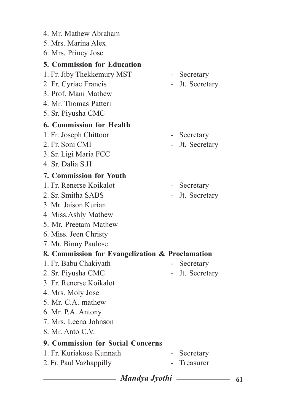- 4. Mr. Mathew Abraham
- 5. Mrs. Marina Alex
- 6. Mrs. Princy Jose

### **5. Commission for Education**

- 1. Fr. Jiby Thekkemury MST Secretary
- 2. Fr. Cyriac Francis Jt. Secretary
- 3. Prof. Mani Mathew
- 4. Mr. Thomas Patteri
- 5. Sr. Piyusha CMC

### **6. Commission for Health**

- 1. Fr. Joseph Chittoor Secretary
- 2. Fr. Soni CMI Jt. Secretary
- 3. Sr. Ligi Maria FCC
- 4. Sr. Dalia S.H

### **7. Commission for Youth**

- 1. Fr. Renerse Koikalot Secretary
- 2. Sr. Smitha SABS Jt. Secretary
- 3. Mr. Jaison Kurian
- 4 Miss.Ashly Mathew
- 5. Mr. Preetam Mathew
- 6. Miss. Jeen Christy
- 7. Mr. Binny Paulose

### **8. Commission for Evangelization & Proclamation**

- 1. Fr. Babu Chakiyath Secretary
- 2. Sr. Piyusha CMC Jt. Secretary
- 3. Fr. Renerse Koikalot
- 4. Mrs. Moly Jose
- 5. Mr. C.A. mathew
- 6. Mr. P.A. Antony
- 7. Mrs. Leena Johnson
- 8. Mr. Anto C.V.

### **9. Commission for Social Concerns**

- 1. Fr. Kuriakose Kunnath Secretary
- 2. Fr. Paul Vazhappilly Treasurer
- 
- 

- 
- 
- 

- 
- 

— *Mandya Jyothi* — 61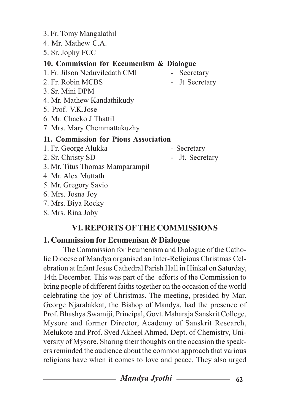- 3. Fr. Tomy Mangalathil
- 4. Mr. Mathew C.A.
- 5. Sr. Jophy FCC

### **10. Commission for Eccumenism & Dialogue**

- 1. Fr. Jilson Neduviledath CMI Secretary
- 2. Fr. Robin MCBS Jt Secretary
- 
- 3. Sr. Mini DPM
- 4. Mr. Mathew Kandathikudy
- 5. Prof. V.K.Jose
- 6. Mr. Chacko J Thattil
- 7. Mrs. Mary Chemmattakuzhy

### **11. Commission for Pious Association**

- 1. Fr. George Alukka Secretary
- 2. Sr. Christy SD Jt. Secretary
- -
- 3. Mr. Titus Thomas Mamparampil
- 4. Mr. Alex Muttath
- 5. Mr. Gregory Savio
- 6. Mrs. Josna Joy
- 7. Mrs. Biya Rocky
- 8. Mrs. Rina Joby

# **VI. REPORTS OF THE COMMISSIONS**

## **1. Commission for Ecumenism & Dialogue**

The Commission for Ecumenism and Dialogue of the Catholic Diocese of Mandya organised an Inter-Religious Christmas Celebration at Infant Jesus Cathedral Parish Hall in Hinkal on Saturday, 14th December. This was part of the efforts of the Commission to bring people of different faiths together on the occasion of the world celebrating the joy of Christmas. The meeting, presided by Mar. George Njaralakkat, the Bishop of Mandya, had the presence of Prof. Bhashya Swamiji, Principal, Govt. Maharaja Sanskrit College, Mysore and former Director, Academy of Sanskrit Research, Melukote and Prof. Syed Akheel Ahmed, Dept. of Chemistry, University of Mysore. Sharing their thoughts on the occasion the speakers reminded the audience about the common approach that various religions have when it comes to love and peace. They also urged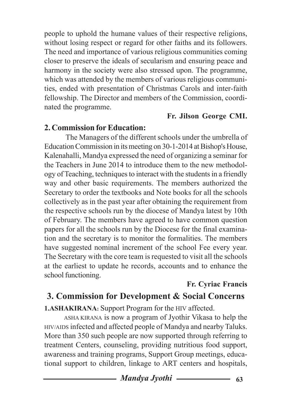people to uphold the humane values of their respective religions, without losing respect or regard for other faiths and its followers. The need and importance of various religious communities coming closer to preserve the ideals of secularism and ensuring peace and harmony in the society were also stressed upon. The programme, which was attended by the members of various religious communities, ended with presentation of Christmas Carols and inter-faith fellowship. The Director and members of the Commission, coordinated the programme.

### **Fr. Jilson George CMI.**

## **2. Commission for Education:**

 The Managers of the different schools under the umbrella of Education Commission in its meeting on 30-1-2014 at Bishop's House, Kalenahalli, Mandya expressed the need of organizing a seminar for the Teachers in June 2014 to introduce them to the new methodology of Teaching, techniques to interact with the students in a friendly way and other basic requirements. The members authorized the Secretary to order the textbooks and Note books for all the schools collectively as in the past year after obtaining the requirement from the respective schools run by the diocese of Mandya latest by 10th of February. The members have agreed to have common question papers for all the schools run by the Diocese for the final examination and the secretary is to monitor the formalities. The members have suggested nominal increment of the school Fee every year. The Secretary with the core team is requested to visit all the schools at the earliest to update he records, accounts and to enhance the school functioning.

## **Fr. Cyriac Francis**

# **3. Commission for Development & Social Concerns**

**1.ASHAKIRANA:** Support Program for the HIV affected.

ASHA KIRANA is now a program of Jyothir Vikasa to help the HIV/AIDS infected and affected people of Mandya and nearby Taluks. More than 350 such people are now supported through referring to treatment Centers, counseling, providing nutritious food support, awareness and training programs, Support Group meetings, educational support to children, linkage to ART centers and hospitals,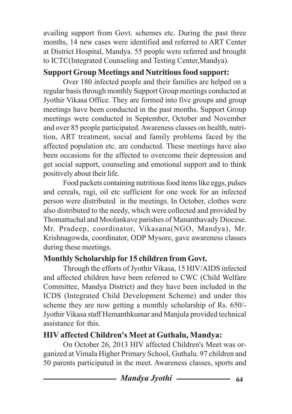availing support from Govt. schemes etc. During the past three months, 14 new cases were identified and referred to ART Center at District Hospital, Mandya. 55 people were referred and brought to ICTC(Integrated Counseling and Testing Center,Mandya).

## **Support Group Meetings and Nutritious food support:**

Over 180 infected people and their families are helped on a regular basis through monthly Support Group meetings conducted at Jyothir Vikasa Office. They are formed into five groups and group meetings have been conducted in the past months. Support Group meetings were conducted in September, October and November and over 85 people participated. Awareness classes on health, nutrition, ART treatment, social and family problems faced by the affected population etc. are conducted. These meetings have also been occasions for the affected to overcome their depression and get social support, counseling and emotional support and to think positively about their life.

Food packets containing nutritious food items like eggs, pulses and cereals, ragi, oil etc sufficient for one week for an infected person were distributed in the meetings. In October, clothes were also distributed to the needy, which were collected and provided by Thomattuchal and Moolankave parishes of Mananthavady Diocese. Mr. Pradeep, coordinator, Vikasana(NGO, Mandya), Mr. Krishnagowda, coordinator, ODP Mysore, gave awareness classes during these meetings.

## **Monthly Scholarship for 15 children from Govt.**

Through the efforts of Jyothir Vikasa, 15 HIV/AIDS infected and affected children have been referred to CWC (Child Welfare Committee, Mandya District) and they have been included in the ICDS (Integrated Child Development Scheme) and under this scheme they are now getting a monthly scholarship of Rs. 650/- Jyothir Vikasa staff Hemanthkumar and Manjula provided technical assistance for this.

## **HIV affected Children's Meet at Guthalu, Mandya:**

On October 26, 2013 HIV affected Children's Meet was organized at Vimala Higher Primary School, Guthalu. 97 children and 50 parents participated in the meet. Awareness classes, sports and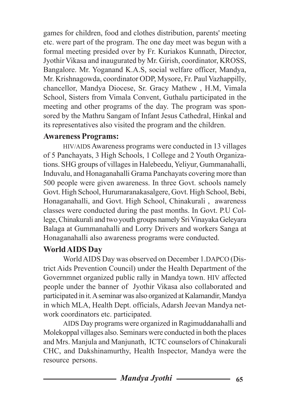games for children, food and clothes distribution, parents' meeting etc. were part of the program. The one day meet was begun with a formal meeting presided over by Fr. Kuriakos Kunnath, Director, Jyothir Vikasa and inaugurated by Mr. Girish, coordinator, KROSS, Bangalore. Mr. Yoganand K.A.S, social welfare officer, Mandya, Mr. Krishnagowda, coordinator ODP, Mysore, Fr. Paul Vazhappilly, chancellor, Mandya Diocese, Sr. Gracy Mathew , H.M, Vimala School, Sisters from Vimala Convent, Guthalu participated in the meeting and other programs of the day. The program was sponsored by the Mathru Sangam of Infant Jesus Cathedral, Hinkal and its representatives also visited the program and the children.

### **Awareness Programs:**

HIV/AIDS Awareness programs were conducted in 13 villages of 5 Panchayats, 3 High Schools, 1 College and 2 Youth Organizations. SHG groups of villages in Halebeedu, Yeliyur, Gummanahalli, Induvalu, and Honaganahalli Grama Panchayats covering more than 500 people were given awareness. In three Govt. schools namely Govt. High School, Hurumaranakasalgere, Govt. High School, Bebi, Honaganahalli, and Govt. High School, Chinakurali , awareness classes were conducted during the past months. In Govt. P.U College, Chinakurali and two youth groups namely Sri Vinayaka Geleyara Balaga at Gummanahalli and Lorry Drivers and workers Sanga at Honaganahalli also awareness programs were conducted.

## **World AIDS Day**

World AIDS Day was observed on December 1.DAPCO (District Aids Prevention Council) under the Health Department of the Governmnet organized public rally in Mandya town. HIV affected people under the banner of Jyothir Vikasa also collaborated and participated in it. A seminar was also organized at Kalamandir, Mandya in which MLA, Health Dept. officials, Adarsh Jeevan Mandya network coordinators etc. participated.

AIDS Day programs were organized in Ragimuddanahalli and Molekoppal villages also. Seminars were conducted in both the places and Mrs. Manjula and Manjunath, ICTC counselors of Chinakurali CHC, and Dakshinamurthy, Health Inspector, Mandya were the resource persons.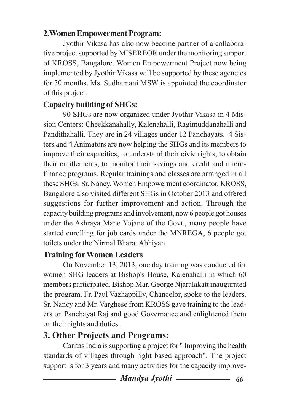## **2.Women Empowerment Program:**

Jyothir Vikasa has also now become partner of a collaborative project supported by MISEREOR under the monitoring support of KROSS, Bangalore. Women Empowerment Project now being implemented by Jyothir Vikasa will be supported by these agencies for 30 months. Ms. Sudhamani MSW is appointed the coordinator of this project.

# **Capacity building of SHGs:**

90 SHGs are now organized under Jyothir Vikasa in 4 Mission Centers: Cheekkanahally, Kalenahalli, Ragimuddanahalli and Pandithahalli. They are in 24 villages under 12 Panchayats. 4 Sisters and 4 Animators are now helping the SHGs and its members to improve their capacities, to understand their civic rights, to obtain their entitlements, to monitor their savings and credit and microfinance programs. Regular trainings and classes are arranged in all these SHGs. Sr. Nancy, Women Empowerment coordinator, KROSS, Bangalore also visited different SHGs in October 2013 and offered suggestions for further improvement and action. Through the capacity building programs and involvement, now 6 people got houses under the Ashraya Mane Yojane of the Govt., many people have started enrolling for job cards under the MNREGA, 6 people got toilets under the Nirmal Bharat Abhiyan.

## **Training for Women Leaders**

On November 13, 2013, one day training was conducted for women SHG leaders at Bishop's House, Kalenahalli in which 60 members participated. Bishop Mar. George Njaralakatt inaugurated the program. Fr. Paul Vazhappilly, Chancelor, spoke to the leaders. Sr. Nancy and Mr. Varghese from KROSS gave training to the leaders on Panchayat Raj and good Governance and enlightened them on their rights and duties.

# **3. Other Projects and Programs:**

Caritas India is supporting a project for " Improving the health standards of villages through right based approach". The project support is for 3 years and many activities for the capacity improve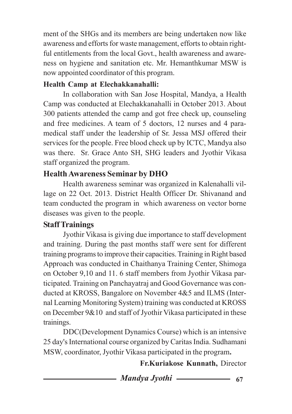ment of the SHGs and its members are being undertaken now like awareness and efforts for waste management, efforts to obtain rightful entitlements from the local Govt., health awareness and awareness on hygiene and sanitation etc. Mr. Hemanthkumar MSW is now appointed coordinator of this program.

## **Health Camp at Elechakkanahalli:**

In collaboration with San Jose Hospital, Mandya, a Health Camp was conducted at Elechakkanahalli in October 2013. About 300 patients attended the camp and got free check up, counseling and free medicines. A team of 5 doctors, 12 nurses and 4 paramedical staff under the leadership of Sr. Jessa MSJ offered their services for the people. Free blood check up by ICTC, Mandya also was there. Sr. Grace Anto SH, SHG leaders and Jyothir Vikasa staff organized the program.

## **Health Awareness Seminar by DHO**

Health awareness seminar was organized in Kalenahalli village on 22 Oct. 2013. District Health Officer Dr. Shivanand and team conducted the program in which awareness on vector borne diseases was given to the people.

## **Staff Trainings**

Jyothir Vikasa is giving due importance to staff development and training. During the past months staff were sent for different training programs to improve their capacities. Training in Right based Approach was conducted in Chaithanya Training Center, Shimoga on October 9,10 and 11. 6 staff members from Jyothir Vikasa participated. Training on Panchayatraj and Good Governance was conducted at KROSS, Bangalore on November 4&5 and ILMS (Internal Learning Monitoring System) training was conducted at KROSS on December 9&10 and staff of Jyothir Vikasa participated in these trainings.

DDC(Development Dynamics Course) which is an intensive 25 day's International course organized by Caritas India. Sudhamani MSW, coordinator, Jyothir Vikasa participated in the program**.**

**Fr.Kuriakose Kunnath,** Director

*Mandya Jyothi* – 67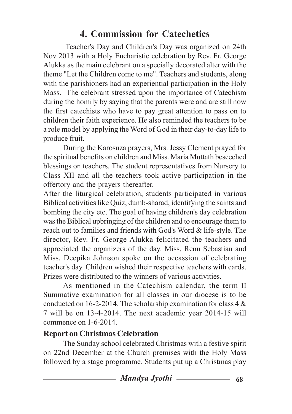# **4. Commission for Catechetics**

 Teacher's Day and Children's Day was organized on 24th Nov 2013 with a Holy Eucharistic celebration by Rev. Fr. George Alukka as the main celebrant on a specially decorated alter with the theme "Let the Children come to me". Teachers and students, along with the parishioners had an experiential participation in the Holy Mass. The celebrant stressed upon the importance of Catechism during the homily by saying that the parents were and are still now the first catechists who have to pay great attention to pass on to children their faith experience. He also reminded the teachers to be a role model by applying the Word of God in their day-to-day life to produce fruit.

During the Karosuza prayers, Mrs. Jessy Clement prayed for the spiritual benefits on children and Miss. Maria Muttath beseeched blessings on teachers. The student representatives from Nursery to Class XII and all the teachers took active participation in the offertory and the prayers thereafter.

After the liturgical celebration, students participated in various Biblical activities like Quiz, dumb-sharad, identifying the saints and bombing the city etc. The goal of having children's day celebration was the Biblical upbringing of the children and to encourage them to reach out to families and friends with God's Word & life-style. The director, Rev. Fr. George Alukka felicitated the teachers and appreciated the organizers of the day. Miss. Renu Sebastian and Miss. Deepika Johnson spoke on the occassion of celebrating teacher's day. Children wished their respective teachers with cards. Prizes were distributed to the winners of various activities.

As mentioned in the Catechism calendar, the term II Summative examination for all classes in our diocese is to be conducted on 16-2-2014. The scholarship examination for class 4 & 7 will be on 13-4-2014. The next academic year 2014-15 will commence on 1-6-2014.

## **Report on Christmas Celebration**

The Sunday school celebrated Christmas with a festive spirit on 22nd December at the Church premises with the Holy Mass followed by a stage programme. Students put up a Christmas play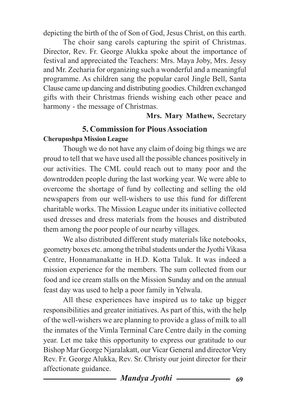depicting the birth of the of Son of God, Jesus Christ, on this earth.

The choir sang carols capturing the spirit of Christmas. Director, Rev. Fr. George Alukka spoke about the importance of festival and appreciated the Teachers: Mrs. Maya Joby, Mrs. Jessy and Mr. Zecharia for organizing such a wonderful and a meaningful programme. As children sang the popular carol Jingle Bell, Santa Clause came up dancing and distributing goodies. Children exchanged gifts with their Christmas friends wishing each other peace and harmony - the message of Christmas.

**Mrs. Mary Mathew,** Secretary

## **5. Commission for Pious Association**

### **Cherupushpa Mission League**

Though we do not have any claim of doing big things we are proud to tell that we have used all the possible chances positively in our activities. The CML could reach out to many poor and the downtrodden people during the last working year. We were able to overcome the shortage of fund by collecting and selling the old newspapers from our well-wishers to use this fund for different charitable works. The Mission League under its initiative collected used dresses and dress materials from the houses and distributed them among the poor people of our nearby villages.

We also distributed different study materials like notebooks, geometry boxes etc. among the tribal students under the Jyothi Vikasa Centre, Honnamanakatte in H.D. Kotta Taluk. It was indeed a mission experience for the members. The sum collected from our food and ice cream stalls on the Mission Sunday and on the annual feast day was used to help a poor family in Yelwala.

All these experiences have inspired us to take up bigger responsibilities and greater initiatives. As part of this, with the help of the well-wishers we are planning to provide a glass of milk to all the inmates of the Vimla Terminal Care Centre daily in the coming year. Let me take this opportunity to express our gratitude to our Bishop Mar George Njaralakatt, our Vicar General and director Very Rev. Fr. George Alukka, Rev. Sr. Christy our joint director for their affectionate guidance.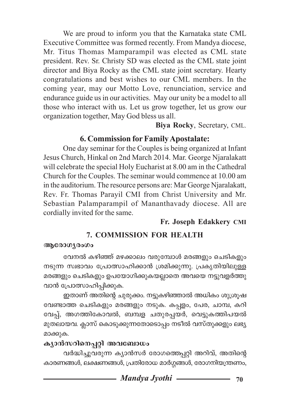We are proud to inform you that the Karnataka state CML Executive Committee was formed recently. From Mandya diocese, Mr. Titus Thomas Mamparampil was elected as CML state president. Rev. Sr. Christy SD was elected as the CML state joint director and Biya Rocky as the CML state joint secretary. Hearty congratulations and best wishes to our CML members. In the coming year, may our Motto Love, renunciation, service and endurance guide us in our activities. May our unity be a model to all those who interact with us. Let us grow together, let us grow our organization together, May God bless us all.

**Biya Rocky**, Secretary, CML.

## **6. Commission for Family Apostalate:**

One day seminar for the Couples is being organized at Infant Jesus Church, Hinkal on 2nd March 2014. Mar. George Njaralakatt will celebrate the special Holy Eucharist at 8.00 am in the Cathedral Church for the Couples. The seminar would commence at 10.00 am in the auditorium. The resource persons are: Mar George Njaralakatt, Rev. Fr. Thomas Parayil CMI from Christ University and Mr. Sebastian Palamparampil of Mananthavady diocese. All are cordially invited for the same.

## **Fr. Joseph Edakkery CMI**

## **7. COMMISSION FOR HEALTH**

### **ആരോഗ്യരംഗം**

വേനൽ കഴിഞ്ഞ് മഴക്കാലം വരുമ്പോൾ മരങ്ങളും ചെടികളും നടുന്ന സ്വഭാവം പ്രോത്സാഹിക്കാൻ ശ്രമിക്കുന്നു. പ്രകൃതിയിലുള്ള മരങ്ങളും ചെടികളും ഉപയോഗിക്കുകയല്ലാതെ അവയെ നട്ടുവളർത്തു വാൻ പ്രോത്സാഹിപ്പിക്കുക.

ഇതാണ് അതിന്റെ ചുരുക്കം. നട്ടുകഴിഞ്ഞാൽ അധികം ശുശ്രുഷ വേണ്ടാത്ത ചെടികളും മരങ്ങളും നടുക. കപ്പളം, പേര, ചാമ്പ, കറി വേപ്പ്, അഗത്തികോവൽ, ബമ്പള ചതുരപ്പയർ, വെട്ടുകത്തിപയൽ മുതലായവ. ക്ലാസ് കൊടുക്കുന്നതോടൊപ്പം നടീൽ വസ്തുക്കളും ലഭ്യ മാക്കുക.

## കൃാൻസറിനെപ്പറ്റി അവബോധം

വർദ്ധിച്ചുവരുന്ന ക്യാൻസർ രോഗത്തെപ്പറ്റി അറിവ്, അതിന്റെ കാരണങ്ങൾ, ലക്ഷണങ്ങൾ, പ്രതിരോധ മാർഗ്ഗങ്ങൾ, രോഗനിയന്ത്രണം,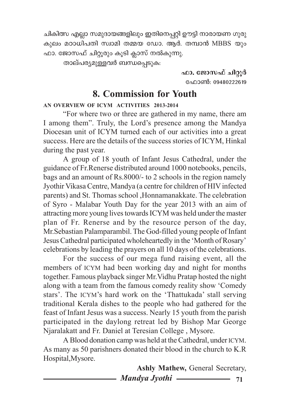ചികിത്സ എല്ലാ സമുദായങ്ങളിലും ഇതിനെപ്പറ്റി ഊട്ടി നാരായണ ഗുരു കൂലം മഠാധിപതി സ്വാമി തമ്മയ ഡോ. ആർ. തമ്പാൻ  $MBBS$  യും ഫാ. ജോസഫ് ചിറ്റുരും കുടി ക്ലാസ് നൽകുന്നു.

താല്പര്യമുള്ളവർ ബന്ധപ്പെടുക:

ഹാ. ജോസഫ് ചിറൂ**ർ** േ∩ാൺ∙ 09480222619

## **8. Commission for Youth**

**AN OVERVIEW OF ICYM ACTIVITIES 2013-2014**

"For where two or three are gathered in my name, there am I among them". Truly, the Lord's presence among the Mandya Diocesan unit of ICYM turned each of our activities into a great success. Here are the details of the success stories of ICYM, Hinkal during the past year.

A group of 18 youth of Infant Jesus Cathedral, under the guidance of Fr.Renerse distributed around 1000 notebooks, pencils, bags and an amount of Rs.8000/- to 2 schools in the region namely Jyothir Vikasa Centre, Mandya (a centre for children of HIV infected parents) and St. Thomas school ,Honnamanakkate. The celebration of Syro - Malabar Youth Day for the year 2013 with an aim of attracting more young lives towards ICYM was held under the master plan of Fr. Renerse and by the resource person of the day, Mr.Sebastian Palamparambil. The God-filled young people of Infant Jesus Cathedral participated wholeheartedly in the 'Month of Rosary' celebrations by leading the prayers on all 10 days of the celebrations.

For the success of our mega fund raising event, all the members of ICYM had been working day and night for months together. Famous playback singer Mr.Vidhu Pratap hosted the night along with a team from the famous comedy reality show 'Comedy stars'. The ICYM's hard work on the 'Thattukada' stall serving traditional Kerala dishes to the people who had gathered for the feast of Infant Jesus was a success. Nearly 15 youth from the parish participated in the daylong retreat led by Bishop Mar George Njaralakatt and Fr. Daniel at Teresian College , Mysore.

A Blood donation camp was held at the Cathedral, under ICYM. As many as 50 parishners donated their blood in the church to K.R Hospital,Mysore.

> *Mandya Jyothi* – 71 **Ashly Mathew,** General Secretary,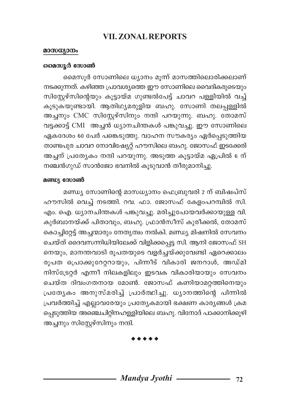## **VII. ZONAL REPORTS**

#### **amamagamo**

#### **ടൈമസൂർ സോൺ**

മൈസുർ സോണിലെ ധ്യാനം മുന്ന് മാസത്തിലൊരിക്കലാണ് നടക്കുന്നത്. കഴിഞ്ഞ പ്രാവശ്യത്തെ ഈ സോണിലെ വൈദികരുടെയു<mark>ം</mark> സിസ്റ്റേഴ്സിന്റെയും കൂട്ടായ്മ ഗുണ്ടൽപേട്ട് ചാവറ പള്ളിയിൽ വച്ച് കൂടുകയുണ്ടായി. ആതിഥ്യമരുളിയ ബഹു. സോണി തലപ്പള്ളിൽ അച്ചനും CMC സിസ്കേഴ്സിനും നന്ദി പറയുന്നു. ബഹു. തോമസ് വട്ടക്കാട്ട് CMI അച്ചൻ ധ്യാനചിന്തകൾ പങ്കുവച്ചു. ഈ സോണിലെ ഏകദേശം 60 പേർ പങ്കെടുത്തു. വാഹന സൗകര്യം ഏർപ്പെടുത്തിയ താണ്ടപുര ചാവറ നോവിഷ്യേറ്റ് ഹൗസിലെ ബഹു. ജോസഫ് ഇടക്കേരി അച്ചന് പ്രത്യേകം നന്ദി പറയുന്നു. അടുത്ത കൂട്ടായ്മ ഏപ്രിൽ 6 ന് നഞ്ചൻഗുഡ് സാൻജോ ഭവനിൽ കുടുവാൻ തീരുമാനിച്ചു.

#### **amuy** cwom<sup>3</sup>

മണ്ഡ്യ സോണിന്റെ മാസധ്യാനം ഫെബ്രുവരി 2 ന് ബിഷപ്സ് ഹൗസിൽ വെച്ച് നടത്തി. റവ. ഫാ. ജോസഫ് കേളംപറമ്പിൽ സി. എം. ഐ. ധ്യാനചിന്തകൾ പങ്കുവച്ചു. മരിച്ചുപോയവർക്കായുള്ള വി. കുർബാനയ്ക്ക് പിതാവും, ബഹു. ഫ്രാൻസീസ് കുരീക്കൽ, തോമസ് കൊച്ചിറ്റേട്ട് അച്ചന്മാരും നേതൃത്വം നൽകി. മണ്ഡ്യ മിഷനിൽ സേ<mark>വനം</mark> ചെയ്ത് ദൈവസന്നിധിയിലേക്ക് വിളിക്കപ്പെട്ട സി. ആനി ജോസഫ് SH നെയും, മാനന്തവാടി രൂപതയുടെ വളർച്ചയ്ക്കുവേണ്ടി ഏറെക്കാലം രൂപത പ്രൊക്കുറേറ്ററായും, പിന്നീട് വികാരി ജനറാൾ, അഡ്മി നിസ്ട്രേറ്റർ എന്നീ നിലകളിലും ഇടവക വികാരിയായും സേവനം ചെയ്ത ദിവംഗതനായ മോൺ. ജോസഫ് കണിയാമറ്റത്തിനെയും പ്രത്യേകം അനുസ്മരിച്ച് പ്രാർത്ഥിച്ചു. ധ്യാനത്തിന്റെ പിന്നിൽ പ്രവർത്തിച്ച് എല്ലാവരേയും പ്രത്യേകമായി ഭക്ഷണ കാര്യങ്ങൾ ക്രമ പ്പെടുത്തിയ അഞ്ചെചിറ്റിനഹള്ളിയിലെ ബഹു. വിനോദ് പാക്കാനിക്കുഴി അച്ചനും സിസ്റ്റേഴ്സിനും നന്ദി.

#### \*\*\*\*\*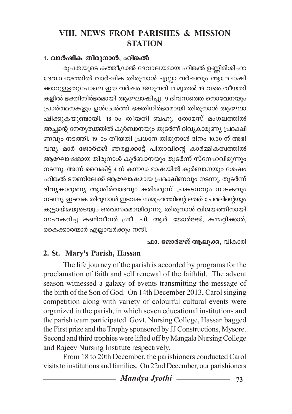# **VIII. NEWS FROM PARISHES & MISSION STATION**

#### 1. വാർഷിക തിരുനാൾ, ഹിങ്കൽ

രൂപതയുടെ കത്തീഡ്രൽ ദേവാലയമായ ഹിങ്കൽ ഉണ്ണിമിശിഹാ ദേവാലയത്തിൽ വാർഷിക തിരുനാൾ എല്ലാ വർഷവും ആഘോഷി ക്കാറുള്ളതുപോലെ ഈ വർഷം ജനുവരി 11 മുതൽ 19 വരെ തീയതി കളിൽ ഭക്തിനിർഭരമായി ആഘോഷിച്ചു. 9 ദിവസത്തെ നൊവേനയും പ്രാർത്ഥനകളും ഉൾചേർത്ത് ഭക്തിനിർഭരമായി തിരുനാൾ ആഘോ ഷിക്കുകയുണ്ടായി. 18-ാം തീയതി ബഹു. തോമസ് മംഗലത്തിൽ അച്ചന്റെ നേതൃത്വത്തിൽ കുർബാനയും തുടർന്ന് ദിവ്യകാരുണ്യ പ്രദക്ഷി ണവും നടത്തി. 19-ാം തീയതി പ്രധാന തിരുനാൾ ദിനം 10.30 ന് അഭി വന്ദ്യ മാർ ജോർജ്ജ് ഞരളക്കാട്ട് പിതാവിന്റെ കാർമ്മികത്വത്തിൽ ആഘോഷമായ തിരുനാൾ കുർബാനയും തുടർന്ന് സ്നേഹവിരുന്നും  $\sigma$ നടന്നു. അന്ന് വൈകിട്ട് 4 ന് കന്നഡ ഭാഷയിൽ കുർബാനയും ശേഷം ഹിങ്കൽ ടൗണിലേക്ക് ആഘോഷമായ പ്രദക്ഷിണവും നടന്നു. തുടർന്ന് ദിവൃകാരുണ്യ ആശീർവാദവും കരിമരുന്ന് പ്രകടനവും നാടകവും നടന്നു. ഇടവക തിരുനാൾ ഇടവക സമുഹത്തിന്റെ ഒത്ത് ചേരലിന്റെയും കൂട്ടായ്മയുടെയും ഒരവസരമായിരുന്നു. തിരുനാൾ വിജയത്തിനായി സഹകരിച്ച കൺവീനർ ശ്രീ. പി. ആർ. ജോർജ്ജ്, കമ്മറ്റിക്കാർ, കൈക്കാരന്മാർ എല്ലാവർക്കും നന്ദി.

**ഹാ. ജോർജ്ജ് ആലൂക്ക, വികാരി** 

#### **2. St. Mary's Parish, Hassan**

The life journey of the parish is accorded by programs for the proclamation of faith and self renewal of the faithful. The advent season witnessed a galaxy of events transmitting the message of the birth of the Son of God. On 14th December 2013, Carol singing competition along with variety of colourful cultural events were organized in the parish, in which seven educational institutions and the parish team participated. Govt. Nursing College, Hassan bagged the First prize and the Trophy sponsored by JJ Constructions, Mysore. Second and third trophies were lifted off by Mangala Nursing College and Rajeev Nursing Institute respectively.

From 18 to 20th December, the parishioners conducted Carol visits to institutions and families. On 22nd December, our parishioners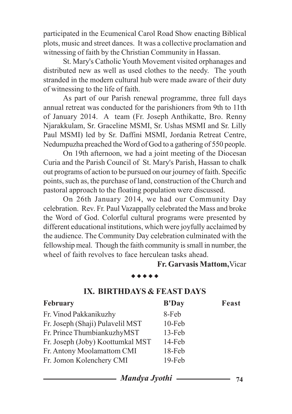participated in the Ecumenical Carol Road Show enacting Biblical plots, music and street dances. It was a collective proclamation and witnessing of faith by the Christian Community in Hassan.

St. Mary's Catholic Youth Movement visited orphanages and distributed new as well as used clothes to the needy. The youth stranded in the modern cultural hub were made aware of their duty of witnessing to the life of faith.

As part of our Parish renewal programme, three full days annual retreat was conducted for the parishioners from 9th to 11th of January 2014. A team (Fr. Joseph Anthikatte, Bro. Renny Njarakkulam, Sr. Graceline MSMI, Sr. Ushas MSMI and Sr. Lilly Paul MSMI) led by Sr. Daffini MSMI, Jordania Retreat Centre, Nedumpuzha preached the Word of God to a gathering of 550 people.

On 19th afternoon, we had a joint meeting of the Diocesan Curia and the Parish Council of St. Mary's Parish, Hassan to chalk out programs of action to be pursued on our journey of faith. Specific points, such as, the purchase of land, construction of the Church and pastoral approach to the floating population were discussed.

On 26th January 2014, we had our Community Day celebration. Rev. Fr. Paul Vazappally celebrated the Mass and broke the Word of God. Colorful cultural programs were presented by different educational institutions, which were joyfully acclaimed by the audience. The Community Day celebration culminated with the fellowship meal. Though the faith community is small in number, the wheel of faith revolves to face herculean tasks ahead.

**Fr. Garvasis Mattom,**Vicar

#### \*\*\*\*\*

#### **IX. BIRTHDAYS & FEAST DAYS**

| <b>B'Day</b> | Feast |
|--------------|-------|
| 8-Feb        |       |
| $10$ -Feb    |       |
| $13-Feb$     |       |
| 14-Feb       |       |
| 18-Feb       |       |
| $19$ -Feb    |       |
|              |       |

*Mandya Jyothi* – 74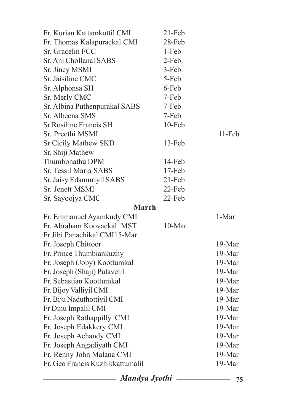| Fr. Kurian Kattamkottil CMI      | $21-Feb$ |           |
|----------------------------------|----------|-----------|
| Fr. Thomas Kalapurackal CMI      | 28-Feb   |           |
| Sr. Gracelin FCC                 | 1-Feb    |           |
| Sr. Ani Chollanal SABS           | $2-Feb$  |           |
| Sr. Jincy MSMI                   | 3-Feb    |           |
| Sr. Jaisiline CMC                | 5-Feb    |           |
| Sr. Alphonsa SH                  | 6-Feb    |           |
| Sr. Merly CMC                    | 7-Feb    |           |
| Sr. Albina Puthenpurakal SABS    | 7-Feb    |           |
| Sr. Albeena SMS                  | 7-Feb    |           |
| <b>Sr Rosiline Francis SH</b>    | 10-Feb   |           |
| Sr. Preethi MSMI                 |          | $11$ -Feb |
| Sr Cicily Mathew SKD             | 13-Feb   |           |
| Sr. Shiji Mathew                 |          |           |
| Thumbonathu DPM                  | 14-Feb   |           |
| Sr. Tessil Maria SABS            | 17-Feb   |           |
| Sr. Jaisy Edamuriyil SABS        | $21-Feb$ |           |
| Sr. Jenett MSMI                  | 22-Feb   |           |
| Sr. Sayoojya CMC                 | 22-Feb   |           |
| March                            |          |           |
| Fr. Emmanuel Ayamkudy CMI        |          | 1-Mar     |
| Fr. Abraham Koovackal MST        | 10-Mar   |           |
| Fr Jibi Panachikal CMI15-Mar     |          |           |
| Fr. Joseph Chittoor              |          | 19-Mar    |
| Fr. Prince Thumbiankuzhy         |          | 19-Mar    |
| Fr. Joseph (Joby) Koottumkal     |          | 19-Mar    |
| Fr. Joseph (Shaji) Pulavelil     |          | 19-Mar    |
| Fr. Sebastian Koottumkal         |          | 19-Mar    |
| Fr. Bijoy Valliyil CMI           |          | 19-Mar    |
| Fr. Biju Naduthottiyil CMI       |          | 19-Mar    |
| Fr Dinu Impalil CMI              |          | 19-Mar    |
| Fr. Joseph Rathappilly CMI       |          | 19-Mar    |
| Fr. Joseph Edakkery CMI          |          | 19-Mar    |
| Fr. Joseph Achandy CMI           |          | 19-Mar    |
| Fr. Joseph Angadiyath CMI        |          | 19-Mar    |
| Fr. Renny John Malana CMI        |          | 19-Mar    |
| Fr. Geo Francis Kuzhikkattumalil |          | 19-Mar    |
|                                  |          |           |

*Mandya Jyothi* – 75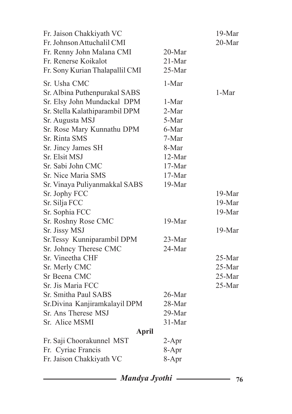| Fr. Jaison Chakkiyath VC        |          | 19-Mar |
|---------------------------------|----------|--------|
| Fr. Johnson Attuchalil CMI      |          | 20-Mar |
| Fr. Renny John Malana CMI       | 20-Mar   |        |
| Fr. Renerse Koikalot            | 21-Mar   |        |
| Fr. Sony Kurian Thalapallil CMI | 25-Mar   |        |
| Sr. Usha CMC                    | 1-Mar    |        |
| Sr. Albina Puthenpurakal SABS   |          | 1-Mar  |
| Sr. Elsy John Mundackal DPM     | 1-Mar    |        |
| Sr. Stella Kalathiparambil DPM  | 2-Mar    |        |
| Sr. Augusta MSJ                 | 5-Mar    |        |
| Sr. Rose Mary Kunnathu DPM      | 6-Mar    |        |
| <b>Sr. Rinta SMS</b>            | 7-Mar    |        |
| Sr. Jincy James SH              | 8-Mar    |        |
| <b>Sr. Elsit MSJ</b>            | 12-Mar   |        |
| Sr. Sabi John CMC               | 17-Mar   |        |
| Sr. Nice Maria SMS              | $17-Mar$ |        |
| Sr. Vinaya Puliyanmakkal SABS   | 19-Mar   |        |
| Sr. Jophy FCC                   |          | 19-Mar |
| Sr. Silja FCC                   |          | 19-Mar |
| Sr. Sophia FCC                  |          | 19-Mar |
| Sr. Roshny Rose CMC             | 19-Mar   |        |
| Sr. Jissy MSJ                   |          | 19-Mar |
| Sr. Tessy Kunniparambil DPM     | 23-Mar   |        |
| Sr. Johncy Therese CMC          | 24-Mar   |        |
| Sr. Vineetha CHF                |          | 25-Mar |
| Sr. Merly CMC                   |          | 25-Mar |
| Sr Beena CMC                    |          | 25-Mar |
| Sr. Jis Maria FCC               |          | 25-Mar |
| Sr. Smitha Paul SABS            | 26-Mar   |        |
| Sr.Divina Kanjiramkalayil DPM   | 28-Mar   |        |
| Sr. Ans Therese MSJ             | 29-Mar   |        |
| Sr. Alice MSMI                  | 31-Mar   |        |
| <b>April</b>                    |          |        |
| Fr. Saji Choorakunnel MST       | $2-Apr$  |        |
| Fr. Cyriac Francis              | 8-Apr    |        |
| Fr. Jaison Chakkiyath VC        | 8-Apr    |        |
|                                 |          |        |

*Mandya Jyothi* – 76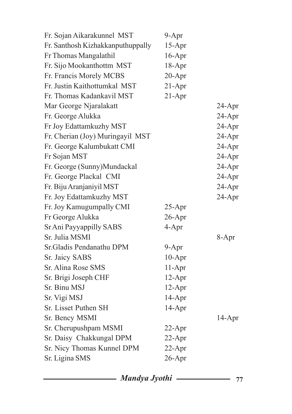| Fr. Sojan Aikarakunnel MST        | 9-Apr      |           |
|-----------------------------------|------------|-----------|
| Fr. Santhosh Kizhakkanputhuppally | $15-Apr$   |           |
| Fr Thomas Mangalathil             | $16$ -Apr  |           |
| Fr. Sijo Mookanthottm MST         | $18-Apr$   |           |
| Fr. Francis Morely MCBS           | $20 - Apr$ |           |
| Fr. Justin Kaithottumkal MST      | $21-Apr$   |           |
| Fr. Thomas Kadankavil MST         | $21-Apr$   |           |
| Mar George Njaralakatt            |            | 24-Apr    |
| Fr. George Alukka                 |            | 24-Apr    |
| Fr Joy Edattamkuzhy MST           |            | 24-Apr    |
| Fr. Cherian (Joy) Muringayil MST  |            | 24-Apr    |
| Fr. George Kalumbukatt CMI        |            | 24-Apr    |
| Fr Sojan MST                      |            | $24$ -Apr |
| Fr. George (Sunny)Mundackal       |            | 24-Apr    |
| Fr. George Plackal CMI            |            | $24-Apr$  |
| Fr. Biju Aranjaniyil MST          |            | 24-Apr    |
| Fr. Joy Edattamkuzhy MST          |            | 24-Apr    |
| Fr. Joy Kamugumpally CMI          | $25 - Apr$ |           |
| Fr George Alukka                  | 26-Apr     |           |
| Sr Ani Payyappilly SABS           | $4 - Apr$  |           |
| Sr. Julia MSMI                    |            | 8-Apr     |
| Sr.Gladis Pendanathu DPM          | $9-$ Apr   |           |
| Sr. Jaicy SABS                    | $10-Apr$   |           |
| Sr. Alina Rose SMS                | $11-Apr$   |           |
| Sr. Brigi Joseph CHF              | $12-Apr$   |           |
| Sr. Binu MSJ                      | $12-Apr$   |           |
| Sr. Vigi MSJ                      | 14-Apr     |           |
| Sr. Lisset Puthen SH              | $14$ -Apr  |           |
| Sr. Bency MSMI                    |            | $14$ -Apr |
| Sr. Cherupushpam MSMI             | $22$ -Apr  |           |
| Sr. Daisy Chakkungal DPM          | $22$ -Apr  |           |
| Sr. Nicy Thomas Kunnel DPM        | $22$ -Apr  |           |
| Sr. Ligina SMS                    | 26-Apr     |           |

*Mandya Jyothi* **177**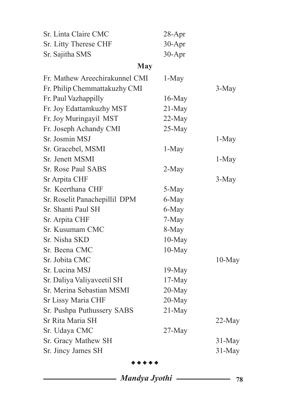| Sr. Linta Claire CMC           | 28-Apr    |          |
|--------------------------------|-----------|----------|
| Sr. Litty Therese CHF          | 30-Apr    |          |
| Sr. Sajitha SMS                | 30-Apr    |          |
| <b>May</b>                     |           |          |
| Fr. Mathew Areechirakunnel CMI | 1-May     |          |
| Fr. Philip Chemmattakuzhy CMI  |           | 3-May    |
| Fr. Paul Vazhappilly           | $16$ -May |          |
| Fr. Joy Edattamkuzhy MST       | $21$ -May |          |
| Fr. Joy Muringayil MST         | 22-May    |          |
| Fr. Joseph Achandy CMI         | 25-May    |          |
| Sr. Josmin MSJ                 |           | $1-May$  |
| Sr. Gracebel, MSMI             | 1-May     |          |
| Sr. Jenett MSMI                |           | 1-May    |
| Sr. Rose Paul SABS             | 2-May     |          |
| Sr Arpita CHF                  |           | 3-May    |
| Sr. Keerthana CHF              | 5-May     |          |
| Sr. Roselit Panachepillil DPM  | 6-May     |          |
| Sr. Shanti Paul SH             | 6-May     |          |
| Sr. Arpita CHF                 | 7-May     |          |
| Sr. Kusumam CMC                | 8-May     |          |
| Sr. Nisha SKD                  | $10$ -May |          |
| Sr. Beena CMC                  | $10-May$  |          |
| Sr. Jobita CMC                 |           | $10-May$ |
| Sr. Lucina MSJ                 | $19-May$  |          |
| Sr. Daliya Valiyaveetil SH     | $17-May$  |          |
| Sr. Merina Sebastian MSMI      | $20$ -May |          |
| Sr Lissy Maria CHF             | $20$ -May |          |
| Sr. Pushpa Puthussery SABS     | $21$ -May |          |
| Sr Rita Maria SH               |           | 22-May   |
| Sr. Udaya CMC                  | 27-May    |          |
| Sr. Gracy Mathew SH            |           | 31-May   |
| Sr. Jincy James SH             |           | 31-May   |
|                                |           |          |

 $***$ 

*Mandya Jyothi* 28 78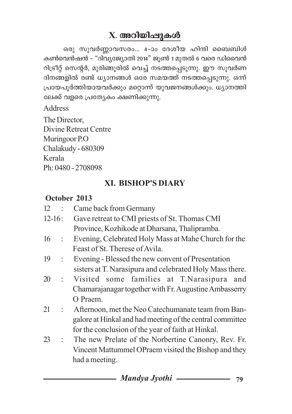# $X<sub>•</sub>$  അറിയിഷുകൾ

ഒരു സുവർണ്ണാവസരം... 4-ാം ദേശീയ ഹിന്ദി ബൈബിൾ കൺവെൻഷൻ - "ദിവ്യജ്യോതി 2014" ജൂൺ 1 മുതൽ 6 വരെ ഡിവൈൻ റിട്രീറ്റ് സെന്റർ, മുരിങ്ങൂരിൽ വെച്ച് നടത്തപ്പെടുന്നു. ഈ സുവർണ ദിനങ്ങളിൽ രണ്ട് ധ്യാനങ്ങൾ ഒരേ സമയത്ത് നടത്തപ്പെടുന്നു. ഒന്ന് പ്രായപൂർത്തിയായവർക്കും മറ്റൊന്ന് യുവജനങ്ങൾക്കും. ധ്യാനത്തി ലേക്ക് വളരെ പ്രത്യേകം ക്ഷണിക്കുന്നു.

Address

The Director, Divine Retreat Centre Muringoor P.O Chalakudy - 680309 Kerala Ph: 0480 - 2708098

# **XI. BISHOP'S DIARY**

### **October 2013**

| 12        |               | Came back from Germany                                                                                                                                                 |
|-----------|---------------|------------------------------------------------------------------------------------------------------------------------------------------------------------------------|
| $12-16$ : |               | Gave retreat to CMI priests of St. Thomas CMI<br>Province, Kozhikode at Dharsana, Thalipramba.                                                                         |
| 16        | t.            | Evening, Celebrated Holy Mass at Mahe Church for the<br>Feast of St. Therese of Avila.                                                                                 |
| 19        | t.            | Evening - Blessed the new convent of Presentation<br>sisters at T. Narasipura and celebrated Holy Mass there.                                                          |
| 20        |               | Visited some families at T.Narasipura and<br>Chamarajanagar together with Fr. Augustine Ambasserry<br>O Praem.                                                         |
| 21.       | $\mathcal{L}$ | Afternoon, met the Neo Catechumanate team from Ban-<br>galore at Hinkal and had meeting of the central committee<br>for the conclusion of the year of faith at Hinkal. |
| 23.       |               | The new Prelate of the Norbertine Canonry, Rev. Fr.<br>Vincent Mattummel OPraem visited the Bishop and they<br>had a meeting.                                          |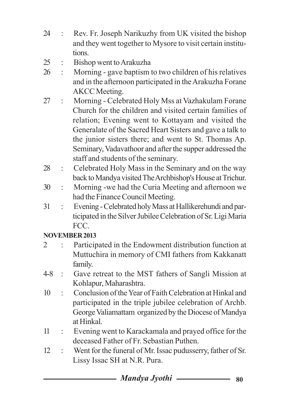- 24 : Rev. Fr. Joseph Narikuzhy from UK visited the bishop and they went together to Mysore to visit certain institutions.
- 25 : Bishop went to Arakuzha
- 26 : Morning gave baptism to two children of his relatives and in the afternoon participated in the Arakuzha Forane AKCC Meeting.
- 27 : Morning Celebrated Holy Mss at Vazhakulam Forane Church for the children and visited certain families of relation; Evening went to Kottayam and visited the Generalate of the Sacred Heart Sisters and gave a talk to the junior sisters there; and went to St. Thomas Ap. Seminary, Vadavathoor and after the supper addressed the staff and students of the seminary.
- 28 : Celebrated Holy Mass in the Seminary and on the way back to Mandya visited The Archbishop's House at Trichur.
- 30 : Morning -we had the Curia Meeting and afternoon we had the Finance Council Meeting.
- 31 : Evening Celebrated holy Mass at Hallikerehundi and participated in the Silver Jubilee Celebration of Sr. Ligi Maria FCC.

### **NOVEMBER 2013**

- 2 : Participated in the Endowment distribution function at Muttuchira in memory of CMI fathers from Kakkanatt family.
- 4-8 : Gave retreat to the MST fathers of Sangli Mission at Kohlapur, Maharashtra.
- 10 : Conclusion of the Year of Faith Celebration at Hinkal and participated in the triple jubilee celebration of Archb. George Valiamattam organized by the Diocese of Mandya at Hinkal.
- 11 : Evening went to Karackamala and prayed office for the deceased Father of Fr. Sebastian Puthen.
- 12 : Went for the funeral of Mr. Issac pudusserry, father of Sr. Lissy Issac SH at N.R. Pura.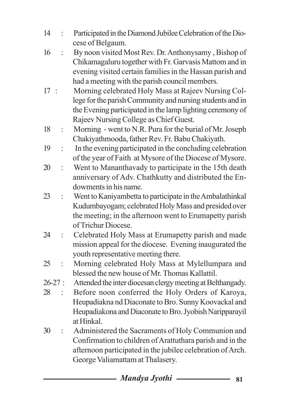- 14 : Participated in the Diamond Jubilee Celebration of the Diocese of Belgaum.
- 16 : By noon visited Most Rev. Dr. Anthonysamy , Bishop of Chikamagaluru together with Fr. Garvasis Mattom and in evening visited certain families in the Hassan parish and had a meeting with the parish council members.
- 17 : Morning celebrated Holy Mass at Rajeev Nursing College for the parish Community and nursing students and in the Evening participated in the lamp lighting ceremony of Rajeev Nursing College as Chief Guest.
- 18 : Morning went to N.R. Pura for the burial of Mr. Joseph Chakiyathmooda, father Rev. Fr. Babu Chakiyath.
- 19 : In the evening participated in the concluding celebration of the year of Faith at Mysore of the Diocese of Mysore.
- 20 : Went to Mananthavady to participate in the 15th death anniversary of Adv. Chathkutty and distributed the Endowments in his name.
- 23 : Went to Kaniyambetta to participate in the Ambalathinkal Kudumbayogam; celebrated Holy Mass and presided over the meeting; in the afternoon went to Erumapetty parish of Trichur Diocese.
- 24 : Celebrated Holy Mass at Erumapetty parish and made mission appeal for the diocese. Evening inaugurated the youth representative meeting there.
- 25 : Morning celebrated Holy Mass at Mylellumpara and blessed the new house of Mr. Thomas Kallattil.
- 26-27 : Attended the inter diocesan clergy meeting at Belthangady.
- 28 : Before noon conferred the Holy Orders of Karoya, Heupadiakna nd Diaconate to Bro. Sunny Koovackal and Heupadiakona and Diaconate to Bro. Jyobish Naripparayil at Hinkal.
- 30 : Administered the Sacraments of Holy Communion and Confirmation to children of Arattuthara parish and in the afternoon participated in the jubilee celebration of Arch. George Valiamattam at Thalasery.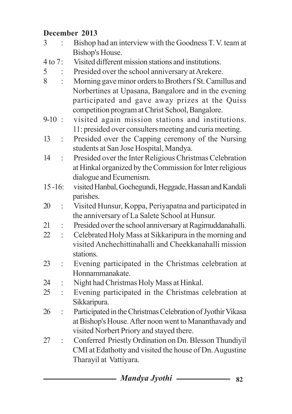# **December 2013**

- 3 : Bishop had an interview with the Goodness T. V. team at Bishop's House.
- 4 to 7: Visited different mission stations and institutions.
- 5 : Presided over the school anniversary at Arekere.
- 8 : Morning gave minor orders to Brothers f St. Camillus and Norbertines at Upasana, Bangalore and in the evening participated and gave away prizes at the Quiss competition program at Christ School, Bangalore.
- 9-10 : visited again mission stations and institutions. 11: presided over consulters meeting and curia meeting.
- 13 : Presided over the Capping ceremony of the Nursing students at San Jose Hospital, Mandya.
- 14 : Presided over the Inter Religious Christmas Celebration at Hinkal organized by the Commission for Inter religious dialogue and Ecumenism.
- 15 -16: visited Hanbal, Gochegundi, Heggade, Hassan and Kandali parishes.
- 20 : Visited Hunsur, Koppa, Periyapatna and participated in the anniversary of La Salete School at Hunsur.
- 21 : Presided over the school anniversary at Ragimuddanahalli.
- 22 : Celebrated Holy Mass at Sikkaripura in the morning and visited Anchechittinahalli and Cheekkanahalli mission stations.
- 23 : Evening participated in the Christmas celebration at Honnammanakate.
- 24 : Night had Christmas Holy Mass at Hinkal.
- 25 : Evening participated in the Christmas celebration at Sikkaripura.
- 26 : Participated in the Christmas Celebration of Jyothir Vikasa at Bishop's House. After noon went to Mananthavady and visited Norbert Priory and stayed there.
- 27 : Conferred Priestly Ordination on Dn. Blesson Thundiyil CMI at Edathotty and visited the house of Dn. Augustine Tharayil at Vattiyara.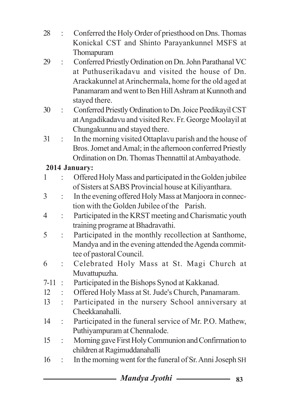- 28 : Conferred the Holy Order of priesthood on Dns. Thomas Konickal CST and Shinto Parayankunnel MSFS at Thomapuram
- 29 : Conferred Priestly Ordination on Dn. John Parathanal VC at Puthuserikadavu and visited the house of Dn. Arackakunnel at Arinchermala, home for the old aged at Panamaram and went to Ben Hill Ashram at Kunnoth and stayed there.
- 30 : Conferred Priestly Ordination to Dn. Joice Peedikayil CST at Angadikadavu and visited Rev. Fr. George Moolayil at Chungakunnu and stayed there.
- 31 : In the morning visited Ottaplavu parish and the house of Bros. Jomet and Amal; in the afternoon conferred Priestly Ordination on Dn. Thomas Thennattil at Ambayathode.

### **2014 January:**

|  | Offered Holy Mass and participated in the Golden jubilee |
|--|----------------------------------------------------------|
|  | of Sisters at SABS Provincial house at Kiliyanthara.     |
|  | In the evening offered Holy Mass at Manioora in connec-  |

- In the evening offered Holy Mass at Manjoora in connection with the Golden Jubilee of the Parish.
- 4 : Participated in the KRST meeting and Charismatic youth training programe at Bhadravathi.
- 5 : Participated in the monthly recollection at Santhome, Mandya and in the evening attended the Agenda committee of pastoral Council.
- 6 : Celebrated Holy Mass at St. Magi Church at Muvattupuzha.
- 7-11 : Participated in the Bishops Synod at Kakkanad.
- 12 : Offered Holy Mass at St. Jude's Church, Panamaram.
- 13 : Participated in the nursery School anniversary at Cheekkanahalli.
- 14 : Participated in the funeral service of Mr. P.O. Mathew, Puthiyampuram at Chennalode.
- 15 : Morning gave First Holy Communion and Confirmation to children at Ragimuddanahalli
- 16 : In the morning went for the funeral of Sr. Anni Joseph SH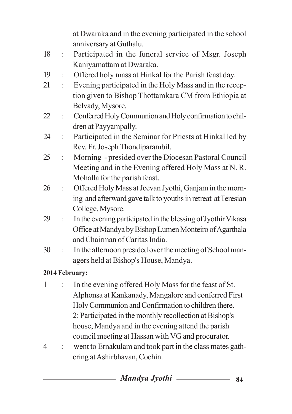at Dwaraka and in the evening participated in the school anniversary at Guthalu.

- 18 : Participated in the funeral service of Msgr. Joseph Kaniyamattam at Dwaraka.
- 19 : Offered holy mass at Hinkal for the Parish feast day.
- 21 : Evening participated in the Holy Mass and in the reception given to Bishop Thottamkara CM from Ethiopia at Belvady, Mysore.
- 22 : Conferred Holy Communion and Holy confirmation to children at Payyampally.
- 24 : Participated in the Seminar for Priests at Hinkal led by Rev. Fr. Joseph Thondiparambil.
- 25 : Morning presided over the Diocesan Pastoral Council Meeting and in the Evening offered Holy Mass at N. R. Mohalla for the parish feast.
- 26 : Offered Holy Mass at Jeevan Jyothi, Ganjam in the morning and afterward gave talk to youths in retreat at Teresian College, Mysore.
- 29 : In the evening participated in the blessing of Jyothir Vikasa Office at Mandya by Bishop Lumen Monteiro of Agarthala and Chairman of Caritas India.
- 30 : In the afternoon presided over the meeting of School managers held at Bishop's House, Mandya.

### **2014 February:**

- 1 : In the evening offered Holy Mass for the feast of St. Alphonsa at Kankanady, Mangalore and conferred First Holy Communion and Confirmation to children there. 2: Participated in the monthly recollection at Bishop's house, Mandya and in the evening attend the parish council meeting at Hassan with VG and procurator.
- 4 : went to Ernakulam and took part in the class mates gathering at Ashirbhavan, Cochin.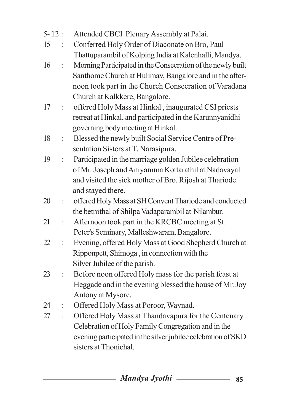| $5 - 12$ : |                | Attended CBCI Plenary Assembly at Palai.                                               |
|------------|----------------|----------------------------------------------------------------------------------------|
| 15         |                | Conferred Holy Order of Diaconate on Bro, Paul                                         |
|            |                | Thattuparambil of Kolping India at Kalenhalli, Mandya.                                 |
| 16         | t              | Morning Participated in the Consecration of the newly built                            |
|            |                | Santhome Church at Hulimav, Bangalore and in the after-                                |
|            |                | noon took part in the Church Consecration of Varadana                                  |
|            |                | Church at Kalkkere, Bangalore.                                                         |
| 17         |                | offered Holy Mass at Hinkal, inaugurated CSI priests                                   |
|            |                | retreat at Hinkal, and participated in the Karunnyanidhi                               |
|            |                | governing body meeting at Hinkal.                                                      |
| 18         |                | Blessed the newly built Social Service Centre of Pre-                                  |
|            |                | sentation Sisters at T. Narasipura.                                                    |
| 19         |                | Participated in the marriage golden Jubilee celebration                                |
|            |                | of Mr. Joseph and Aniyamma Kottarathil at Nadavayal                                    |
|            |                | and visited the sick mother of Bro. Rijosh at Thariode                                 |
|            |                | and stayed there.                                                                      |
| 20         | $\ddot{\cdot}$ | offered Holy Mass at SH Convent Thariode and conducted                                 |
|            |                | the betrothal of Shilpa Vadaparambil at Nilambur.                                      |
| 21         |                | Afternoon took part in the KRCBC meeting at St.                                        |
|            |                | Peter's Seminary, Malleshwaram, Bangalore.                                             |
| 22         |                | Evening, offered Holy Mass at Good Shepherd Church at                                  |
|            |                | Ripponpett, Shimoga, in connection with the                                            |
|            |                | Silver Jubilee of the parish.                                                          |
| 23         |                | Before noon offered Holy mass for the parish feast at                                  |
|            |                | Heggade and in the evening blessed the house of Mr. Joy                                |
|            |                | Antony at Mysore.                                                                      |
| 24         |                | Offered Holy Mass at Poroor, Waynad.                                                   |
| 27         |                | Offered Holy Mass at Thandavapura for the Centenary                                    |
|            |                | Celebration of Holy Family Congregation and in the                                     |
|            |                | evening participated in the silver jubilee celebration of SKD<br>sisters at Thonichal. |
|            |                |                                                                                        |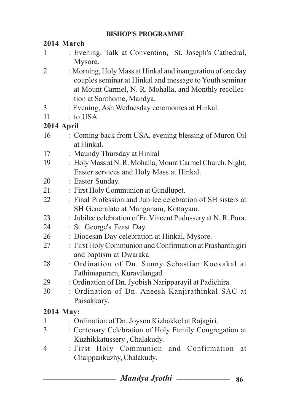#### **BISHOP'S PROGRAMME**

# **2014 March**

- 1 : Evening. Talk at Convention, St. Joseph's Cathedral, Mysore.
- 2 : Morning, Holy Mass at Hinkal and inauguration of one day couples seminar at Hinkal and message to Youth seminar at Mount Carmel, N. R. Mohalla, and Monthly recollection at Santhome, Mandya.
- 3 : Evening, Ash Wednesday ceremonies at Hinkal.
- 11 : to USA

### **2014 April**

- 16 : Coming back from USA, evening blessing of Muron Oil at Hinkal.
- 17 : Maundy Thursday at Hinkal
- 19 : Holy Mass at N. R. Mohalla, Mount Carmel Church. Night, Easter services and Holy Mass at Hinkal.
- 20 : Easter Sunday.
- 21 : First Holy Communion at Gundlupet.
- 22 : Final Profession and Jubilee celebration of SH sisters at SH Generalate at Manganam, Kottayam.
- 23 : Jubilee celebration of Fr. Vincent Pudussery at N. R. Pura.
- 24 : St. George's Feast Day.
- 26 : Diocesan Day celebration at Hinkal, Mysore.
- 27 : First Holy Communion and Confirmation at Prashanthigiri and baptism at Dwaraka
- 28 : Ordination of Dn. Sunny Sebastian Koovakal at Fathimapuram, Kuravilangad.
- 29 : Ordination of Dn. Jyobish Naripparayil at Padichira.
- 30 : Ordination of Dn. Aneesh Kanjirathinkal SAC at Paisakkary.

# **2014 May:**

- 1 : Ordination of Dn. Joyson Kizhakkel at Rajagiri.
- 3 : Centenary Celebration of Holy Family Congregation at Kuzhikkatussery , Chalakudy.
- 4 : First Holy Communion and Confirmation at Chaippankuzhy, Chalakudy.